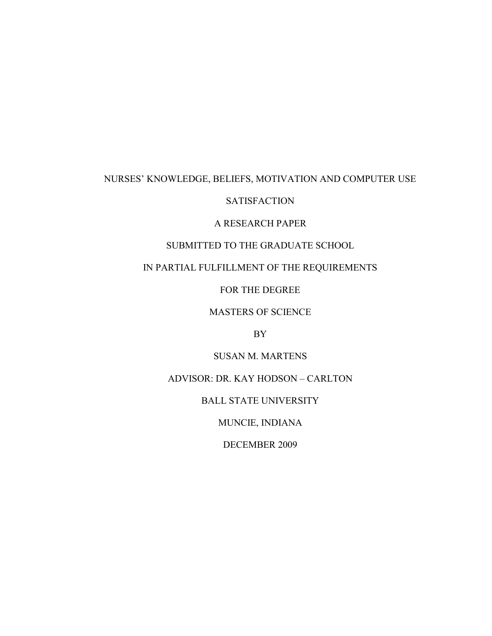# NURSES' KNOWLEDGE, BELIEFS, MOTIVATION AND COMPUTER USE

# **SATISFACTION**

# A RESEARCH PAPER

# SUBMITTED TO THE GRADUATE SCHOOL

# IN PARTIAL FULFILLMENT OF THE REQUIREMENTS

## FOR THE DEGREE

## MASTERS OF SCIENCE

# BY

# SUSAN M. MARTENS

# ADVISOR: DR. KAY HODSON – CARLTON

# BALL STATE UNIVERSITY

# MUNCIE, INDIANA

# DECEMBER 2009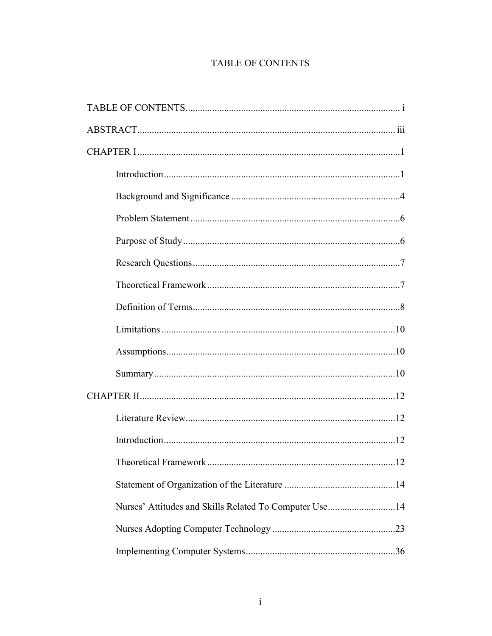# **TABLE OF CONTENTS**

| 12                                                     |  |  |
|--------------------------------------------------------|--|--|
|                                                        |  |  |
| Nurses' Attitudes and Skills Related To Computer Use14 |  |  |
|                                                        |  |  |
|                                                        |  |  |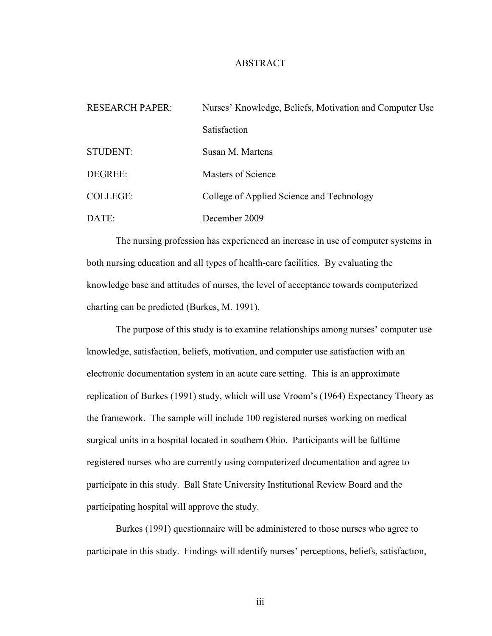### ABSTRACT

| <b>RESEARCH PAPER:</b> | Nurses' Knowledge, Beliefs, Motivation and Computer Use |  |
|------------------------|---------------------------------------------------------|--|
|                        | Satisfaction                                            |  |
| <b>STUDENT:</b>        | Susan M. Martens                                        |  |
| DEGREE:                | Masters of Science                                      |  |
| <b>COLLEGE:</b>        | College of Applied Science and Technology               |  |
| DATE:                  | December 2009                                           |  |

The nursing profession has experienced an increase in use of computer systems in both nursing education and all types of health-care facilities. By evaluating the knowledge base and attitudes of nurses, the level of acceptance towards computerized charting can be predicted (Burkes, M. 1991).

The purpose of this study is to examine relationships among nurses' computer use knowledge, satisfaction, beliefs, motivation, and computer use satisfaction with an electronic documentation system in an acute care setting. This is an approximate replication of Burkes (1991) study, which will use Vroom's (1964) Expectancy Theory as the framework. The sample will include 100 registered nurses working on medical surgical units in a hospital located in southern Ohio. Participants will be fulltime registered nurses who are currently using computerized documentation and agree to participate in this study. Ball State University Institutional Review Board and the participating hospital will approve the study.

Burkes (1991) questionnaire will be administered to those nurses who agree to participate in this study. Findings will identify nurses' perceptions, beliefs, satisfaction,

iii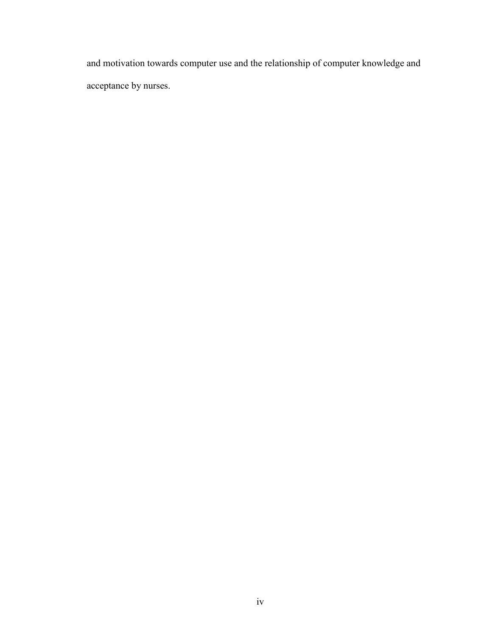and motivation towards computer use and the relationship of computer knowledge and acceptance by nurses.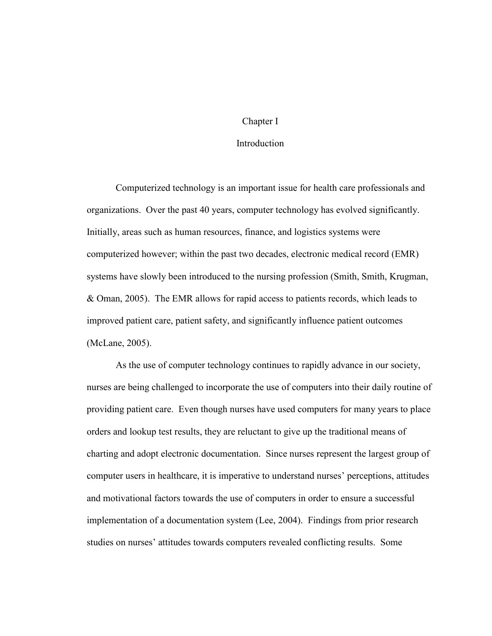#### Chapter I

#### **Introduction**

Computerized technology is an important issue for health care professionals and organizations. Over the past 40 years, computer technology has evolved significantly. Initially, areas such as human resources, finance, and logistics systems were computerized however; within the past two decades, electronic medical record (EMR) systems have slowly been introduced to the nursing profession (Smith, Smith, Krugman, & Oman, 2005). The EMR allows for rapid access to patients records, which leads to improved patient care, patient safety, and significantly influence patient outcomes (McLane, 2005).

As the use of computer technology continues to rapidly advance in our society, nurses are being challenged to incorporate the use of computers into their daily routine of providing patient care. Even though nurses have used computers for many years to place orders and lookup test results, they are reluctant to give up the traditional means of charting and adopt electronic documentation. Since nurses represent the largest group of computer users in healthcare, it is imperative to understand nurses' perceptions, attitudes and motivational factors towards the use of computers in order to ensure a successful implementation of a documentation system (Lee, 2004). Findings from prior research studies on nurses' attitudes towards computers revealed conflicting results. Some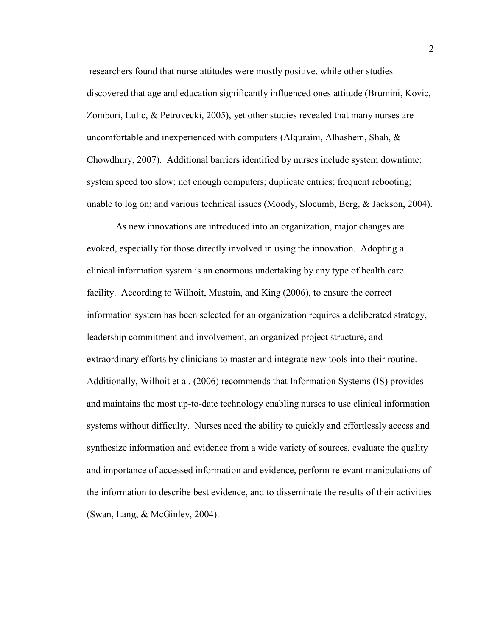researchers found that nurse attitudes were mostly positive, while other studies discovered that age and education significantly influenced ones attitude (Brumini, Kovic, Zombori, Lulic, & Petrovecki, 2005), yet other studies revealed that many nurses are uncomfortable and inexperienced with computers (Alguraini, Alhashem, Shah,  $\&$ Chowdhury, 2007). Additional barriers identified by nurses include system downtime; system speed too slow; not enough computers; duplicate entries; frequent rebooting; unable to log on; and various technical issues (Moody, Slocumb, Berg, & Jackson, 2004).

As new innovations are introduced into an organization, major changes are evoked, especially for those directly involved in using the innovation. Adopting a clinical information system is an enormous undertaking by any type of health care facility. According to Wilhoit, Mustain, and King (2006), to ensure the correct information system has been selected for an organization requires a deliberated strategy, leadership commitment and involvement, an organized project structure, and extraordinary efforts by clinicians to master and integrate new tools into their routine. Additionally, Wilhoit et al. (2006) recommends that Information Systems (IS) provides and maintains the most up-to-date technology enabling nurses to use clinical information systems without difficulty. Nurses need the ability to quickly and effortlessly access and synthesize information and evidence from a wide variety of sources, evaluate the quality and importance of accessed information and evidence, perform relevant manipulations of the information to describe best evidence, and to disseminate the results of their activities (Swan, Lang, & McGinley, 2004).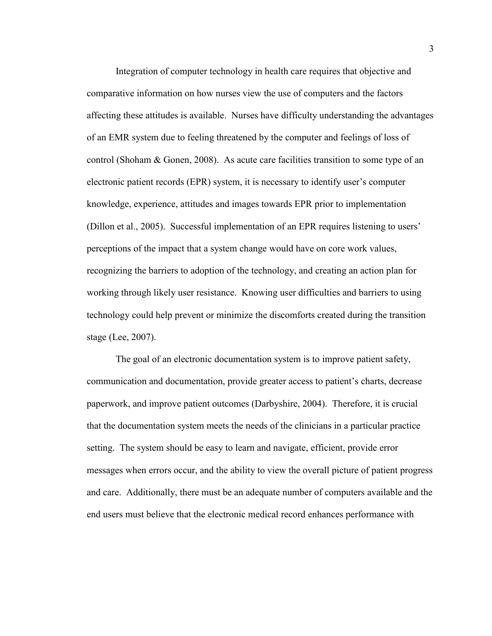Integration of computer technology in health care requires that objective and comparative information on how nurses view the use of computers and the factors affecting these attitudes is available. Nurses have difficulty understanding the advantages of an EMR system due to feeling threatened by the computer and feelings of loss of control (Shoham & Gonen, 2008). As acute care facilities transition to some type of an electronic patient records (EPR) system, it is necessary to identify user's computer knowledge, experience, attitudes and images towards EPR prior to implementation (Dillon et al., 2005). Successful implementation of an EPR requires listening to users' perceptions of the impact that a system change would have on core work values, recognizing the barriers to adoption of the technology, and creating an action plan for working through likely user resistance. Knowing user difficulties and barriers to using technology could help prevent or minimize the discomforts created during the transition stage (Lee, 2007).

The goal of an electronic documentation system is to improve patient safety, communication and documentation, provide greater access to patient's charts, decrease paperwork, and improve patient outcomes (Darbyshire, 2004). Therefore, it is crucial that the documentation system meets the needs of the clinicians in a particular practice setting. The system should be easy to learn and navigate, efficient, provide error messages when errors occur, and the ability to view the overall picture of patient progress and care. Additionally, there must be an adequate number of computers available and the end users must believe that the electronic medical record enhances performance with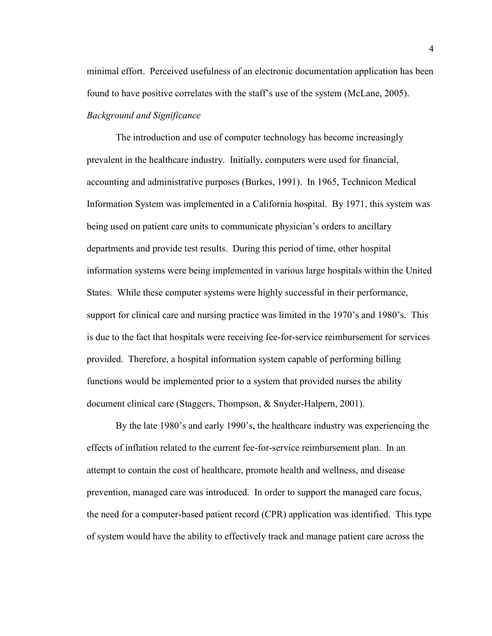minimal effort. Perceived usefulness of an electronic documentation application has been found to have positive correlates with the staff's use of the system (McLane, 2005).

*Background and Significance*

The introduction and use of computer technology has become increasingly prevalent in the healthcare industry. Initially, computers were used for financial, accounting and administrative purposes (Burkes, 1991). In 1965, Technicon Medical Information System was implemented in a California hospital. By 1971, this system was being used on patient care units to communicate physician's orders to ancillary departments and provide test results. During this period of time, other hospital information systems were being implemented in various large hospitals within the United States. While these computer systems were highly successful in their performance, support for clinical care and nursing practice was limited in the 1970's and 1980's. This is due to the fact that hospitals were receiving fee-for-service reimbursement for services provided. Therefore, a hospital information system capable of performing billing functions would be implemented prior to a system that provided nurses the ability document clinical care (Staggers, Thompson, & Snyder-Halpern, 2001).

By the late 1980's and early 1990's, the healthcare industry was experiencing the effects of inflation related to the current fee-for-service reimbursement plan. In an attempt to contain the cost of healthcare, promote health and wellness, and disease prevention, managed care was introduced. In order to support the managed care focus, the need for a computer-based patient record (CPR) application was identified. This type of system would have the ability to effectively track and manage patient care across the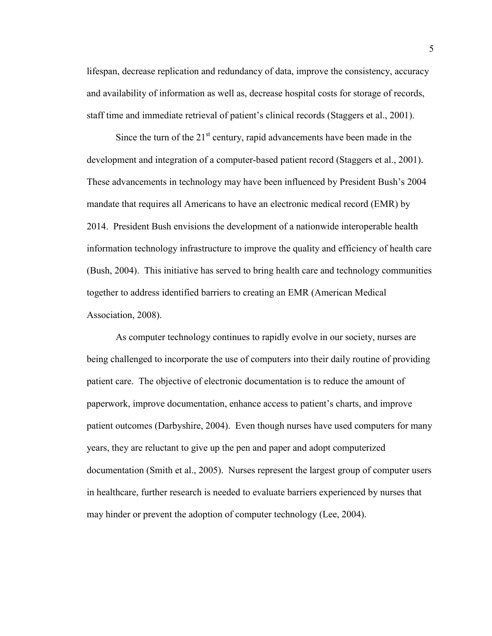lifespan, decrease replication and redundancy of data, improve the consistency, accuracy and availability of information as well as, decrease hospital costs for storage of records, staff time and immediate retrieval of patient's clinical records (Staggers et al., 2001).

Since the turn of the  $21<sup>st</sup>$  century, rapid advancements have been made in the development and integration of a computer-based patient record (Staggers et al., 2001). These advancements in technology may have been influenced by President Bush's 2004 mandate that requires all Americans to have an electronic medical record (EMR) by 2014. President Bush envisions the development of a nationwide interoperable health information technology infrastructure to improve the quality and efficiency of health care (Bush, 2004). This initiative has served to bring health care and technology communities together to address identified barriers to creating an EMR (American Medical Association, 2008).

As computer technology continues to rapidly evolve in our society, nurses are being challenged to incorporate the use of computers into their daily routine of providing patient care. The objective of electronic documentation is to reduce the amount of paperwork, improve documentation, enhance access to patient's charts, and improve patient outcomes (Darbyshire, 2004). Even though nurses have used computers for many years, they are reluctant to give up the pen and paper and adopt computerized documentation (Smith et al., 2005). Nurses represent the largest group of computer users in healthcare, further research is needed to evaluate barriers experienced by nurses that may hinder or prevent the adoption of computer technology (Lee, 2004).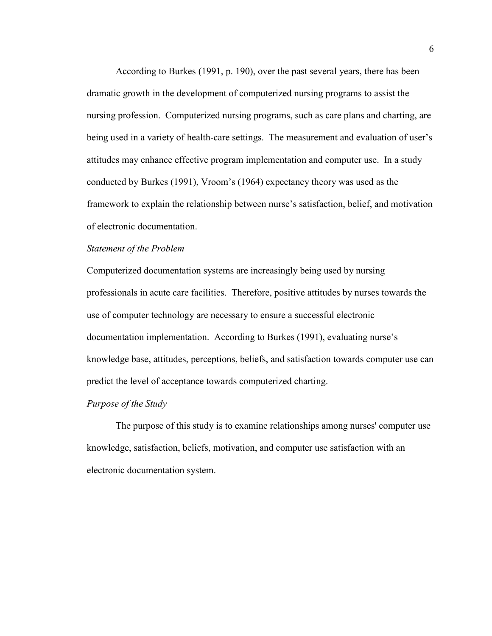According to Burkes (1991, p. 190), over the past several years, there has been dramatic growth in the development of computerized nursing programs to assist the nursing profession. Computerized nursing programs, such as care plans and charting, are being used in a variety of health-care settings. The measurement and evaluation of user's attitudes may enhance effective program implementation and computer use. In a study conducted by Burkes (1991), Vroom's (1964) expectancy theory was used as the framework to explain the relationship between nurse's satisfaction, belief, and motivation of electronic documentation.

#### *Statement of the Problem*

Computerized documentation systems are increasingly being used by nursing professionals in acute care facilities. Therefore, positive attitudes by nurses towards the use of computer technology are necessary to ensure a successful electronic documentation implementation. According to Burkes (1991), evaluating nurse's knowledge base, attitudes, perceptions, beliefs, and satisfaction towards computer use can predict the level of acceptance towards computerized charting.

#### *Purpose of the Study*

The purpose of this study is to examine relationships among nurses' computer use knowledge, satisfaction, beliefs, motivation, and computer use satisfaction with an electronic documentation system.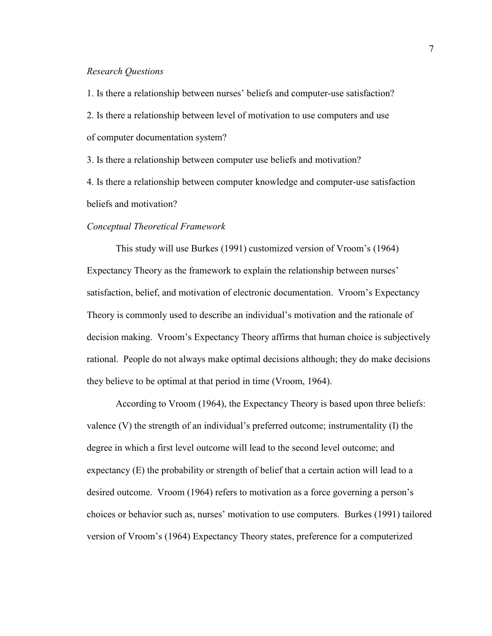#### *Research Questions*

1. Is there a relationship between nurses' beliefs and computer-use satisfaction? 2. Is there a relationship between level of motivation to use computers and use of computer documentation system?

3. Is there a relationship between computer use beliefs and motivation?

4. Is there a relationship between computer knowledge and computer-use satisfaction beliefs and motivation?

#### *Conceptual Theoretical Framework*

This study will use Burkes (1991) customized version of Vroom's (1964) Expectancy Theory as the framework to explain the relationship between nurses' satisfaction, belief, and motivation of electronic documentation. Vroom's Expectancy Theory is commonly used to describe an individual's motivation and the rationale of decision making. Vroom's Expectancy Theory affirms that human choice is subjectively rational. People do not always make optimal decisions although; they do make decisions they believe to be optimal at that period in time (Vroom, 1964).

According to Vroom (1964), the Expectancy Theory is based upon three beliefs: valence (V) the strength of an individual's preferred outcome; instrumentality (I) the degree in which a first level outcome will lead to the second level outcome; and expectancy (E) the probability or strength of belief that a certain action will lead to a desired outcome. Vroom (1964) refers to motivation as a force governing a person's choices or behavior such as, nurses' motivation to use computers. Burkes (1991) tailored version of Vroom's (1964) Expectancy Theory states, preference for a computerized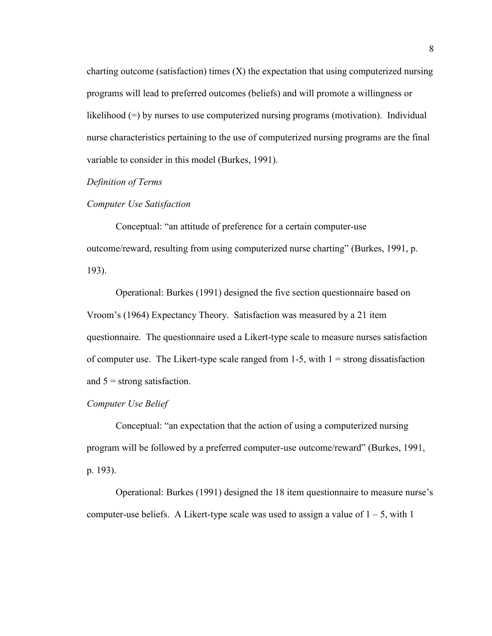charting outcome (satisfaction) times  $(X)$  the expectation that using computerized nursing programs will lead to preferred outcomes (beliefs) and will promote a willingness or likelihood (=) by nurses to use computerized nursing programs (motivation). Individual nurse characteristics pertaining to the use of computerized nursing programs are the final variable to consider in this model (Burkes, 1991).

#### *Definition of Terms*

#### *Computer Use Satisfaction*

Conceptual: "an attitude of preference for a certain computer-use outcome/reward, resulting from using computerized nurse charting" (Burkes, 1991, p. 193).

Operational: Burkes (1991) designed the five section questionnaire based on Vroom's (1964) Expectancy Theory. Satisfaction was measured by a 21 item questionnaire. The questionnaire used a Likert-type scale to measure nurses satisfaction of computer use. The Likert-type scale ranged from  $1-5$ , with  $1 =$  strong dissatisfaction and  $5 =$  strong satisfaction.

#### *Computer Use Belief*

Conceptual: "an expectation that the action of using a computerized nursing program will be followed by a preferred computer-use outcome/reward" (Burkes, 1991, p. 193).

Operational: Burkes (1991) designed the 18 item questionnaire to measure nurse's computer-use beliefs. A Likert-type scale was used to assign a value of  $1 - 5$ , with 1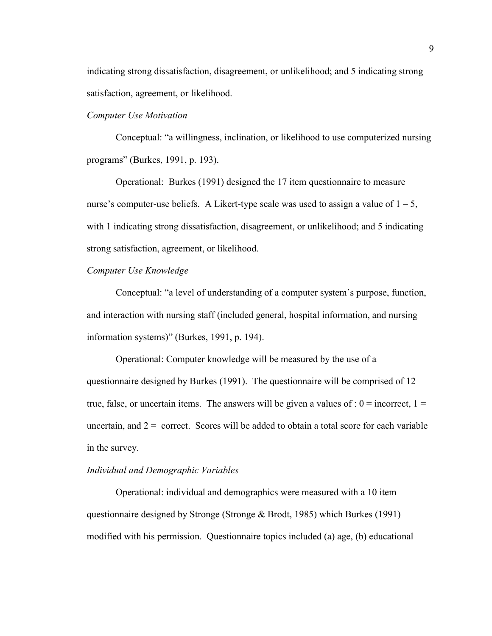indicating strong dissatisfaction, disagreement, or unlikelihood; and 5 indicating strong satisfaction, agreement, or likelihood.

## *Computer Use Motivation*

Conceptual: "a willingness, inclination, or likelihood to use computerized nursing programs" (Burkes, 1991, p. 193).

Operational: Burkes (1991) designed the 17 item questionnaire to measure nurse's computer-use beliefs. A Likert-type scale was used to assign a value of  $1 - 5$ , with 1 indicating strong dissatisfaction, disagreement, or unlikelihood; and 5 indicating strong satisfaction, agreement, or likelihood.

#### *Computer Use Knowledge*

Conceptual: "a level of understanding of a computer system's purpose, function, and interaction with nursing staff (included general, hospital information, and nursing information systems)" (Burkes, 1991, p. 194).

Operational: Computer knowledge will be measured by the use of a questionnaire designed by Burkes (1991). The questionnaire will be comprised of 12 true, false, or uncertain items. The answers will be given a values of :  $0 =$  incorrect,  $1 =$ uncertain, and  $2 =$  correct. Scores will be added to obtain a total score for each variable in the survey.

#### *Individual and Demographic Variables*

Operational: individual and demographics were measured with a 10 item questionnaire designed by Stronge (Stronge & Brodt, 1985) which Burkes (1991) modified with his permission. Questionnaire topics included (a) age, (b) educational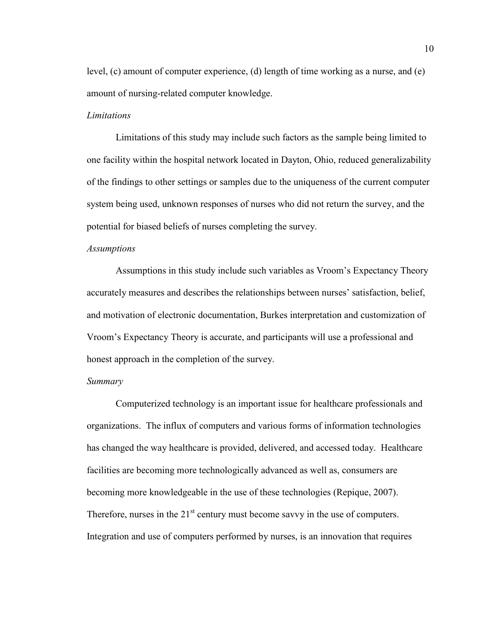level, (c) amount of computer experience, (d) length of time working as a nurse, and (e) amount of nursing-related computer knowledge.

#### *Limitations*

Limitations of this study may include such factors as the sample being limited to one facility within the hospital network located in Dayton, Ohio, reduced generalizability of the findings to other settings or samples due to the uniqueness of the current computer system being used, unknown responses of nurses who did not return the survey, and the potential for biased beliefs of nurses completing the survey.

#### *Assumptions*

Assumptions in this study include such variables as Vroom's Expectancy Theory accurately measures and describes the relationships between nurses' satisfaction, belief, and motivation of electronic documentation, Burkes interpretation and customization of Vroom's Expectancy Theory is accurate, and participants will use a professional and honest approach in the completion of the survey.

#### *Summary*

Computerized technology is an important issue for healthcare professionals and organizations. The influx of computers and various forms of information technologies has changed the way healthcare is provided, delivered, and accessed today. Healthcare facilities are becoming more technologically advanced as well as, consumers are becoming more knowledgeable in the use of these technologies (Repique, 2007). Therefore, nurses in the  $21<sup>st</sup>$  century must become savvy in the use of computers. Integration and use of computers performed by nurses, is an innovation that requires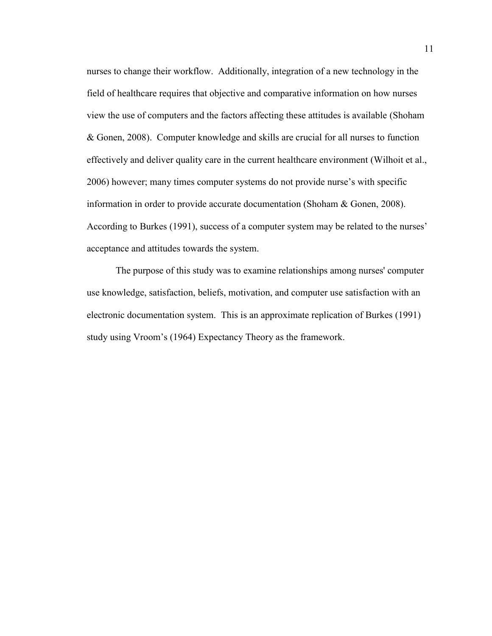nurses to change their workflow. Additionally, integration of a new technology in the field of healthcare requires that objective and comparative information on how nurses view the use of computers and the factors affecting these attitudes is available (Shoham & Gonen, 2008). Computer knowledge and skills are crucial for all nurses to function effectively and deliver quality care in the current healthcare environment (Wilhoit et al., 2006) however; many times computer systems do not provide nurse's with specific information in order to provide accurate documentation (Shoham & Gonen, 2008). According to Burkes (1991), success of a computer system may be related to the nurses' acceptance and attitudes towards the system.

The purpose of this study was to examine relationships among nurses' computer use knowledge, satisfaction, beliefs, motivation, and computer use satisfaction with an electronic documentation system. This is an approximate replication of Burkes (1991) study using Vroom's (1964) Expectancy Theory as the framework.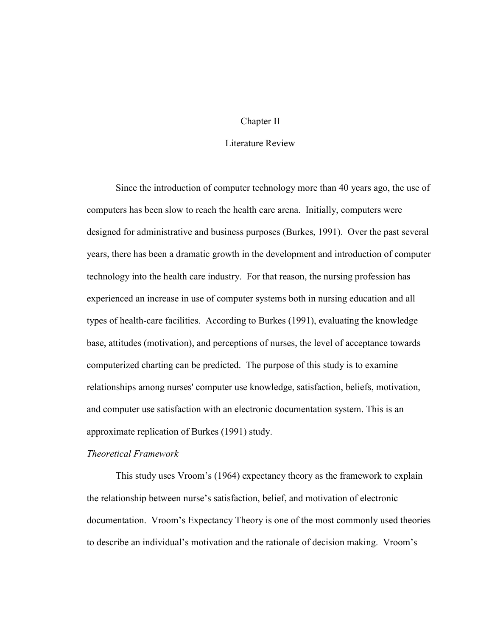#### Chapter II

# Literature Review

Since the introduction of computer technology more than 40 years ago, the use of computers has been slow to reach the health care arena. Initially, computers were designed for administrative and business purposes (Burkes, 1991). Over the past several years, there has been a dramatic growth in the development and introduction of computer technology into the health care industry. For that reason, the nursing profession has experienced an increase in use of computer systems both in nursing education and all types of health-care facilities. According to Burkes (1991), evaluating the knowledge base, attitudes (motivation), and perceptions of nurses, the level of acceptance towards computerized charting can be predicted. The purpose of this study is to examine relationships among nurses' computer use knowledge, satisfaction, beliefs, motivation, and computer use satisfaction with an electronic documentation system. This is an approximate replication of Burkes (1991) study.

#### *Theoretical Framework*

This study uses Vroom's (1964) expectancy theory as the framework to explain the relationship between nurse's satisfaction, belief, and motivation of electronic documentation. Vroom's Expectancy Theory is one of the most commonly used theories to describe an individual's motivation and the rationale of decision making. Vroom's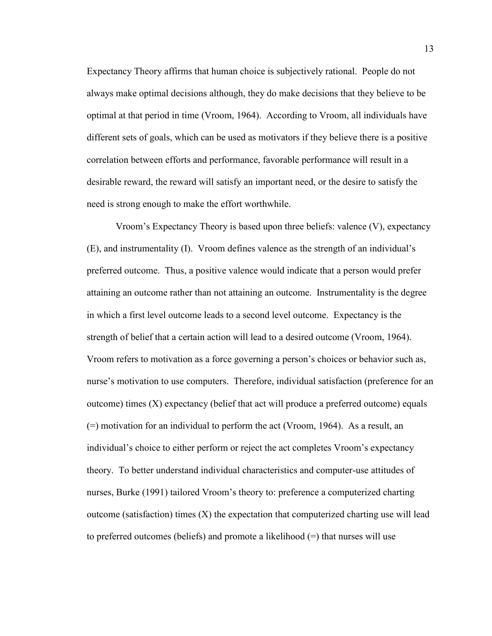Expectancy Theory affirms that human choice is subjectively rational. People do not always make optimal decisions although, they do make decisions that they believe to be optimal at that period in time (Vroom, 1964). According to Vroom, all individuals have different sets of goals, which can be used as motivators if they believe there is a positive correlation between efforts and performance, favorable performance will result in a desirable reward, the reward will satisfy an important need, or the desire to satisfy the need is strong enough to make the effort worthwhile.

Vroom's Expectancy Theory is based upon three beliefs: valence (V), expectancy (E), and instrumentality (I). Vroom defines valence as the strength of an individual's preferred outcome. Thus, a positive valence would indicate that a person would prefer attaining an outcome rather than not attaining an outcome. Instrumentality is the degree in which a first level outcome leads to a second level outcome. Expectancy is the strength of belief that a certain action will lead to a desired outcome (Vroom, 1964). Vroom refers to motivation as a force governing a person's choices or behavior such as, nurse's motivation to use computers. Therefore, individual satisfaction (preference for an outcome) times (X) expectancy (belief that act will produce a preferred outcome) equals (=) motivation for an individual to perform the act (Vroom, 1964). As a result, an individual's choice to either perform or reject the act completes Vroom's expectancy theory. To better understand individual characteristics and computer-use attitudes of nurses, Burke (1991) tailored Vroom's theory to: preference a computerized charting outcome (satisfaction) times  $(X)$  the expectation that computerized charting use will lead to preferred outcomes (beliefs) and promote a likelihood (=) that nurses will use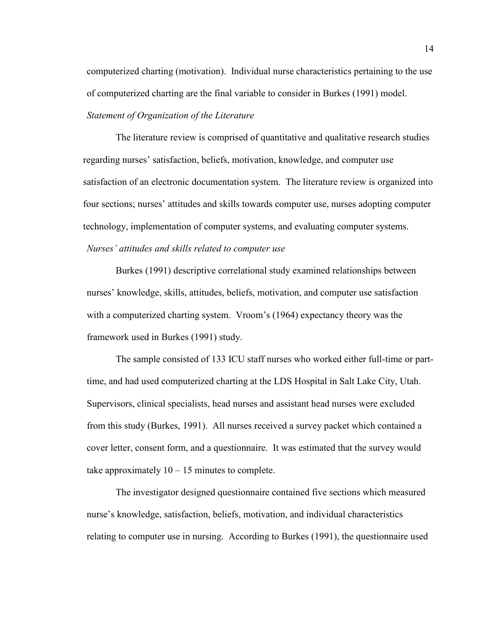computerized charting (motivation). Individual nurse characteristics pertaining to the use of computerized charting are the final variable to consider in Burkes (1991) model.

## *Statement of Organization of the Literature*

The literature review is comprised of quantitative and qualitative research studies regarding nurses' satisfaction, beliefs, motivation, knowledge, and computer use satisfaction of an electronic documentation system. The literature review is organized into four sections; nurses' attitudes and skills towards computer use, nurses adopting computer technology, implementation of computer systems, and evaluating computer systems.

# *Nurses' attitudes and skills related to computer use*

Burkes (1991) descriptive correlational study examined relationships between nurses' knowledge, skills, attitudes, beliefs, motivation, and computer use satisfaction with a computerized charting system. Vroom's (1964) expectancy theory was the framework used in Burkes (1991) study.

The sample consisted of 133 ICU staff nurses who worked either full-time or parttime, and had used computerized charting at the LDS Hospital in Salt Lake City, Utah. Supervisors, clinical specialists, head nurses and assistant head nurses were excluded from this study (Burkes, 1991). All nurses received a survey packet which contained a cover letter, consent form, and a questionnaire. It was estimated that the survey would take approximately  $10 - 15$  minutes to complete.

The investigator designed questionnaire contained five sections which measured nurse's knowledge, satisfaction, beliefs, motivation, and individual characteristics relating to computer use in nursing. According to Burkes (1991), the questionnaire used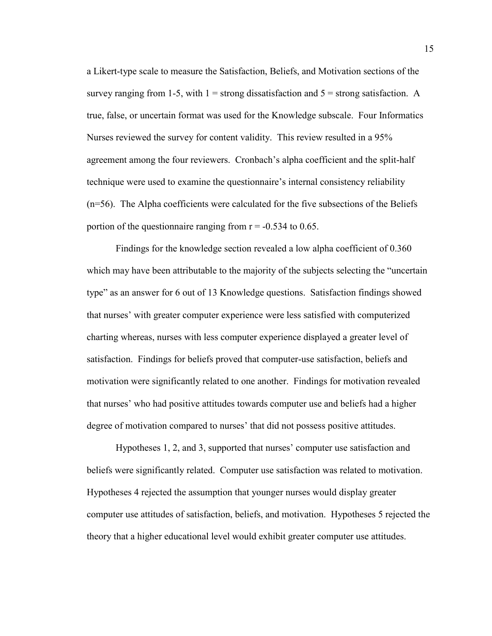a Likert-type scale to measure the Satisfaction, Beliefs, and Motivation sections of the survey ranging from 1-5, with  $1 =$  strong dissatisfaction and  $5 =$  strong satisfaction. A true, false, or uncertain format was used for the Knowledge subscale. Four Informatics Nurses reviewed the survey for content validity. This review resulted in a 95% agreement among the four reviewers. Cronbach's alpha coefficient and the split-half technique were used to examine the questionnaire's internal consistency reliability (n=56). The Alpha coefficients were calculated for the five subsections of the Beliefs portion of the questionnaire ranging from  $r = -0.534$  to 0.65.

Findings for the knowledge section revealed a low alpha coefficient of 0.360 which may have been attributable to the majority of the subjects selecting the "uncertain" type" as an answer for 6 out of 13 Knowledge questions. Satisfaction findings showed that nurses' with greater computer experience were less satisfied with computerized charting whereas, nurses with less computer experience displayed a greater level of satisfaction. Findings for beliefs proved that computer-use satisfaction, beliefs and motivation were significantly related to one another. Findings for motivation revealed that nurses' who had positive attitudes towards computer use and beliefs had a higher degree of motivation compared to nurses' that did not possess positive attitudes.

Hypotheses 1, 2, and 3, supported that nurses' computer use satisfaction and beliefs were significantly related. Computer use satisfaction was related to motivation. Hypotheses 4 rejected the assumption that younger nurses would display greater computer use attitudes of satisfaction, beliefs, and motivation. Hypotheses 5 rejected the theory that a higher educational level would exhibit greater computer use attitudes.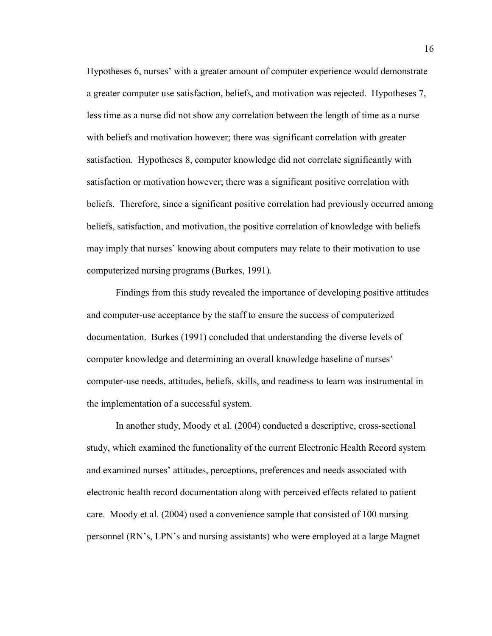Hypotheses 6, nurses' with a greater amount of computer experience would demonstrate a greater computer use satisfaction, beliefs, and motivation was rejected. Hypotheses 7, less time as a nurse did not show any correlation between the length of time as a nurse with beliefs and motivation however; there was significant correlation with greater satisfaction. Hypotheses 8, computer knowledge did not correlate significantly with satisfaction or motivation however; there was a significant positive correlation with beliefs. Therefore, since a significant positive correlation had previously occurred among beliefs, satisfaction, and motivation, the positive correlation of knowledge with beliefs may imply that nurses' knowing about computers may relate to their motivation to use computerized nursing programs (Burkes, 1991).

Findings from this study revealed the importance of developing positive attitudes and computer-use acceptance by the staff to ensure the success of computerized documentation. Burkes (1991) concluded that understanding the diverse levels of computer knowledge and determining an overall knowledge baseline of nurses' computer-use needs, attitudes, beliefs, skills, and readiness to learn was instrumental in the implementation of a successful system.

In another study, Moody et al. (2004) conducted a descriptive, cross-sectional study, which examined the functionality of the current Electronic Health Record system and examined nurses' attitudes, perceptions, preferences and needs associated with electronic health record documentation along with perceived effects related to patient care. Moody et al. (2004) used a convenience sample that consisted of 100 nursing personnel (RN's, LPN's and nursing assistants) who were employed at a large Magnet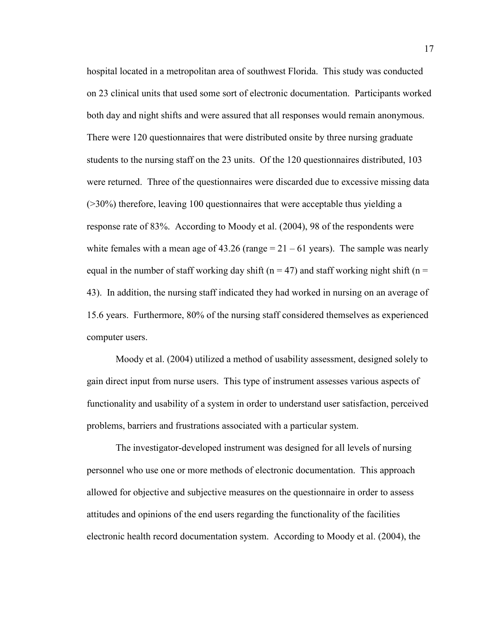hospital located in a metropolitan area of southwest Florida. This study was conducted on 23 clinical units that used some sort of electronic documentation. Participants worked both day and night shifts and were assured that all responses would remain anonymous. There were 120 questionnaires that were distributed onsite by three nursing graduate students to the nursing staff on the 23 units. Of the 120 questionnaires distributed, 103 were returned. Three of the questionnaires were discarded due to excessive missing data (>30%) therefore, leaving 100 questionnaires that were acceptable thus yielding a response rate of 83%. According to Moody et al. (2004), 98 of the respondents were white females with a mean age of  $43.26$  (range  $= 21 - 61$  years). The sample was nearly equal in the number of staff working day shift ( $n = 47$ ) and staff working night shift ( $n =$ 43). In addition, the nursing staff indicated they had worked in nursing on an average of 15.6 years. Furthermore, 80% of the nursing staff considered themselves as experienced computer users.

Moody et al. (2004) utilized a method of usability assessment, designed solely to gain direct input from nurse users. This type of instrument assesses various aspects of functionality and usability of a system in order to understand user satisfaction, perceived problems, barriers and frustrations associated with a particular system.

The investigator-developed instrument was designed for all levels of nursing personnel who use one or more methods of electronic documentation. This approach allowed for objective and subjective measures on the questionnaire in order to assess attitudes and opinions of the end users regarding the functionality of the facilities electronic health record documentation system. According to Moody et al. (2004), the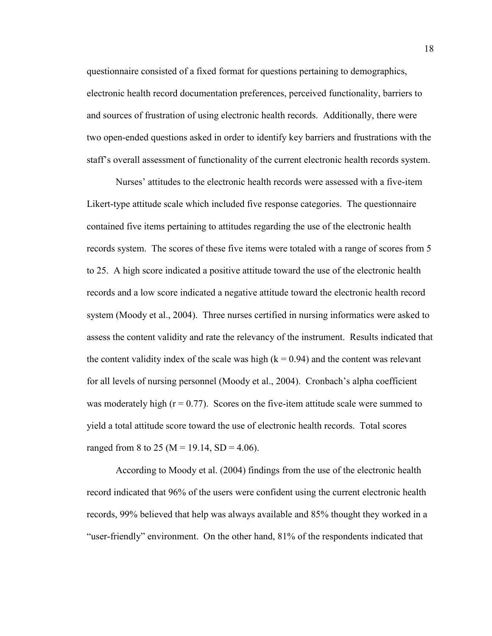questionnaire consisted of a fixed format for questions pertaining to demographics, electronic health record documentation preferences, perceived functionality, barriers to and sources of frustration of using electronic health records. Additionally, there were two open-ended questions asked in order to identify key barriers and frustrations with the staff's overall assessment of functionality of the current electronic health records system.

Nurses' attitudes to the electronic health records were assessed with a five-item Likert-type attitude scale which included five response categories. The questionnaire contained five items pertaining to attitudes regarding the use of the electronic health records system. The scores of these five items were totaled with a range of scores from 5 to 25. A high score indicated a positive attitude toward the use of the electronic health records and a low score indicated a negative attitude toward the electronic health record system (Moody et al., 2004). Three nurses certified in nursing informatics were asked to assess the content validity and rate the relevancy of the instrument. Results indicated that the content validity index of the scale was high  $(k = 0.94)$  and the content was relevant for all levels of nursing personnel (Moody et al., 2004). Cronbach's alpha coefficient was moderately high  $(r = 0.77)$ . Scores on the five-item attitude scale were summed to yield a total attitude score toward the use of electronic health records. Total scores ranged from 8 to 25 (M = 19.14, SD = 4.06).

According to Moody et al. (2004) findings from the use of the electronic health record indicated that 96% of the users were confident using the current electronic health records, 99% believed that help was always available and 85% thought they worked in a "user-friendly" environment. On the other hand, 81% of the respondents indicated that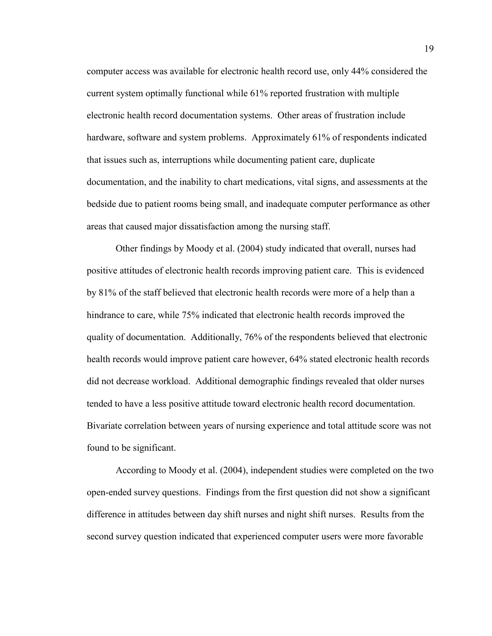computer access was available for electronic health record use, only 44% considered the current system optimally functional while 61% reported frustration with multiple electronic health record documentation systems. Other areas of frustration include hardware, software and system problems. Approximately 61% of respondents indicated that issues such as, interruptions while documenting patient care, duplicate documentation, and the inability to chart medications, vital signs, and assessments at the bedside due to patient rooms being small, and inadequate computer performance as other areas that caused major dissatisfaction among the nursing staff.

Other findings by Moody et al. (2004) study indicated that overall, nurses had positive attitudes of electronic health records improving patient care. This is evidenced by 81% of the staff believed that electronic health records were more of a help than a hindrance to care, while 75% indicated that electronic health records improved the quality of documentation. Additionally, 76% of the respondents believed that electronic health records would improve patient care however, 64% stated electronic health records did not decrease workload. Additional demographic findings revealed that older nurses tended to have a less positive attitude toward electronic health record documentation. Bivariate correlation between years of nursing experience and total attitude score was not found to be significant.

According to Moody et al. (2004), independent studies were completed on the two open-ended survey questions. Findings from the first question did not show a significant difference in attitudes between day shift nurses and night shift nurses. Results from the second survey question indicated that experienced computer users were more favorable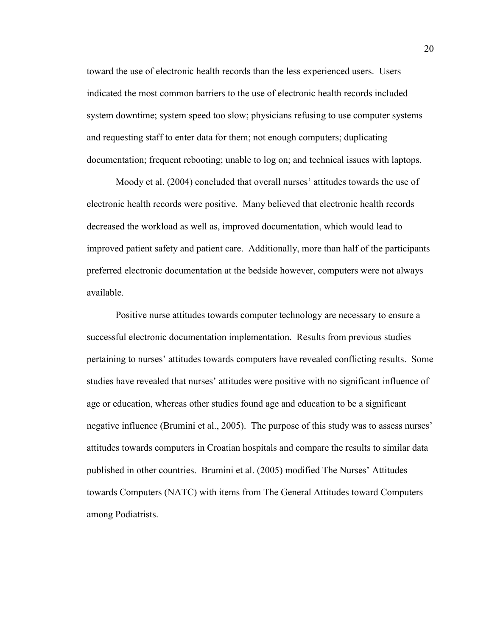toward the use of electronic health records than the less experienced users. Users indicated the most common barriers to the use of electronic health records included system downtime; system speed too slow; physicians refusing to use computer systems and requesting staff to enter data for them; not enough computers; duplicating documentation; frequent rebooting; unable to log on; and technical issues with laptops.

Moody et al. (2004) concluded that overall nurses' attitudes towards the use of electronic health records were positive. Many believed that electronic health records decreased the workload as well as, improved documentation, which would lead to improved patient safety and patient care. Additionally, more than half of the participants preferred electronic documentation at the bedside however, computers were not always available.

Positive nurse attitudes towards computer technology are necessary to ensure a successful electronic documentation implementation. Results from previous studies pertaining to nurses' attitudes towards computers have revealed conflicting results. Some studies have revealed that nurses' attitudes were positive with no significant influence of age or education, whereas other studies found age and education to be a significant negative influence (Brumini et al., 2005). The purpose of this study was to assess nurses' attitudes towards computers in Croatian hospitals and compare the results to similar data published in other countries. Brumini et al. (2005) modified The Nurses' Attitudes towards Computers (NATC) with items from The General Attitudes toward Computers among Podiatrists.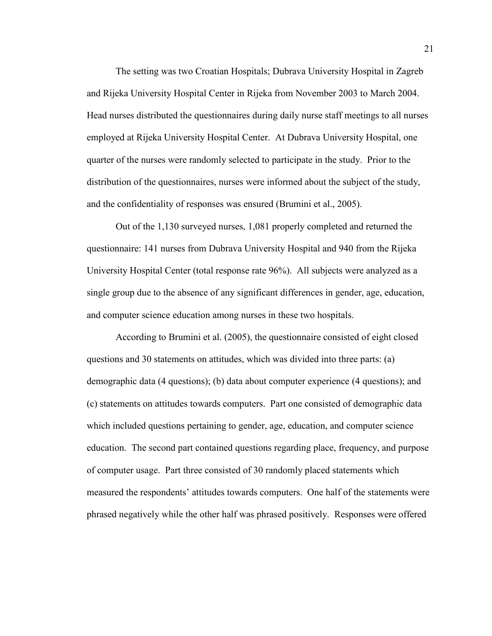The setting was two Croatian Hospitals; Dubrava University Hospital in Zagreb and Rijeka University Hospital Center in Rijeka from November 2003 to March 2004. Head nurses distributed the questionnaires during daily nurse staff meetings to all nurses employed at Rijeka University Hospital Center. At Dubrava University Hospital, one quarter of the nurses were randomly selected to participate in the study. Prior to the distribution of the questionnaires, nurses were informed about the subject of the study, and the confidentiality of responses was ensured (Brumini et al., 2005).

Out of the 1,130 surveyed nurses, 1,081 properly completed and returned the questionnaire: 141 nurses from Dubrava University Hospital and 940 from the Rijeka University Hospital Center (total response rate 96%). All subjects were analyzed as a single group due to the absence of any significant differences in gender, age, education, and computer science education among nurses in these two hospitals.

According to Brumini et al. (2005), the questionnaire consisted of eight closed questions and 30 statements on attitudes, which was divided into three parts: (a) demographic data (4 questions); (b) data about computer experience (4 questions); and (c) statements on attitudes towards computers. Part one consisted of demographic data which included questions pertaining to gender, age, education, and computer science education. The second part contained questions regarding place, frequency, and purpose of computer usage. Part three consisted of 30 randomly placed statements which measured the respondents' attitudes towards computers. One half of the statements were phrased negatively while the other half was phrased positively. Responses were offered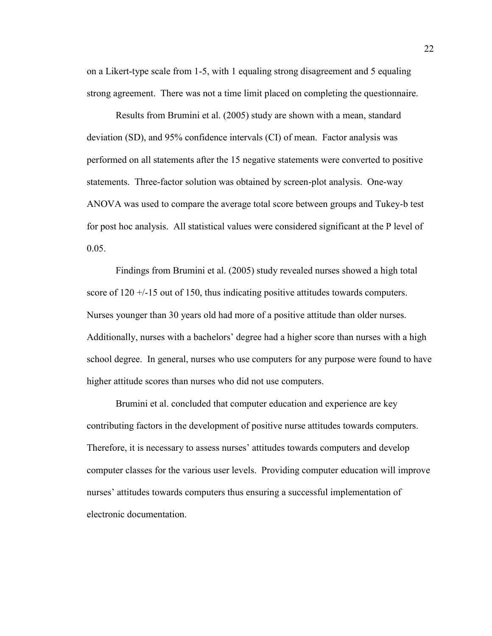on a Likert-type scale from 1-5, with 1 equaling strong disagreement and 5 equaling strong agreement. There was not a time limit placed on completing the questionnaire.

Results from Brumini et al. (2005) study are shown with a mean, standard deviation (SD), and 95% confidence intervals (CI) of mean. Factor analysis was performed on all statements after the 15 negative statements were converted to positive statements. Three-factor solution was obtained by screen-plot analysis. One-way ANOVA was used to compare the average total score between groups and Tukey-b test for post hoc analysis. All statistical values were considered significant at the P level of 0.05.

Findings from Brumini et al. (2005) study revealed nurses showed a high total score of  $120 + (-15)$  out of 150, thus indicating positive attitudes towards computers. Nurses younger than 30 years old had more of a positive attitude than older nurses. Additionally, nurses with a bachelors' degree had a higher score than nurses with a high school degree. In general, nurses who use computers for any purpose were found to have higher attitude scores than nurses who did not use computers.

Brumini et al. concluded that computer education and experience are key contributing factors in the development of positive nurse attitudes towards computers. Therefore, it is necessary to assess nurses' attitudes towards computers and develop computer classes for the various user levels. Providing computer education will improve nurses' attitudes towards computers thus ensuring a successful implementation of electronic documentation.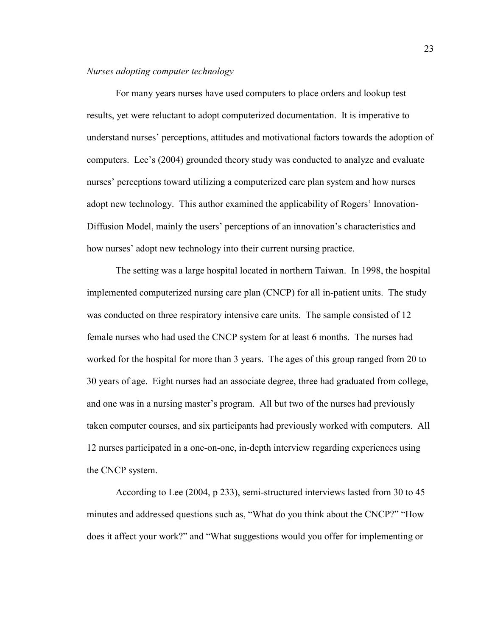#### *Nurses adopting computer technology*

For many years nurses have used computers to place orders and lookup test results, yet were reluctant to adopt computerized documentation. It is imperative to understand nurses' perceptions, attitudes and motivational factors towards the adoption of computers. Lee's (2004) grounded theory study was conducted to analyze and evaluate nurses' perceptions toward utilizing a computerized care plan system and how nurses adopt new technology. This author examined the applicability of Rogers' Innovation-Diffusion Model, mainly the users' perceptions of an innovation's characteristics and how nurses' adopt new technology into their current nursing practice.

The setting was a large hospital located in northern Taiwan. In 1998, the hospital implemented computerized nursing care plan (CNCP) for all in-patient units. The study was conducted on three respiratory intensive care units. The sample consisted of 12 female nurses who had used the CNCP system for at least 6 months. The nurses had worked for the hospital for more than 3 years. The ages of this group ranged from 20 to 30 years of age. Eight nurses had an associate degree, three had graduated from college, and one was in a nursing master's program. All but two of the nurses had previously taken computer courses, and six participants had previously worked with computers. All 12 nurses participated in a one-on-one, in-depth interview regarding experiences using the CNCP system.

According to Lee (2004, p 233), semi-structured interviews lasted from 30 to 45 minutes and addressed questions such as, "What do you think about the CNCP?" "How does it affect your work?" and "What suggestions would you offer for implementing or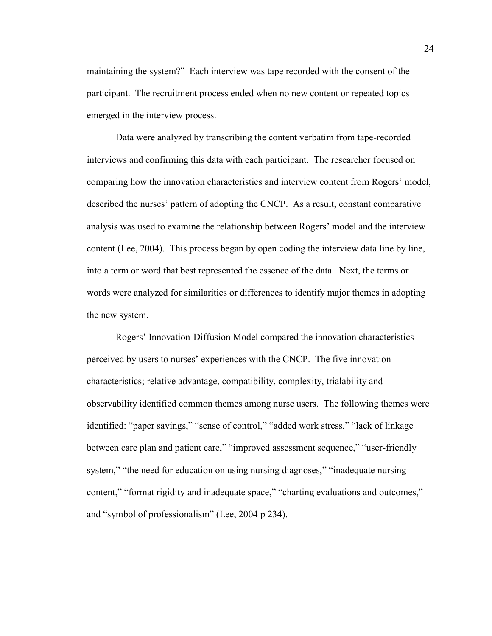maintaining the system?" Each interview was tape recorded with the consent of the participant. The recruitment process ended when no new content or repeated topics emerged in the interview process.

Data were analyzed by transcribing the content verbatim from tape-recorded interviews and confirming this data with each participant. The researcher focused on comparing how the innovation characteristics and interview content from Rogers' model, described the nurses' pattern of adopting the CNCP. As a result, constant comparative analysis was used to examine the relationship between Rogers' model and the interview content (Lee, 2004). This process began by open coding the interview data line by line, into a term or word that best represented the essence of the data. Next, the terms or words were analyzed for similarities or differences to identify major themes in adopting the new system.

Rogers' Innovation-Diffusion Model compared the innovation characteristics perceived by users to nurses' experiences with the CNCP. The five innovation characteristics; relative advantage, compatibility, complexity, trialability and observability identified common themes among nurse users. The following themes were identified: "paper savings," "sense of control," "added work stress," "lack of linkage between care plan and patient care," "improved assessment sequence," "user-friendly system," "the need for education on using nursing diagnoses," "inadequate nursing content," "format rigidity and inadequate space," "charting evaluations and outcomes," and "symbol of professionalism" (Lee, 2004 p 234).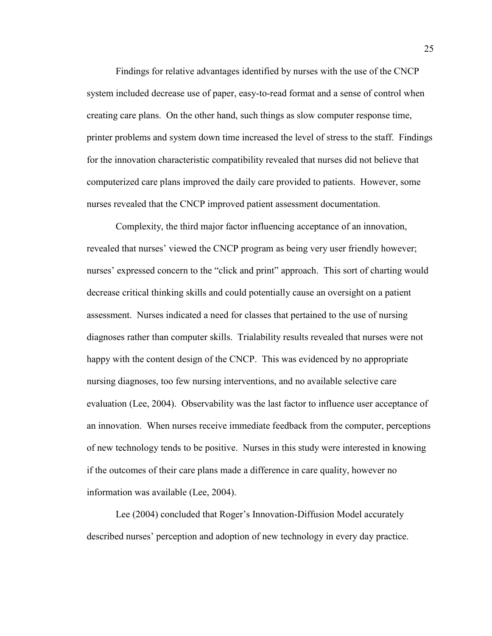Findings for relative advantages identified by nurses with the use of the CNCP system included decrease use of paper, easy-to-read format and a sense of control when creating care plans. On the other hand, such things as slow computer response time, printer problems and system down time increased the level of stress to the staff. Findings for the innovation characteristic compatibility revealed that nurses did not believe that computerized care plans improved the daily care provided to patients. However, some nurses revealed that the CNCP improved patient assessment documentation.

Complexity, the third major factor influencing acceptance of an innovation, revealed that nurses' viewed the CNCP program as being very user friendly however; nurses' expressed concern to the "click and print" approach. This sort of charting would decrease critical thinking skills and could potentially cause an oversight on a patient assessment. Nurses indicated a need for classes that pertained to the use of nursing diagnoses rather than computer skills. Trialability results revealed that nurses were not happy with the content design of the CNCP. This was evidenced by no appropriate nursing diagnoses, too few nursing interventions, and no available selective care evaluation (Lee, 2004). Observability was the last factor to influence user acceptance of an innovation. When nurses receive immediate feedback from the computer, perceptions of new technology tends to be positive. Nurses in this study were interested in knowing if the outcomes of their care plans made a difference in care quality, however no information was available (Lee, 2004).

Lee (2004) concluded that Roger's Innovation-Diffusion Model accurately described nurses' perception and adoption of new technology in every day practice.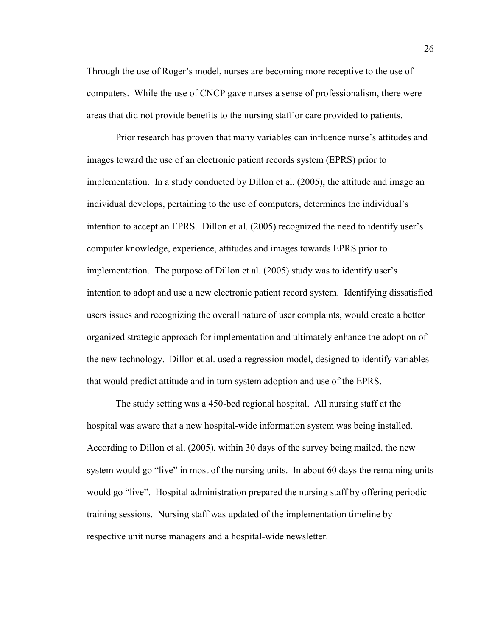Through the use of Roger's model, nurses are becoming more receptive to the use of computers. While the use of CNCP gave nurses a sense of professionalism, there were areas that did not provide benefits to the nursing staff or care provided to patients.

Prior research has proven that many variables can influence nurse's attitudes and images toward the use of an electronic patient records system (EPRS) prior to implementation. In a study conducted by Dillon et al. (2005), the attitude and image an individual develops, pertaining to the use of computers, determines the individual's intention to accept an EPRS. Dillon et al. (2005) recognized the need to identify user's computer knowledge, experience, attitudes and images towards EPRS prior to implementation. The purpose of Dillon et al. (2005) study was to identify user's intention to adopt and use a new electronic patient record system. Identifying dissatisfied users issues and recognizing the overall nature of user complaints, would create a better organized strategic approach for implementation and ultimately enhance the adoption of the new technology. Dillon et al. used a regression model, designed to identify variables that would predict attitude and in turn system adoption and use of the EPRS.

The study setting was a 450-bed regional hospital. All nursing staff at the hospital was aware that a new hospital-wide information system was being installed. According to Dillon et al. (2005), within 30 days of the survey being mailed, the new system would go "live" in most of the nursing units. In about 60 days the remaining units would go "live". Hospital administration prepared the nursing staff by offering periodic training sessions. Nursing staff was updated of the implementation timeline by respective unit nurse managers and a hospital-wide newsletter.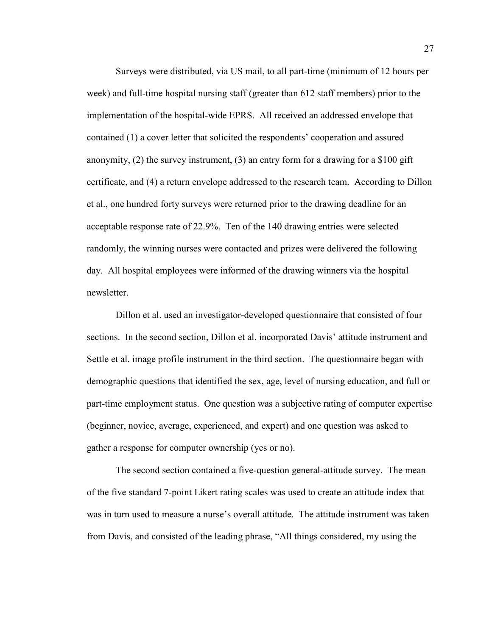Surveys were distributed, via US mail, to all part-time (minimum of 12 hours per week) and full-time hospital nursing staff (greater than 612 staff members) prior to the implementation of the hospital-wide EPRS. All received an addressed envelope that contained (1) a cover letter that solicited the respondents' cooperation and assured anonymity, (2) the survey instrument, (3) an entry form for a drawing for a \$100 gift certificate, and (4) a return envelope addressed to the research team. According to Dillon et al., one hundred forty surveys were returned prior to the drawing deadline for an acceptable response rate of 22.9%. Ten of the 140 drawing entries were selected randomly, the winning nurses were contacted and prizes were delivered the following day. All hospital employees were informed of the drawing winners via the hospital newsletter.

Dillon et al. used an investigator-developed questionnaire that consisted of four sections. In the second section, Dillon et al. incorporated Davis' attitude instrument and Settle et al. image profile instrument in the third section. The questionnaire began with demographic questions that identified the sex, age, level of nursing education, and full or part-time employment status. One question was a subjective rating of computer expertise (beginner, novice, average, experienced, and expert) and one question was asked to gather a response for computer ownership (yes or no).

The second section contained a five-question general-attitude survey. The mean of the five standard 7-point Likert rating scales was used to create an attitude index that was in turn used to measure a nurse's overall attitude. The attitude instrument was taken from Davis, and consisted of the leading phrase, "All things considered, my using the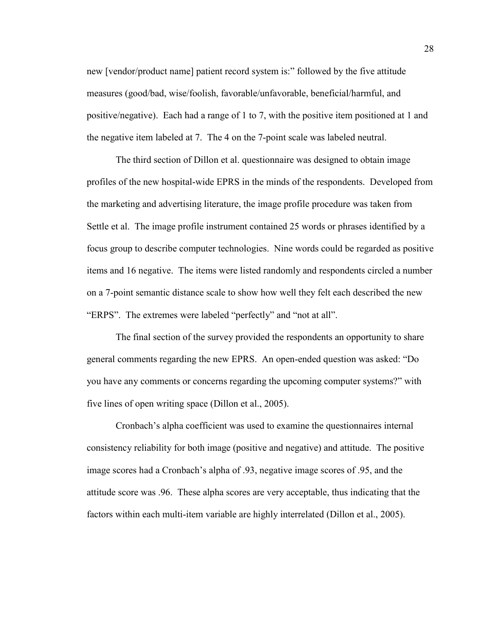new [vendor/product name] patient record system is:" followed by the five attitude measures (good/bad, wise/foolish, favorable/unfavorable, beneficial/harmful, and positive/negative). Each had a range of 1 to 7, with the positive item positioned at 1 and the negative item labeled at 7. The 4 on the 7-point scale was labeled neutral.

The third section of Dillon et al. questionnaire was designed to obtain image profiles of the new hospital-wide EPRS in the minds of the respondents. Developed from the marketing and advertising literature, the image profile procedure was taken from Settle et al. The image profile instrument contained 25 words or phrases identified by a focus group to describe computer technologies. Nine words could be regarded as positive items and 16 negative. The items were listed randomly and respondents circled a number on a 7-point semantic distance scale to show how well they felt each described the new "ERPS". The extremes were labeled "perfectly" and "not at all".

The final section of the survey provided the respondents an opportunity to share general comments regarding the new EPRS. An open-ended question was asked: "Do you have any comments or concerns regarding the upcoming computer systems?" with five lines of open writing space (Dillon et al., 2005).

Cronbach's alpha coefficient was used to examine the questionnaires internal consistency reliability for both image (positive and negative) and attitude. The positive image scores had a Cronbach's alpha of .93, negative image scores of .95, and the attitude score was .96. These alpha scores are very acceptable, thus indicating that the factors within each multi-item variable are highly interrelated (Dillon et al., 2005).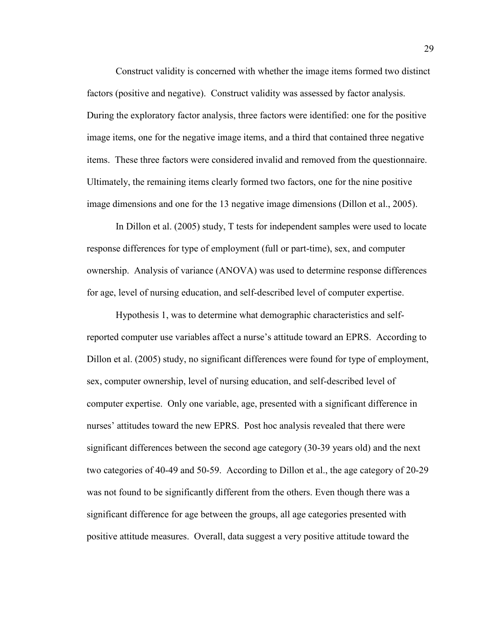Construct validity is concerned with whether the image items formed two distinct factors (positive and negative). Construct validity was assessed by factor analysis. During the exploratory factor analysis, three factors were identified: one for the positive image items, one for the negative image items, and a third that contained three negative items. These three factors were considered invalid and removed from the questionnaire. Ultimately, the remaining items clearly formed two factors, one for the nine positive image dimensions and one for the 13 negative image dimensions (Dillon et al., 2005).

In Dillon et al. (2005) study, T tests for independent samples were used to locate response differences for type of employment (full or part-time), sex, and computer ownership. Analysis of variance (ANOVA) was used to determine response differences for age, level of nursing education, and self-described level of computer expertise.

Hypothesis 1, was to determine what demographic characteristics and selfreported computer use variables affect a nurse's attitude toward an EPRS. According to Dillon et al. (2005) study, no significant differences were found for type of employment, sex, computer ownership, level of nursing education, and self-described level of computer expertise. Only one variable, age, presented with a significant difference in nurses' attitudes toward the new EPRS. Post hoc analysis revealed that there were significant differences between the second age category (30-39 years old) and the next two categories of 40-49 and 50-59. According to Dillon et al., the age category of 20-29 was not found to be significantly different from the others. Even though there was a significant difference for age between the groups, all age categories presented with positive attitude measures. Overall, data suggest a very positive attitude toward the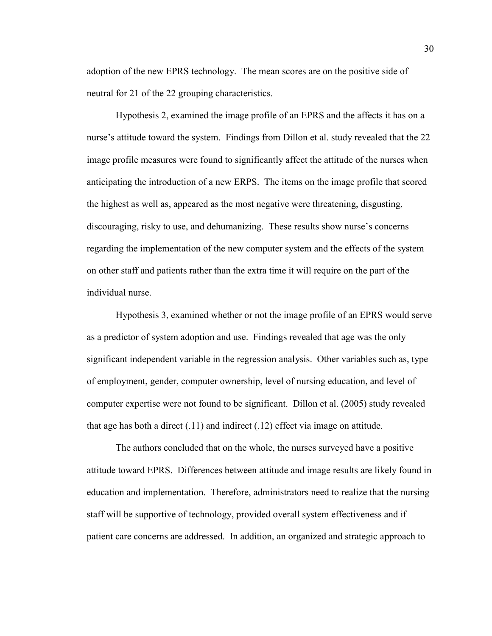adoption of the new EPRS technology. The mean scores are on the positive side of neutral for 21 of the 22 grouping characteristics.

Hypothesis 2, examined the image profile of an EPRS and the affects it has on a nurse's attitude toward the system. Findings from Dillon et al. study revealed that the 22 image profile measures were found to significantly affect the attitude of the nurses when anticipating the introduction of a new ERPS. The items on the image profile that scored the highest as well as, appeared as the most negative were threatening, disgusting, discouraging, risky to use, and dehumanizing. These results show nurse's concerns regarding the implementation of the new computer system and the effects of the system on other staff and patients rather than the extra time it will require on the part of the individual nurse.

Hypothesis 3, examined whether or not the image profile of an EPRS would serve as a predictor of system adoption and use. Findings revealed that age was the only significant independent variable in the regression analysis. Other variables such as, type of employment, gender, computer ownership, level of nursing education, and level of computer expertise were not found to be significant. Dillon et al. (2005) study revealed that age has both a direct (.11) and indirect (.12) effect via image on attitude.

The authors concluded that on the whole, the nurses surveyed have a positive attitude toward EPRS. Differences between attitude and image results are likely found in education and implementation. Therefore, administrators need to realize that the nursing staff will be supportive of technology, provided overall system effectiveness and if patient care concerns are addressed. In addition, an organized and strategic approach to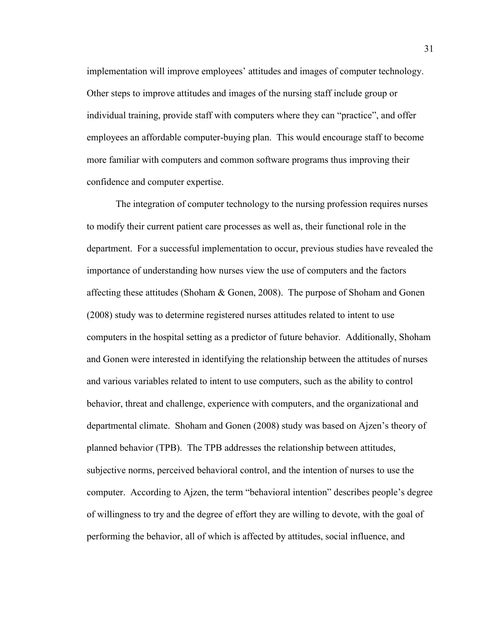implementation will improve employees' attitudes and images of computer technology. Other steps to improve attitudes and images of the nursing staff include group or individual training, provide staff with computers where they can "practice", and offer employees an affordable computer-buying plan. This would encourage staff to become more familiar with computers and common software programs thus improving their confidence and computer expertise.

The integration of computer technology to the nursing profession requires nurses to modify their current patient care processes as well as, their functional role in the department. For a successful implementation to occur, previous studies have revealed the importance of understanding how nurses view the use of computers and the factors affecting these attitudes (Shoham  $\&$  Gonen, 2008). The purpose of Shoham and Gonen (2008) study was to determine registered nurses attitudes related to intent to use computers in the hospital setting as a predictor of future behavior. Additionally, Shoham and Gonen were interested in identifying the relationship between the attitudes of nurses and various variables related to intent to use computers, such as the ability to control behavior, threat and challenge, experience with computers, and the organizational and departmental climate. Shoham and Gonen (2008) study was based on Ajzen's theory of planned behavior (TPB). The TPB addresses the relationship between attitudes, subjective norms, perceived behavioral control, and the intention of nurses to use the computer. According to Ajzen, the term "behavioral intention" describes people's degree of willingness to try and the degree of effort they are willing to devote, with the goal of performing the behavior, all of which is affected by attitudes, social influence, and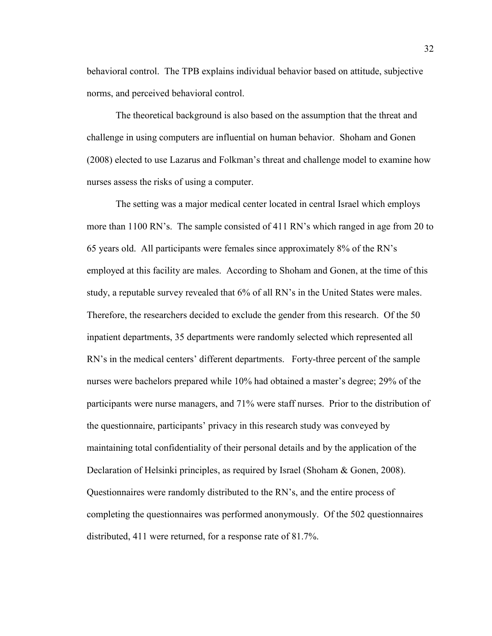behavioral control. The TPB explains individual behavior based on attitude, subjective norms, and perceived behavioral control.

The theoretical background is also based on the assumption that the threat and challenge in using computers are influential on human behavior. Shoham and Gonen (2008) elected to use Lazarus and Folkman's threat and challenge model to examine how nurses assess the risks of using a computer.

The setting was a major medical center located in central Israel which employs more than 1100 RN's. The sample consisted of 411 RN's which ranged in age from 20 to 65 years old. All participants were females since approximately 8% of the RN's employed at this facility are males. According to Shoham and Gonen, at the time of this study, a reputable survey revealed that 6% of all RN's in the United States were males. Therefore, the researchers decided to exclude the gender from this research. Of the 50 inpatient departments, 35 departments were randomly selected which represented all RN's in the medical centers' different departments. Forty-three percent of the sample nurses were bachelors prepared while 10% had obtained a master's degree; 29% of the participants were nurse managers, and 71% were staff nurses. Prior to the distribution of the questionnaire, participants' privacy in this research study was conveyed by maintaining total confidentiality of their personal details and by the application of the Declaration of Helsinki principles, as required by Israel (Shoham & Gonen, 2008). Questionnaires were randomly distributed to the RN's, and the entire process of completing the questionnaires was performed anonymously. Of the 502 questionnaires distributed, 411 were returned, for a response rate of 81.7%.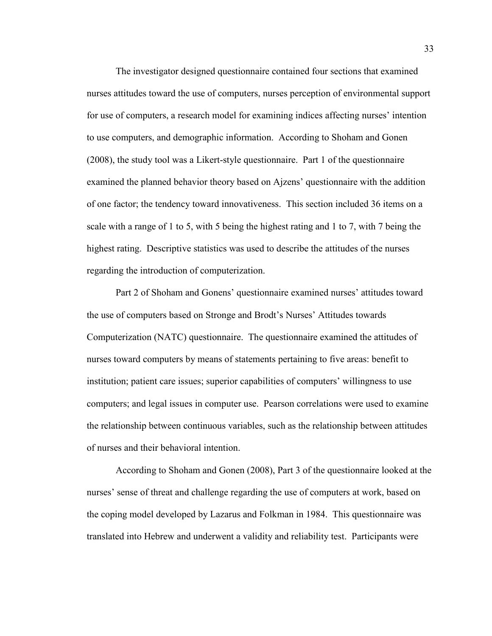The investigator designed questionnaire contained four sections that examined nurses attitudes toward the use of computers, nurses perception of environmental support for use of computers, a research model for examining indices affecting nurses' intention to use computers, and demographic information. According to Shoham and Gonen (2008), the study tool was a Likert-style questionnaire. Part 1 of the questionnaire examined the planned behavior theory based on Ajzens' questionnaire with the addition of one factor; the tendency toward innovativeness. This section included 36 items on a scale with a range of 1 to 5, with 5 being the highest rating and 1 to 7, with 7 being the highest rating. Descriptive statistics was used to describe the attitudes of the nurses regarding the introduction of computerization.

Part 2 of Shoham and Gonens' questionnaire examined nurses' attitudes toward the use of computers based on Stronge and Brodt's Nurses' Attitudes towards Computerization (NATC) questionnaire. The questionnaire examined the attitudes of nurses toward computers by means of statements pertaining to five areas: benefit to institution; patient care issues; superior capabilities of computers' willingness to use computers; and legal issues in computer use. Pearson correlations were used to examine the relationship between continuous variables, such as the relationship between attitudes of nurses and their behavioral intention.

According to Shoham and Gonen (2008), Part 3 of the questionnaire looked at the nurses' sense of threat and challenge regarding the use of computers at work, based on the coping model developed by Lazarus and Folkman in 1984. This questionnaire was translated into Hebrew and underwent a validity and reliability test. Participants were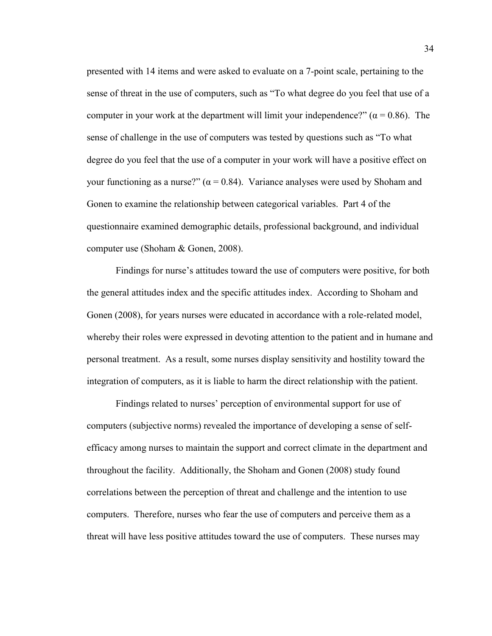presented with 14 items and were asked to evaluate on a 7-point scale, pertaining to the sense of threat in the use of computers, such as "To what degree do you feel that use of a computer in your work at the department will limit your independence?"  $(\alpha = 0.86)$ . The sense of challenge in the use of computers was tested by questions such as "To what degree do you feel that the use of a computer in your work will have a positive effect on your functioning as a nurse?" ( $\alpha$  = 0.84). Variance analyses were used by Shoham and Gonen to examine the relationship between categorical variables. Part 4 of the questionnaire examined demographic details, professional background, and individual computer use (Shoham & Gonen, 2008).

Findings for nurse's attitudes toward the use of computers were positive, for both the general attitudes index and the specific attitudes index. According to Shoham and Gonen (2008), for years nurses were educated in accordance with a role-related model, whereby their roles were expressed in devoting attention to the patient and in humane and personal treatment. As a result, some nurses display sensitivity and hostility toward the integration of computers, as it is liable to harm the direct relationship with the patient.

Findings related to nurses' perception of environmental support for use of computers (subjective norms) revealed the importance of developing a sense of selfefficacy among nurses to maintain the support and correct climate in the department and throughout the facility. Additionally, the Shoham and Gonen (2008) study found correlations between the perception of threat and challenge and the intention to use computers. Therefore, nurses who fear the use of computers and perceive them as a threat will have less positive attitudes toward the use of computers. These nurses may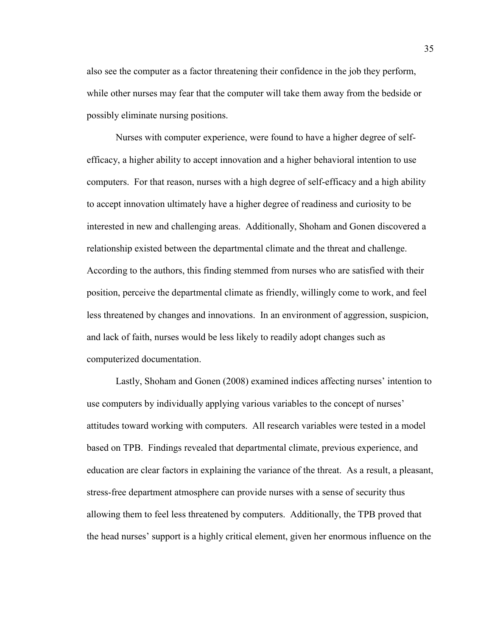also see the computer as a factor threatening their confidence in the job they perform, while other nurses may fear that the computer will take them away from the bedside or possibly eliminate nursing positions.

Nurses with computer experience, were found to have a higher degree of selfefficacy, a higher ability to accept innovation and a higher behavioral intention to use computers. For that reason, nurses with a high degree of self-efficacy and a high ability to accept innovation ultimately have a higher degree of readiness and curiosity to be interested in new and challenging areas. Additionally, Shoham and Gonen discovered a relationship existed between the departmental climate and the threat and challenge. According to the authors, this finding stemmed from nurses who are satisfied with their position, perceive the departmental climate as friendly, willingly come to work, and feel less threatened by changes and innovations. In an environment of aggression, suspicion, and lack of faith, nurses would be less likely to readily adopt changes such as computerized documentation.

Lastly, Shoham and Gonen (2008) examined indices affecting nurses' intention to use computers by individually applying various variables to the concept of nurses' attitudes toward working with computers. All research variables were tested in a model based on TPB. Findings revealed that departmental climate, previous experience, and education are clear factors in explaining the variance of the threat. As a result, a pleasant, stress-free department atmosphere can provide nurses with a sense of security thus allowing them to feel less threatened by computers. Additionally, the TPB proved that the head nurses' support is a highly critical element, given her enormous influence on the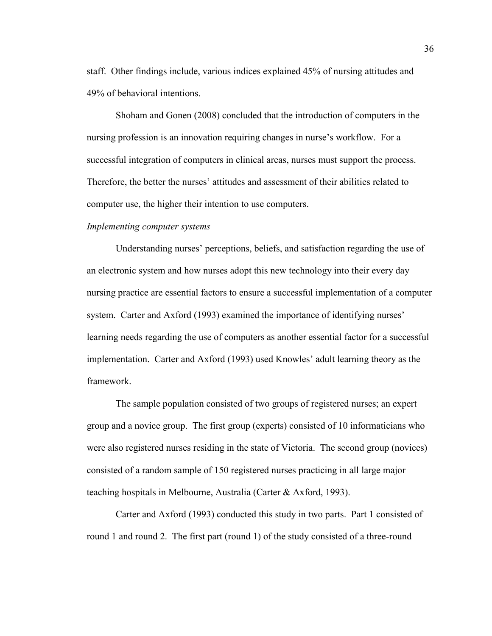staff. Other findings include, various indices explained 45% of nursing attitudes and 49% of behavioral intentions.

Shoham and Gonen (2008) concluded that the introduction of computers in the nursing profession is an innovation requiring changes in nurse's workflow. For a successful integration of computers in clinical areas, nurses must support the process. Therefore, the better the nurses' attitudes and assessment of their abilities related to computer use, the higher their intention to use computers.

## *Implementing computer systems*

Understanding nurses' perceptions, beliefs, and satisfaction regarding the use of an electronic system and how nurses adopt this new technology into their every day nursing practice are essential factors to ensure a successful implementation of a computer system. Carter and Axford (1993) examined the importance of identifying nurses' learning needs regarding the use of computers as another essential factor for a successful implementation. Carter and Axford (1993) used Knowles' adult learning theory as the framework.

The sample population consisted of two groups of registered nurses; an expert group and a novice group. The first group (experts) consisted of 10 informaticians who were also registered nurses residing in the state of Victoria. The second group (novices) consisted of a random sample of 150 registered nurses practicing in all large major teaching hospitals in Melbourne, Australia (Carter & Axford, 1993).

Carter and Axford (1993) conducted this study in two parts. Part 1 consisted of round 1 and round 2. The first part (round 1) of the study consisted of a three-round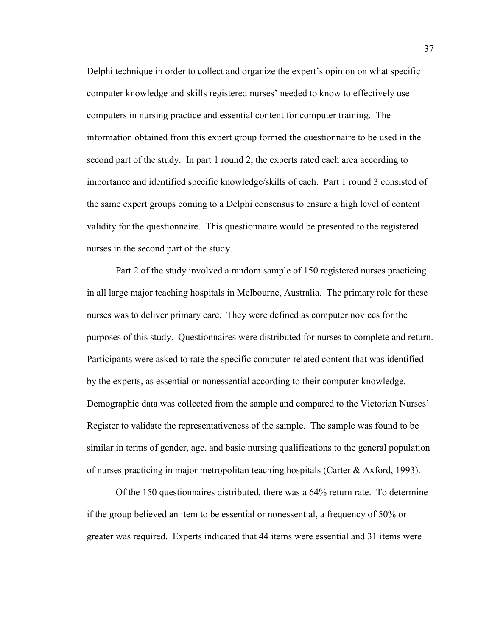Delphi technique in order to collect and organize the expert's opinion on what specific computer knowledge and skills registered nurses' needed to know to effectively use computers in nursing practice and essential content for computer training. The information obtained from this expert group formed the questionnaire to be used in the second part of the study. In part 1 round 2, the experts rated each area according to importance and identified specific knowledge/skills of each. Part 1 round 3 consisted of the same expert groups coming to a Delphi consensus to ensure a high level of content validity for the questionnaire. This questionnaire would be presented to the registered nurses in the second part of the study.

Part 2 of the study involved a random sample of 150 registered nurses practicing in all large major teaching hospitals in Melbourne, Australia. The primary role for these nurses was to deliver primary care. They were defined as computer novices for the purposes of this study. Questionnaires were distributed for nurses to complete and return. Participants were asked to rate the specific computer-related content that was identified by the experts, as essential or nonessential according to their computer knowledge. Demographic data was collected from the sample and compared to the Victorian Nurses' Register to validate the representativeness of the sample. The sample was found to be similar in terms of gender, age, and basic nursing qualifications to the general population of nurses practicing in major metropolitan teaching hospitals (Carter & Axford, 1993).

Of the 150 questionnaires distributed, there was a 64% return rate. To determine if the group believed an item to be essential or nonessential, a frequency of 50% or greater was required. Experts indicated that 44 items were essential and 31 items were

37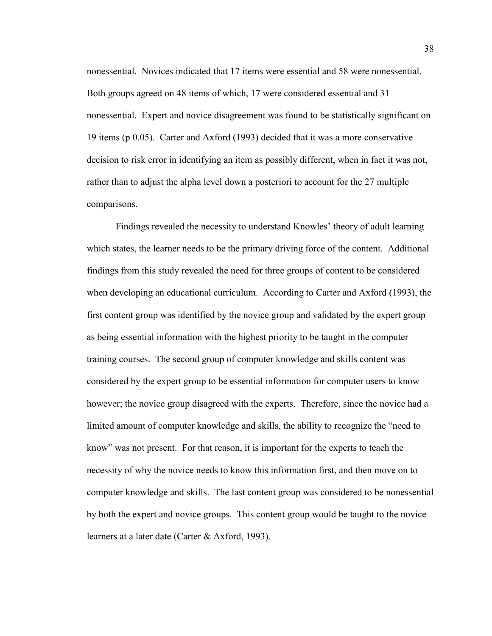nonessential. Novices indicated that 17 items were essential and 58 were nonessential. Both groups agreed on 48 items of which, 17 were considered essential and 31 nonessential. Expert and novice disagreement was found to be statistically significant on 19 items (p 0.05). Carter and Axford (1993) decided that it was a more conservative decision to risk error in identifying an item as possibly different, when in fact it was not, rather than to adjust the alpha level down a posteriori to account for the 27 multiple comparisons.

Findings revealed the necessity to understand Knowles' theory of adult learning which states, the learner needs to be the primary driving force of the content. Additional findings from this study revealed the need for three groups of content to be considered when developing an educational curriculum. According to Carter and Axford (1993), the first content group was identified by the novice group and validated by the expert group as being essential information with the highest priority to be taught in the computer training courses. The second group of computer knowledge and skills content was considered by the expert group to be essential information for computer users to know however; the novice group disagreed with the experts. Therefore, since the novice had a limited amount of computer knowledge and skills, the ability to recognize the "need to know" was not present. For that reason, it is important for the experts to teach the necessity of why the novice needs to know this information first, and then move on to computer knowledge and skills. The last content group was considered to be nonessential by both the expert and novice groups. This content group would be taught to the novice learners at a later date (Carter & Axford, 1993).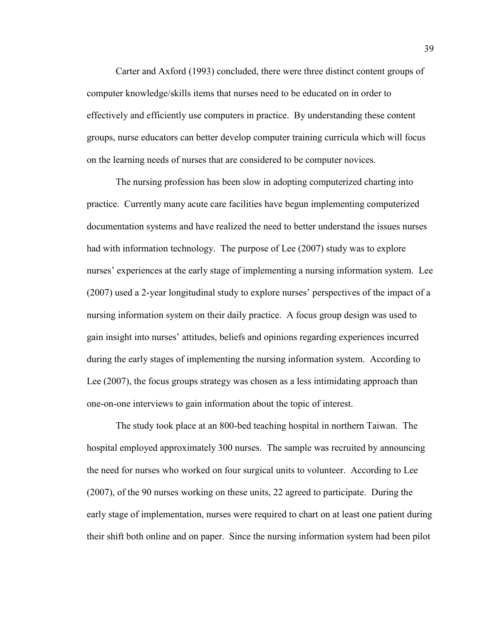Carter and Axford (1993) concluded, there were three distinct content groups of computer knowledge/skills items that nurses need to be educated on in order to effectively and efficiently use computers in practice. By understanding these content groups, nurse educators can better develop computer training curricula which will focus on the learning needs of nurses that are considered to be computer novices.

The nursing profession has been slow in adopting computerized charting into practice. Currently many acute care facilities have begun implementing computerized documentation systems and have realized the need to better understand the issues nurses had with information technology. The purpose of Lee (2007) study was to explore nurses' experiences at the early stage of implementing a nursing information system. Lee (2007) used a 2-year longitudinal study to explore nurses' perspectives of the impact of a nursing information system on their daily practice. A focus group design was used to gain insight into nurses' attitudes, beliefs and opinions regarding experiences incurred during the early stages of implementing the nursing information system. According to Lee (2007), the focus groups strategy was chosen as a less intimidating approach than one-on-one interviews to gain information about the topic of interest.

The study took place at an 800-bed teaching hospital in northern Taiwan. The hospital employed approximately 300 nurses. The sample was recruited by announcing the need for nurses who worked on four surgical units to volunteer. According to Lee (2007), of the 90 nurses working on these units, 22 agreed to participate. During the early stage of implementation, nurses were required to chart on at least one patient during their shift both online and on paper. Since the nursing information system had been pilot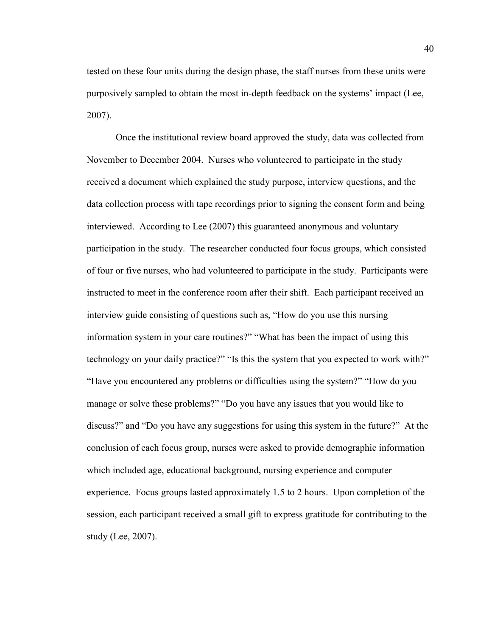tested on these four units during the design phase, the staff nurses from these units were purposively sampled to obtain the most in-depth feedback on the systems' impact (Lee, 2007).

Once the institutional review board approved the study, data was collected from November to December 2004. Nurses who volunteered to participate in the study received a document which explained the study purpose, interview questions, and the data collection process with tape recordings prior to signing the consent form and being interviewed. According to Lee (2007) this guaranteed anonymous and voluntary participation in the study. The researcher conducted four focus groups, which consisted of four or five nurses, who had volunteered to participate in the study. Participants were instructed to meet in the conference room after their shift. Each participant received an interview guide consisting of questions such as, "How do you use this nursing information system in your care routines?" "What has been the impact of using this technology on your daily practice?" "Is this the system that you expected to work with?" "Have you encountered any problems or difficulties using the system?" "How do you manage or solve these problems?" "Do you have any issues that you would like to discuss?" and "Do you have any suggestions for using this system in the future?" At the conclusion of each focus group, nurses were asked to provide demographic information which included age, educational background, nursing experience and computer experience. Focus groups lasted approximately 1.5 to 2 hours. Upon completion of the session, each participant received a small gift to express gratitude for contributing to the study (Lee, 2007).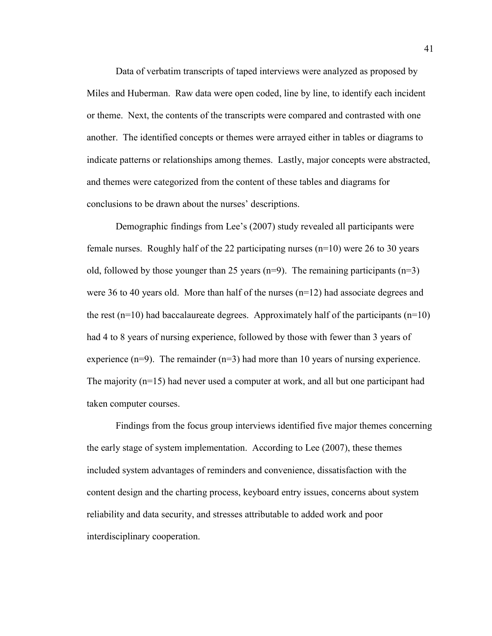Data of verbatim transcripts of taped interviews were analyzed as proposed by Miles and Huberman. Raw data were open coded, line by line, to identify each incident or theme. Next, the contents of the transcripts were compared and contrasted with one another. The identified concepts or themes were arrayed either in tables or diagrams to indicate patterns or relationships among themes. Lastly, major concepts were abstracted, and themes were categorized from the content of these tables and diagrams for conclusions to be drawn about the nurses' descriptions.

Demographic findings from Lee's (2007) study revealed all participants were female nurses. Roughly half of the 22 participating nurses (n=10) were 26 to 30 years old, followed by those younger than 25 years ( $n=9$ ). The remaining participants ( $n=3$ ) were 36 to 40 years old. More than half of the nurses (n=12) had associate degrees and the rest (n=10) had baccalaureate degrees. Approximately half of the participants (n=10) had 4 to 8 years of nursing experience, followed by those with fewer than 3 years of experience  $(n=9)$ . The remainder  $(n=3)$  had more than 10 years of nursing experience. The majority (n=15) had never used a computer at work, and all but one participant had taken computer courses.

Findings from the focus group interviews identified five major themes concerning the early stage of system implementation. According to Lee (2007), these themes included system advantages of reminders and convenience, dissatisfaction with the content design and the charting process, keyboard entry issues, concerns about system reliability and data security, and stresses attributable to added work and poor interdisciplinary cooperation.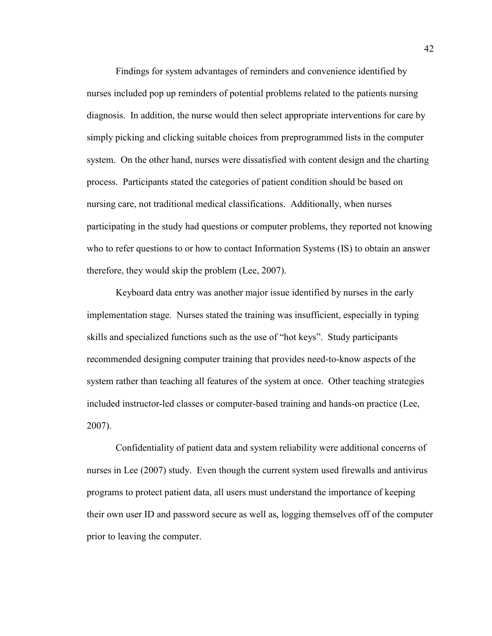Findings for system advantages of reminders and convenience identified by nurses included pop up reminders of potential problems related to the patients nursing diagnosis. In addition, the nurse would then select appropriate interventions for care by simply picking and clicking suitable choices from preprogrammed lists in the computer system. On the other hand, nurses were dissatisfied with content design and the charting process. Participants stated the categories of patient condition should be based on nursing care, not traditional medical classifications. Additionally, when nurses participating in the study had questions or computer problems, they reported not knowing who to refer questions to or how to contact Information Systems (IS) to obtain an answer therefore, they would skip the problem (Lee, 2007).

Keyboard data entry was another major issue identified by nurses in the early implementation stage. Nurses stated the training was insufficient, especially in typing skills and specialized functions such as the use of "hot keys". Study participants recommended designing computer training that provides need-to-know aspects of the system rather than teaching all features of the system at once. Other teaching strategies included instructor-led classes or computer-based training and hands-on practice (Lee, 2007).

Confidentiality of patient data and system reliability were additional concerns of nurses in Lee (2007) study. Even though the current system used firewalls and antivirus programs to protect patient data, all users must understand the importance of keeping their own user ID and password secure as well as, logging themselves off of the computer prior to leaving the computer.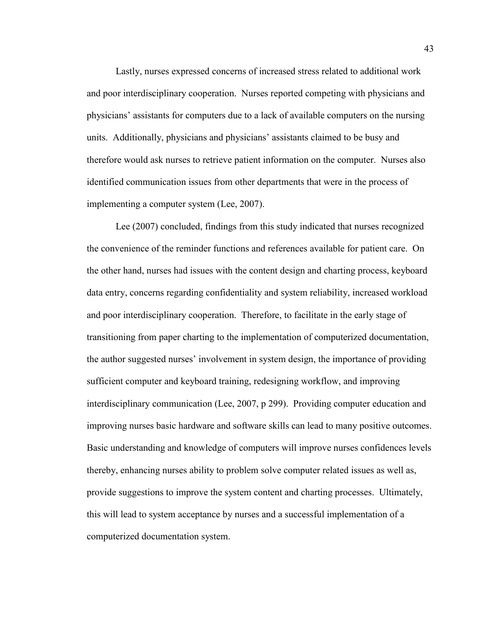Lastly, nurses expressed concerns of increased stress related to additional work and poor interdisciplinary cooperation. Nurses reported competing with physicians and physicians' assistants for computers due to a lack of available computers on the nursing units. Additionally, physicians and physicians' assistants claimed to be busy and therefore would ask nurses to retrieve patient information on the computer. Nurses also identified communication issues from other departments that were in the process of implementing a computer system (Lee, 2007).

Lee (2007) concluded, findings from this study indicated that nurses recognized the convenience of the reminder functions and references available for patient care. On the other hand, nurses had issues with the content design and charting process, keyboard data entry, concerns regarding confidentiality and system reliability, increased workload and poor interdisciplinary cooperation. Therefore, to facilitate in the early stage of transitioning from paper charting to the implementation of computerized documentation, the author suggested nurses' involvement in system design, the importance of providing sufficient computer and keyboard training, redesigning workflow, and improving interdisciplinary communication (Lee, 2007, p 299). Providing computer education and improving nurses basic hardware and software skills can lead to many positive outcomes. Basic understanding and knowledge of computers will improve nurses confidences levels thereby, enhancing nurses ability to problem solve computer related issues as well as, provide suggestions to improve the system content and charting processes. Ultimately, this will lead to system acceptance by nurses and a successful implementation of a computerized documentation system.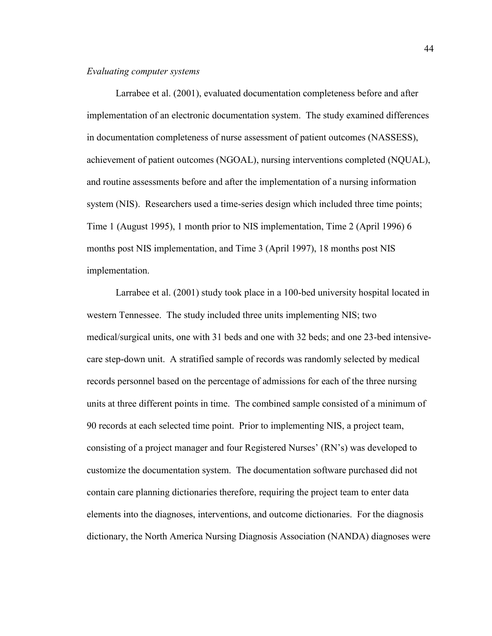## *Evaluating computer systems*

Larrabee et al. (2001), evaluated documentation completeness before and after implementation of an electronic documentation system. The study examined differences in documentation completeness of nurse assessment of patient outcomes (NASSESS), achievement of patient outcomes (NGOAL), nursing interventions completed (NQUAL), and routine assessments before and after the implementation of a nursing information system (NIS). Researchers used a time-series design which included three time points; Time 1 (August 1995), 1 month prior to NIS implementation, Time 2 (April 1996) 6 months post NIS implementation, and Time 3 (April 1997), 18 months post NIS implementation.

Larrabee et al. (2001) study took place in a 100-bed university hospital located in western Tennessee. The study included three units implementing NIS; two medical/surgical units, one with 31 beds and one with 32 beds; and one 23-bed intensivecare step-down unit. A stratified sample of records was randomly selected by medical records personnel based on the percentage of admissions for each of the three nursing units at three different points in time. The combined sample consisted of a minimum of 90 records at each selected time point. Prior to implementing NIS, a project team, consisting of a project manager and four Registered Nurses' (RN's) was developed to customize the documentation system. The documentation software purchased did not contain care planning dictionaries therefore, requiring the project team to enter data elements into the diagnoses, interventions, and outcome dictionaries. For the diagnosis dictionary, the North America Nursing Diagnosis Association (NANDA) diagnoses were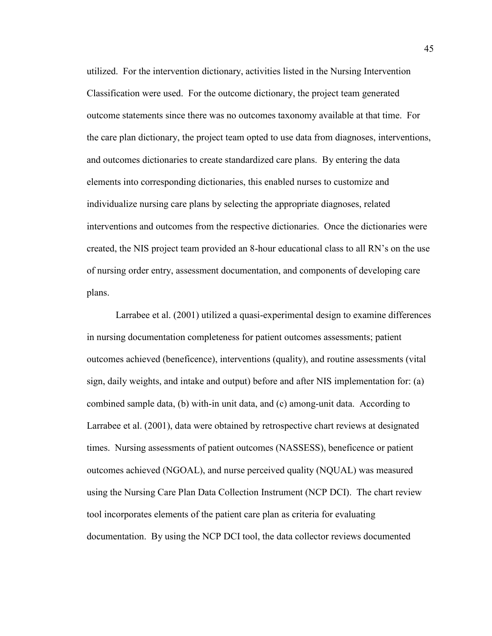utilized. For the intervention dictionary, activities listed in the Nursing Intervention Classification were used. For the outcome dictionary, the project team generated outcome statements since there was no outcomes taxonomy available at that time. For the care plan dictionary, the project team opted to use data from diagnoses, interventions, and outcomes dictionaries to create standardized care plans. By entering the data elements into corresponding dictionaries, this enabled nurses to customize and individualize nursing care plans by selecting the appropriate diagnoses, related interventions and outcomes from the respective dictionaries. Once the dictionaries were created, the NIS project team provided an 8-hour educational class to all RN's on the use of nursing order entry, assessment documentation, and components of developing care plans.

Larrabee et al. (2001) utilized a quasi-experimental design to examine differences in nursing documentation completeness for patient outcomes assessments; patient outcomes achieved (beneficence), interventions (quality), and routine assessments (vital sign, daily weights, and intake and output) before and after NIS implementation for: (a) combined sample data, (b) with-in unit data, and (c) among-unit data. According to Larrabee et al. (2001), data were obtained by retrospective chart reviews at designated times. Nursing assessments of patient outcomes (NASSESS), beneficence or patient outcomes achieved (NGOAL), and nurse perceived quality (NQUAL) was measured using the Nursing Care Plan Data Collection Instrument (NCP DCI). The chart review tool incorporates elements of the patient care plan as criteria for evaluating documentation. By using the NCP DCI tool, the data collector reviews documented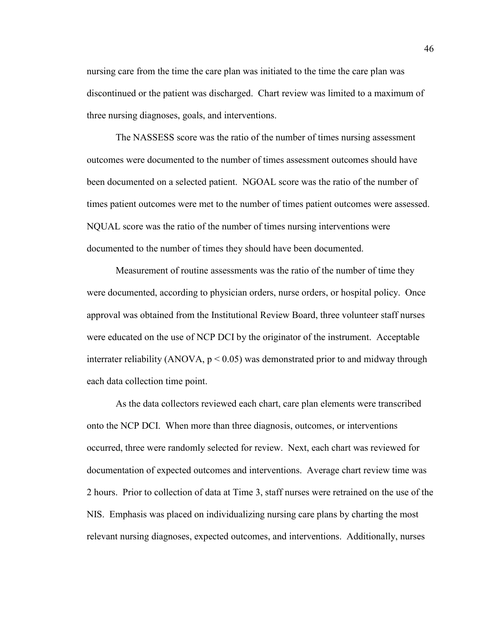nursing care from the time the care plan was initiated to the time the care plan was discontinued or the patient was discharged. Chart review was limited to a maximum of three nursing diagnoses, goals, and interventions.

The NASSESS score was the ratio of the number of times nursing assessment outcomes were documented to the number of times assessment outcomes should have been documented on a selected patient. NGOAL score was the ratio of the number of times patient outcomes were met to the number of times patient outcomes were assessed. NQUAL score was the ratio of the number of times nursing interventions were documented to the number of times they should have been documented.

Measurement of routine assessments was the ratio of the number of time they were documented, according to physician orders, nurse orders, or hospital policy. Once approval was obtained from the Institutional Review Board, three volunteer staff nurses were educated on the use of NCP DCI by the originator of the instrument. Acceptable interrater reliability (ANOVA,  $p < 0.05$ ) was demonstrated prior to and midway through each data collection time point.

As the data collectors reviewed each chart, care plan elements were transcribed onto the NCP DCI. When more than three diagnosis, outcomes, or interventions occurred, three were randomly selected for review. Next, each chart was reviewed for documentation of expected outcomes and interventions. Average chart review time was 2 hours. Prior to collection of data at Time 3, staff nurses were retrained on the use of the NIS. Emphasis was placed on individualizing nursing care plans by charting the most relevant nursing diagnoses, expected outcomes, and interventions. Additionally, nurses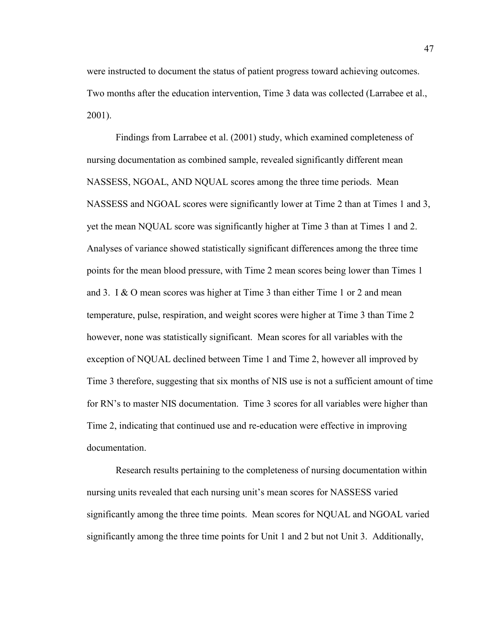were instructed to document the status of patient progress toward achieving outcomes. Two months after the education intervention, Time 3 data was collected (Larrabee et al., 2001).

Findings from Larrabee et al. (2001) study, which examined completeness of nursing documentation as combined sample, revealed significantly different mean NASSESS, NGOAL, AND NQUAL scores among the three time periods. Mean NASSESS and NGOAL scores were significantly lower at Time 2 than at Times 1 and 3, yet the mean NQUAL score was significantly higher at Time 3 than at Times 1 and 2. Analyses of variance showed statistically significant differences among the three time points for the mean blood pressure, with Time 2 mean scores being lower than Times 1 and 3. I & O mean scores was higher at Time 3 than either Time 1 or 2 and mean temperature, pulse, respiration, and weight scores were higher at Time 3 than Time 2 however, none was statistically significant. Mean scores for all variables with the exception of NQUAL declined between Time 1 and Time 2, however all improved by Time 3 therefore, suggesting that six months of NIS use is not a sufficient amount of time for RN's to master NIS documentation. Time 3 scores for all variables were higher than Time 2, indicating that continued use and re-education were effective in improving documentation.

Research results pertaining to the completeness of nursing documentation within nursing units revealed that each nursing unit's mean scores for NASSESS varied significantly among the three time points. Mean scores for NQUAL and NGOAL varied significantly among the three time points for Unit 1 and 2 but not Unit 3. Additionally,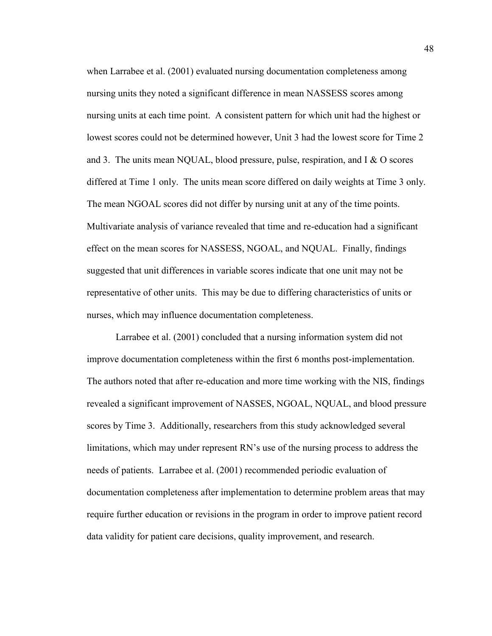when Larrabee et al. (2001) evaluated nursing documentation completeness among nursing units they noted a significant difference in mean NASSESS scores among nursing units at each time point. A consistent pattern for which unit had the highest or lowest scores could not be determined however, Unit 3 had the lowest score for Time 2 and 3. The units mean NQUAL, blood pressure, pulse, respiration, and I & O scores differed at Time 1 only. The units mean score differed on daily weights at Time 3 only. The mean NGOAL scores did not differ by nursing unit at any of the time points. Multivariate analysis of variance revealed that time and re-education had a significant effect on the mean scores for NASSESS, NGOAL, and NQUAL. Finally, findings suggested that unit differences in variable scores indicate that one unit may not be representative of other units. This may be due to differing characteristics of units or nurses, which may influence documentation completeness.

Larrabee et al. (2001) concluded that a nursing information system did not improve documentation completeness within the first 6 months post-implementation. The authors noted that after re-education and more time working with the NIS, findings revealed a significant improvement of NASSES, NGOAL, NQUAL, and blood pressure scores by Time 3. Additionally, researchers from this study acknowledged several limitations, which may under represent RN's use of the nursing process to address the needs of patients. Larrabee et al. (2001) recommended periodic evaluation of documentation completeness after implementation to determine problem areas that may require further education or revisions in the program in order to improve patient record data validity for patient care decisions, quality improvement, and research.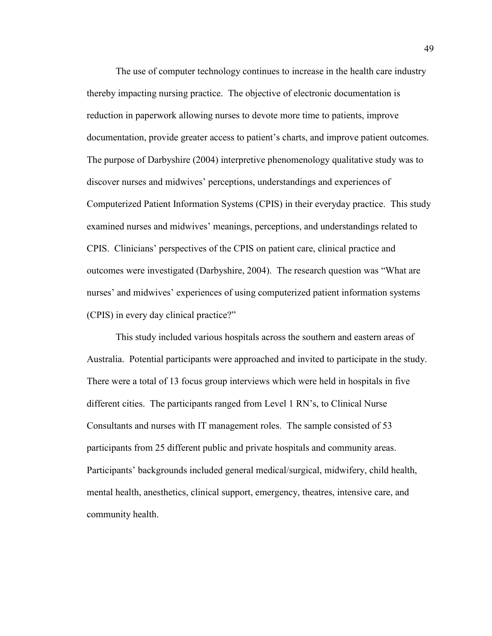The use of computer technology continues to increase in the health care industry thereby impacting nursing practice. The objective of electronic documentation is reduction in paperwork allowing nurses to devote more time to patients, improve documentation, provide greater access to patient's charts, and improve patient outcomes. The purpose of Darbyshire (2004) interpretive phenomenology qualitative study was to discover nurses and midwives' perceptions, understandings and experiences of Computerized Patient Information Systems (CPIS) in their everyday practice. This study examined nurses and midwives' meanings, perceptions, and understandings related to CPIS. Clinicians' perspectives of the CPIS on patient care, clinical practice and outcomes were investigated (Darbyshire, 2004). The research question was "What are nurses' and midwives' experiences of using computerized patient information systems (CPIS) in every day clinical practice?"

This study included various hospitals across the southern and eastern areas of Australia. Potential participants were approached and invited to participate in the study. There were a total of 13 focus group interviews which were held in hospitals in five different cities. The participants ranged from Level 1 RN's, to Clinical Nurse Consultants and nurses with IT management roles. The sample consisted of 53 participants from 25 different public and private hospitals and community areas. Participants' backgrounds included general medical/surgical, midwifery, child health, mental health, anesthetics, clinical support, emergency, theatres, intensive care, and community health.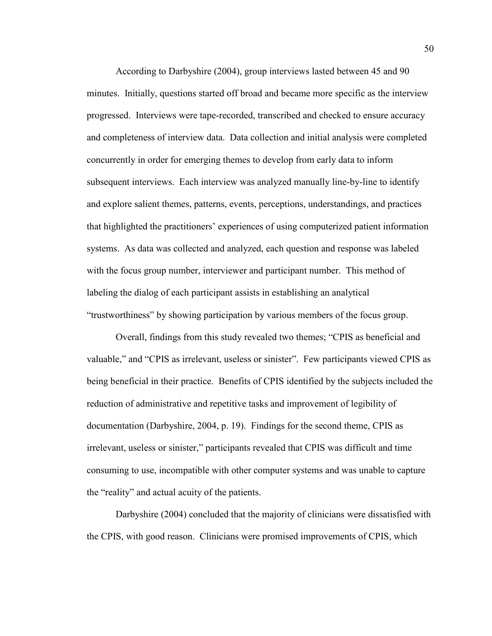According to Darbyshire (2004), group interviews lasted between 45 and 90 minutes. Initially, questions started off broad and became more specific as the interview progressed. Interviews were tape-recorded, transcribed and checked to ensure accuracy and completeness of interview data. Data collection and initial analysis were completed concurrently in order for emerging themes to develop from early data to inform subsequent interviews. Each interview was analyzed manually line-by-line to identify and explore salient themes, patterns, events, perceptions, understandings, and practices that highlighted the practitioners' experiences of using computerized patient information systems. As data was collected and analyzed, each question and response was labeled with the focus group number, interviewer and participant number. This method of labeling the dialog of each participant assists in establishing an analytical "trustworthiness" by showing participation by various members of the focus group.

Overall, findings from this study revealed two themes; "CPIS as beneficial and valuable," and "CPIS as irrelevant, useless or sinister". Few participants viewed CPIS as being beneficial in their practice. Benefits of CPIS identified by the subjects included the reduction of administrative and repetitive tasks and improvement of legibility of documentation (Darbyshire, 2004, p. 19). Findings for the second theme, CPIS as irrelevant, useless or sinister," participants revealed that CPIS was difficult and time consuming to use, incompatible with other computer systems and was unable to capture the "reality" and actual acuity of the patients.

Darbyshire (2004) concluded that the majority of clinicians were dissatisfied with the CPIS, with good reason. Clinicians were promised improvements of CPIS, which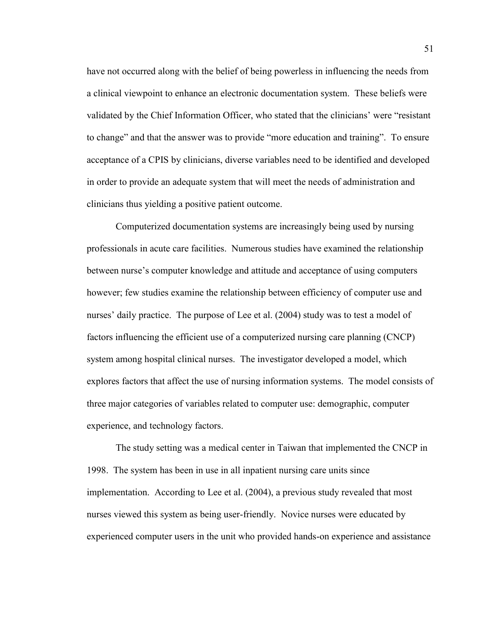have not occurred along with the belief of being powerless in influencing the needs from a clinical viewpoint to enhance an electronic documentation system. These beliefs were validated by the Chief Information Officer, who stated that the clinicians' were "resistant to change" and that the answer was to provide "more education and training". To ensure acceptance of a CPIS by clinicians, diverse variables need to be identified and developed in order to provide an adequate system that will meet the needs of administration and clinicians thus yielding a positive patient outcome.

Computerized documentation systems are increasingly being used by nursing professionals in acute care facilities. Numerous studies have examined the relationship between nurse's computer knowledge and attitude and acceptance of using computers however; few studies examine the relationship between efficiency of computer use and nurses' daily practice. The purpose of Lee et al. (2004) study was to test a model of factors influencing the efficient use of a computerized nursing care planning (CNCP) system among hospital clinical nurses. The investigator developed a model, which explores factors that affect the use of nursing information systems. The model consists of three major categories of variables related to computer use: demographic, computer experience, and technology factors.

The study setting was a medical center in Taiwan that implemented the CNCP in 1998. The system has been in use in all inpatient nursing care units since implementation. According to Lee et al. (2004), a previous study revealed that most nurses viewed this system as being user-friendly. Novice nurses were educated by experienced computer users in the unit who provided hands-on experience and assistance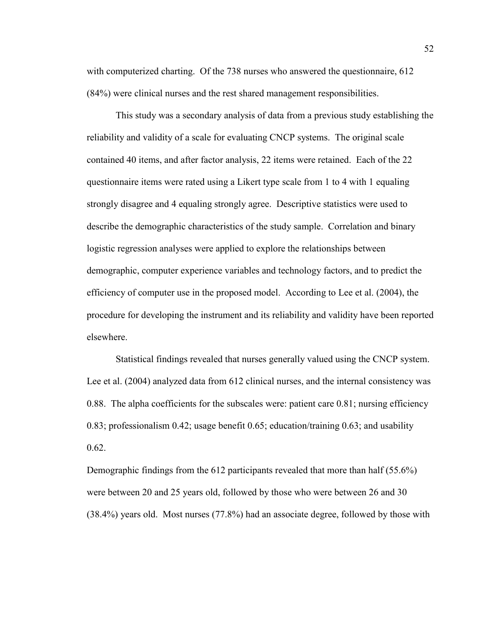with computerized charting. Of the 738 nurses who answered the questionnaire, 612 (84%) were clinical nurses and the rest shared management responsibilities.

This study was a secondary analysis of data from a previous study establishing the reliability and validity of a scale for evaluating CNCP systems. The original scale contained 40 items, and after factor analysis, 22 items were retained. Each of the 22 questionnaire items were rated using a Likert type scale from 1 to 4 with 1 equaling strongly disagree and 4 equaling strongly agree. Descriptive statistics were used to describe the demographic characteristics of the study sample. Correlation and binary logistic regression analyses were applied to explore the relationships between demographic, computer experience variables and technology factors, and to predict the efficiency of computer use in the proposed model. According to Lee et al. (2004), the procedure for developing the instrument and its reliability and validity have been reported elsewhere.

Statistical findings revealed that nurses generally valued using the CNCP system. Lee et al. (2004) analyzed data from 612 clinical nurses, and the internal consistency was 0.88. The alpha coefficients for the subscales were: patient care 0.81; nursing efficiency 0.83; professionalism 0.42; usage benefit 0.65; education/training 0.63; and usability 0.62.

Demographic findings from the 612 participants revealed that more than half (55.6%) were between 20 and 25 years old, followed by those who were between 26 and 30 (38.4%) years old. Most nurses (77.8%) had an associate degree, followed by those with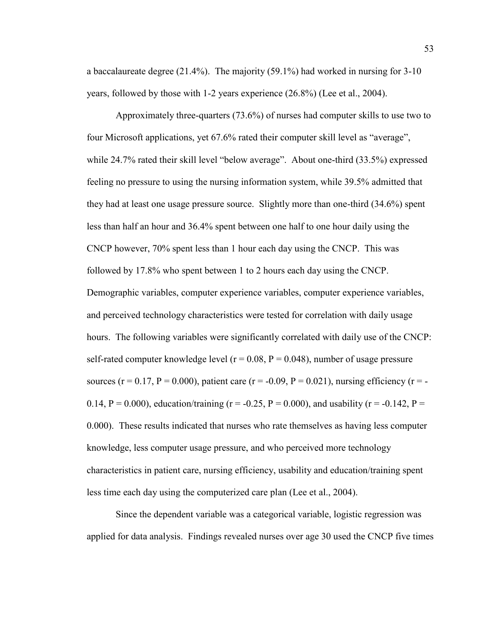a baccalaureate degree (21.4%). The majority (59.1%) had worked in nursing for 3-10 years, followed by those with 1-2 years experience (26.8%) (Lee et al., 2004).

Approximately three-quarters (73.6%) of nurses had computer skills to use two to four Microsoft applications, yet 67.6% rated their computer skill level as "average", while 24.7% rated their skill level "below average". About one-third (33.5%) expressed feeling no pressure to using the nursing information system, while 39.5% admitted that they had at least one usage pressure source. Slightly more than one-third (34.6%) spent less than half an hour and 36.4% spent between one half to one hour daily using the CNCP however, 70% spent less than 1 hour each day using the CNCP. This was followed by 17.8% who spent between 1 to 2 hours each day using the CNCP. Demographic variables, computer experience variables, computer experience variables, and perceived technology characteristics were tested for correlation with daily usage hours. The following variables were significantly correlated with daily use of the CNCP: self-rated computer knowledge level ( $r = 0.08$ ,  $P = 0.048$ ), number of usage pressure sources (r = 0.17, P = 0.000), patient care (r = -0.09, P = 0.021), nursing efficiency (r = -0.14, P = 0.000), education/training (r = -0.25, P = 0.000), and usability (r = -0.142, P = 0.000). These results indicated that nurses who rate themselves as having less computer knowledge, less computer usage pressure, and who perceived more technology characteristics in patient care, nursing efficiency, usability and education/training spent less time each day using the computerized care plan (Lee et al., 2004).

Since the dependent variable was a categorical variable, logistic regression was applied for data analysis. Findings revealed nurses over age 30 used the CNCP five times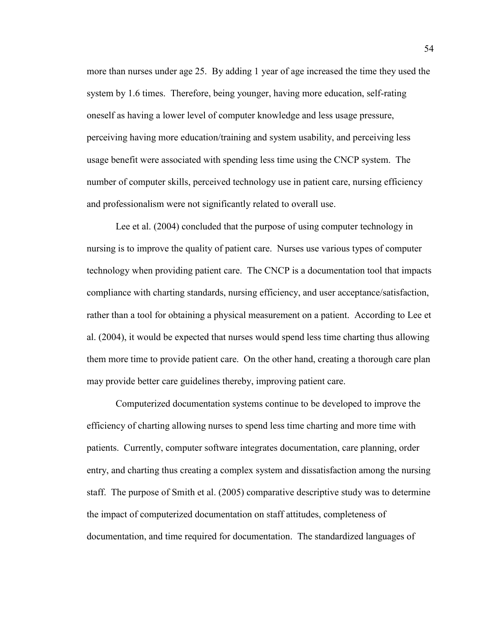more than nurses under age 25. By adding 1 year of age increased the time they used the system by 1.6 times. Therefore, being younger, having more education, self-rating oneself as having a lower level of computer knowledge and less usage pressure, perceiving having more education/training and system usability, and perceiving less usage benefit were associated with spending less time using the CNCP system. The number of computer skills, perceived technology use in patient care, nursing efficiency and professionalism were not significantly related to overall use.

Lee et al. (2004) concluded that the purpose of using computer technology in nursing is to improve the quality of patient care. Nurses use various types of computer technology when providing patient care. The CNCP is a documentation tool that impacts compliance with charting standards, nursing efficiency, and user acceptance/satisfaction, rather than a tool for obtaining a physical measurement on a patient. According to Lee et al. (2004), it would be expected that nurses would spend less time charting thus allowing them more time to provide patient care. On the other hand, creating a thorough care plan may provide better care guidelines thereby, improving patient care.

Computerized documentation systems continue to be developed to improve the efficiency of charting allowing nurses to spend less time charting and more time with patients. Currently, computer software integrates documentation, care planning, order entry, and charting thus creating a complex system and dissatisfaction among the nursing staff. The purpose of Smith et al. (2005) comparative descriptive study was to determine the impact of computerized documentation on staff attitudes, completeness of documentation, and time required for documentation. The standardized languages of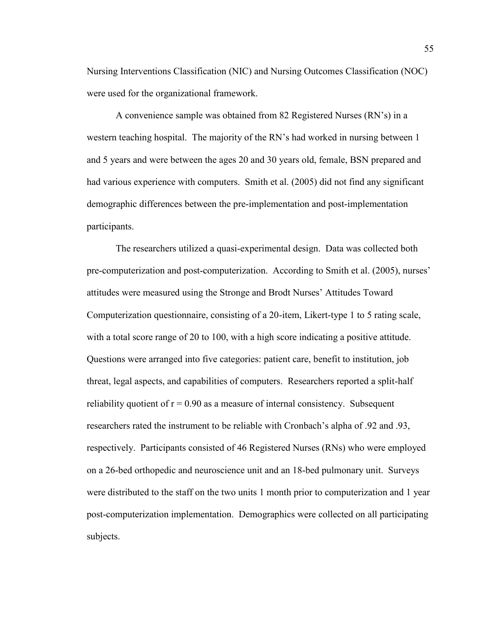Nursing Interventions Classification (NIC) and Nursing Outcomes Classification (NOC) were used for the organizational framework.

A convenience sample was obtained from 82 Registered Nurses (RN's) in a western teaching hospital. The majority of the RN's had worked in nursing between 1 and 5 years and were between the ages 20 and 30 years old, female, BSN prepared and had various experience with computers. Smith et al. (2005) did not find any significant demographic differences between the pre-implementation and post-implementation participants.

The researchers utilized a quasi-experimental design. Data was collected both pre-computerization and post-computerization. According to Smith et al. (2005), nurses' attitudes were measured using the Stronge and Brodt Nurses' Attitudes Toward Computerization questionnaire, consisting of a 20-item, Likert-type 1 to 5 rating scale, with a total score range of 20 to 100, with a high score indicating a positive attitude. Questions were arranged into five categories: patient care, benefit to institution, job threat, legal aspects, and capabilities of computers. Researchers reported a split-half reliability quotient of  $r = 0.90$  as a measure of internal consistency. Subsequent researchers rated the instrument to be reliable with Cronbach's alpha of .92 and .93, respectively. Participants consisted of 46 Registered Nurses (RNs) who were employed on a 26-bed orthopedic and neuroscience unit and an 18-bed pulmonary unit. Surveys were distributed to the staff on the two units 1 month prior to computerization and 1 year post-computerization implementation. Demographics were collected on all participating subjects.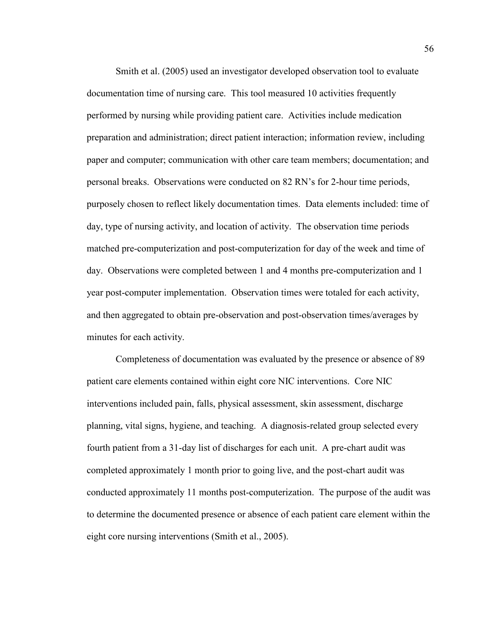Smith et al. (2005) used an investigator developed observation tool to evaluate documentation time of nursing care. This tool measured 10 activities frequently performed by nursing while providing patient care. Activities include medication preparation and administration; direct patient interaction; information review, including paper and computer; communication with other care team members; documentation; and personal breaks. Observations were conducted on 82 RN's for 2-hour time periods, purposely chosen to reflect likely documentation times. Data elements included: time of day, type of nursing activity, and location of activity. The observation time periods matched pre-computerization and post-computerization for day of the week and time of day. Observations were completed between 1 and 4 months pre-computerization and 1 year post-computer implementation. Observation times were totaled for each activity, and then aggregated to obtain pre-observation and post-observation times/averages by minutes for each activity.

Completeness of documentation was evaluated by the presence or absence of 89 patient care elements contained within eight core NIC interventions. Core NIC interventions included pain, falls, physical assessment, skin assessment, discharge planning, vital signs, hygiene, and teaching. A diagnosis-related group selected every fourth patient from a 31-day list of discharges for each unit. A pre-chart audit was completed approximately 1 month prior to going live, and the post-chart audit was conducted approximately 11 months post-computerization. The purpose of the audit was to determine the documented presence or absence of each patient care element within the eight core nursing interventions (Smith et al., 2005).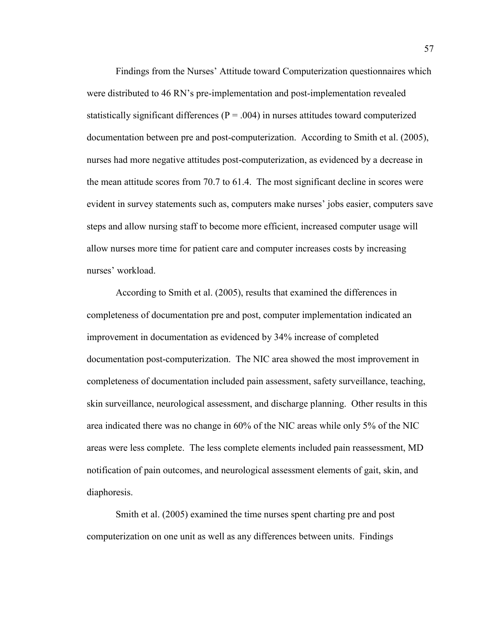Findings from the Nurses' Attitude toward Computerization questionnaires which were distributed to 46 RN's pre-implementation and post-implementation revealed statistically significant differences ( $P = .004$ ) in nurses attitudes toward computerized documentation between pre and post-computerization. According to Smith et al. (2005), nurses had more negative attitudes post-computerization, as evidenced by a decrease in the mean attitude scores from 70.7 to 61.4. The most significant decline in scores were evident in survey statements such as, computers make nurses' jobs easier, computers save steps and allow nursing staff to become more efficient, increased computer usage will allow nurses more time for patient care and computer increases costs by increasing nurses' workload.

According to Smith et al. (2005), results that examined the differences in completeness of documentation pre and post, computer implementation indicated an improvement in documentation as evidenced by 34% increase of completed documentation post-computerization. The NIC area showed the most improvement in completeness of documentation included pain assessment, safety surveillance, teaching, skin surveillance, neurological assessment, and discharge planning. Other results in this area indicated there was no change in 60% of the NIC areas while only 5% of the NIC areas were less complete. The less complete elements included pain reassessment, MD notification of pain outcomes, and neurological assessment elements of gait, skin, and diaphoresis.

Smith et al. (2005) examined the time nurses spent charting pre and post computerization on one unit as well as any differences between units. Findings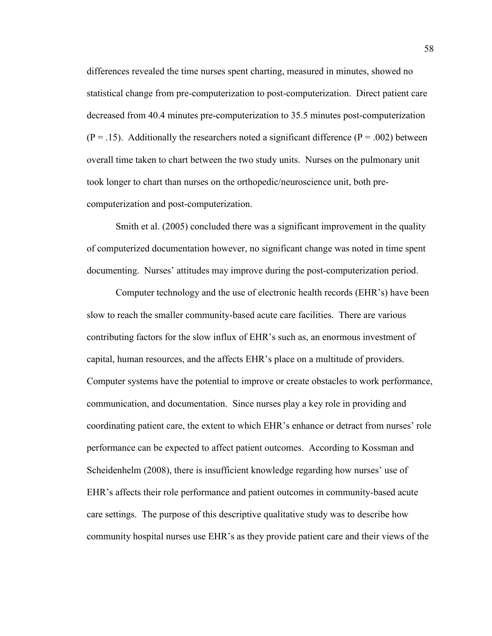differences revealed the time nurses spent charting, measured in minutes, showed no statistical change from pre-computerization to post-computerization. Direct patient care decreased from 40.4 minutes pre-computerization to 35.5 minutes post-computerization  $(P = .15)$ . Additionally the researchers noted a significant difference  $(P = .002)$  between overall time taken to chart between the two study units. Nurses on the pulmonary unit took longer to chart than nurses on the orthopedic/neuroscience unit, both precomputerization and post-computerization.

Smith et al. (2005) concluded there was a significant improvement in the quality of computerized documentation however, no significant change was noted in time spent documenting. Nurses' attitudes may improve during the post-computerization period.

Computer technology and the use of electronic health records (EHR's) have been slow to reach the smaller community-based acute care facilities. There are various contributing factors for the slow influx of EHR's such as, an enormous investment of capital, human resources, and the affects EHR's place on a multitude of providers. Computer systems have the potential to improve or create obstacles to work performance, communication, and documentation. Since nurses play a key role in providing and coordinating patient care, the extent to which EHR's enhance or detract from nurses' role performance can be expected to affect patient outcomes. According to Kossman and Scheidenhelm (2008), there is insufficient knowledge regarding how nurses' use of EHR's affects their role performance and patient outcomes in community-based acute care settings. The purpose of this descriptive qualitative study was to describe how community hospital nurses use EHR's as they provide patient care and their views of the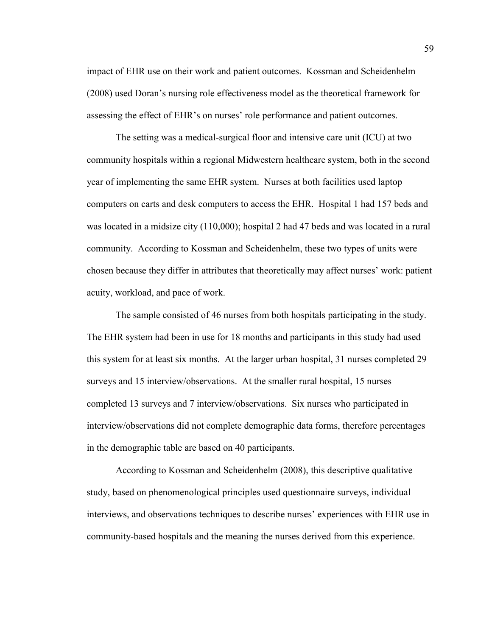impact of EHR use on their work and patient outcomes. Kossman and Scheidenhelm (2008) used Doran's nursing role effectiveness model as the theoretical framework for assessing the effect of EHR's on nurses' role performance and patient outcomes.

The setting was a medical-surgical floor and intensive care unit (ICU) at two community hospitals within a regional Midwestern healthcare system, both in the second year of implementing the same EHR system. Nurses at both facilities used laptop computers on carts and desk computers to access the EHR. Hospital 1 had 157 beds and was located in a midsize city (110,000); hospital 2 had 47 beds and was located in a rural community. According to Kossman and Scheidenhelm, these two types of units were chosen because they differ in attributes that theoretically may affect nurses' work: patient acuity, workload, and pace of work.

The sample consisted of 46 nurses from both hospitals participating in the study. The EHR system had been in use for 18 months and participants in this study had used this system for at least six months. At the larger urban hospital, 31 nurses completed 29 surveys and 15 interview/observations. At the smaller rural hospital, 15 nurses completed 13 surveys and 7 interview/observations. Six nurses who participated in interview/observations did not complete demographic data forms, therefore percentages in the demographic table are based on 40 participants.

According to Kossman and Scheidenhelm (2008), this descriptive qualitative study, based on phenomenological principles used questionnaire surveys, individual interviews, and observations techniques to describe nurses' experiences with EHR use in community-based hospitals and the meaning the nurses derived from this experience.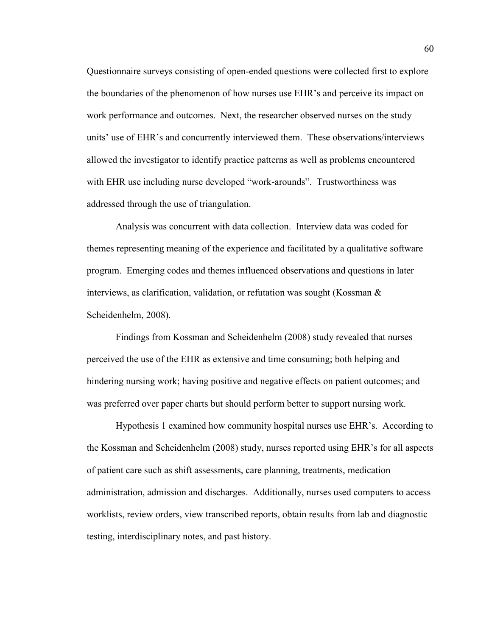Questionnaire surveys consisting of open-ended questions were collected first to explore the boundaries of the phenomenon of how nurses use EHR's and perceive its impact on work performance and outcomes. Next, the researcher observed nurses on the study units' use of EHR's and concurrently interviewed them. These observations/interviews allowed the investigator to identify practice patterns as well as problems encountered with EHR use including nurse developed "work-arounds". Trustworthiness was addressed through the use of triangulation.

Analysis was concurrent with data collection. Interview data was coded for themes representing meaning of the experience and facilitated by a qualitative software program. Emerging codes and themes influenced observations and questions in later interviews, as clarification, validation, or refutation was sought (Kossman & Scheidenhelm, 2008).

Findings from Kossman and Scheidenhelm (2008) study revealed that nurses perceived the use of the EHR as extensive and time consuming; both helping and hindering nursing work; having positive and negative effects on patient outcomes; and was preferred over paper charts but should perform better to support nursing work.

Hypothesis 1 examined how community hospital nurses use EHR's. According to the Kossman and Scheidenhelm (2008) study, nurses reported using EHR's for all aspects of patient care such as shift assessments, care planning, treatments, medication administration, admission and discharges. Additionally, nurses used computers to access worklists, review orders, view transcribed reports, obtain results from lab and diagnostic testing, interdisciplinary notes, and past history.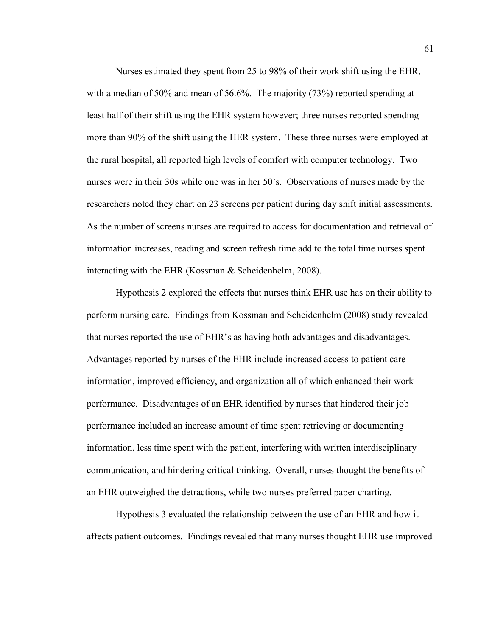Nurses estimated they spent from 25 to 98% of their work shift using the EHR, with a median of 50% and mean of 56.6%. The majority (73%) reported spending at least half of their shift using the EHR system however; three nurses reported spending more than 90% of the shift using the HER system. These three nurses were employed at the rural hospital, all reported high levels of comfort with computer technology. Two nurses were in their 30s while one was in her 50's. Observations of nurses made by the researchers noted they chart on 23 screens per patient during day shift initial assessments. As the number of screens nurses are required to access for documentation and retrieval of information increases, reading and screen refresh time add to the total time nurses spent interacting with the EHR (Kossman & Scheidenhelm, 2008).

Hypothesis 2 explored the effects that nurses think EHR use has on their ability to perform nursing care. Findings from Kossman and Scheidenhelm (2008) study revealed that nurses reported the use of EHR's as having both advantages and disadvantages. Advantages reported by nurses of the EHR include increased access to patient care information, improved efficiency, and organization all of which enhanced their work performance. Disadvantages of an EHR identified by nurses that hindered their job performance included an increase amount of time spent retrieving or documenting information, less time spent with the patient, interfering with written interdisciplinary communication, and hindering critical thinking. Overall, nurses thought the benefits of an EHR outweighed the detractions, while two nurses preferred paper charting.

Hypothesis 3 evaluated the relationship between the use of an EHR and how it affects patient outcomes. Findings revealed that many nurses thought EHR use improved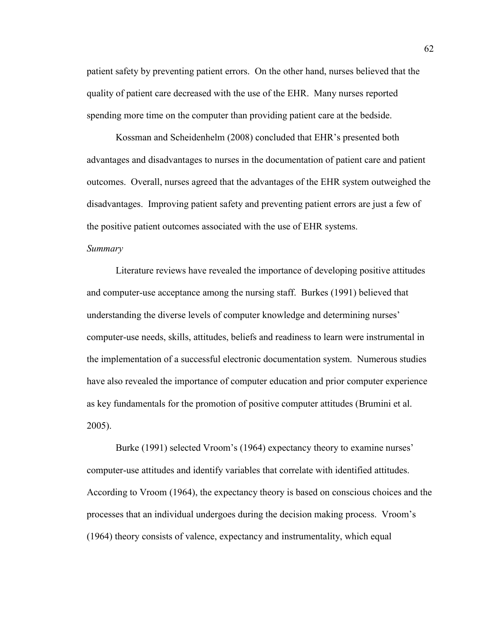patient safety by preventing patient errors. On the other hand, nurses believed that the quality of patient care decreased with the use of the EHR. Many nurses reported spending more time on the computer than providing patient care at the bedside.

Kossman and Scheidenhelm (2008) concluded that EHR's presented both advantages and disadvantages to nurses in the documentation of patient care and patient outcomes. Overall, nurses agreed that the advantages of the EHR system outweighed the disadvantages. Improving patient safety and preventing patient errors are just a few of the positive patient outcomes associated with the use of EHR systems.

## *Summary*

Literature reviews have revealed the importance of developing positive attitudes and computer-use acceptance among the nursing staff. Burkes (1991) believed that understanding the diverse levels of computer knowledge and determining nurses' computer-use needs, skills, attitudes, beliefs and readiness to learn were instrumental in the implementation of a successful electronic documentation system. Numerous studies have also revealed the importance of computer education and prior computer experience as key fundamentals for the promotion of positive computer attitudes (Brumini et al. 2005).

Burke (1991) selected Vroom's (1964) expectancy theory to examine nurses' computer-use attitudes and identify variables that correlate with identified attitudes. According to Vroom (1964), the expectancy theory is based on conscious choices and the processes that an individual undergoes during the decision making process. Vroom's (1964) theory consists of valence, expectancy and instrumentality, which equal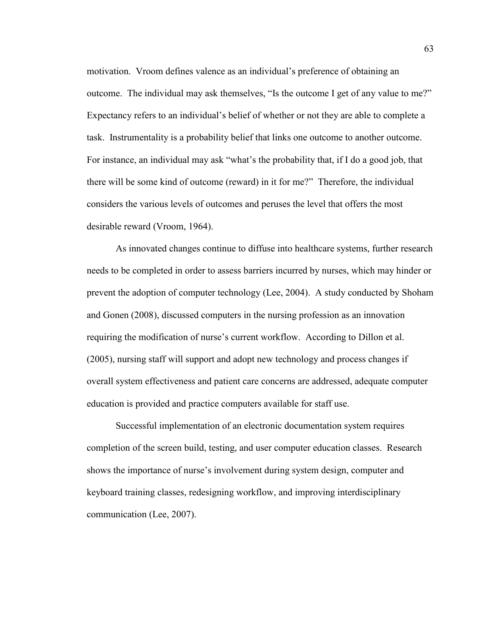motivation. Vroom defines valence as an individual's preference of obtaining an outcome. The individual may ask themselves, "Is the outcome I get of any value to me?" Expectancy refers to an individual's belief of whether or not they are able to complete a task. Instrumentality is a probability belief that links one outcome to another outcome. For instance, an individual may ask "what's the probability that, if I do a good job, that there will be some kind of outcome (reward) in it for me?" Therefore, the individual considers the various levels of outcomes and peruses the level that offers the most desirable reward (Vroom, 1964).

As innovated changes continue to diffuse into healthcare systems, further research needs to be completed in order to assess barriers incurred by nurses, which may hinder or prevent the adoption of computer technology (Lee, 2004). A study conducted by Shoham and Gonen (2008), discussed computers in the nursing profession as an innovation requiring the modification of nurse's current workflow. According to Dillon et al. (2005), nursing staff will support and adopt new technology and process changes if overall system effectiveness and patient care concerns are addressed, adequate computer education is provided and practice computers available for staff use.

Successful implementation of an electronic documentation system requires completion of the screen build, testing, and user computer education classes. Research shows the importance of nurse's involvement during system design, computer and keyboard training classes, redesigning workflow, and improving interdisciplinary communication (Lee, 2007).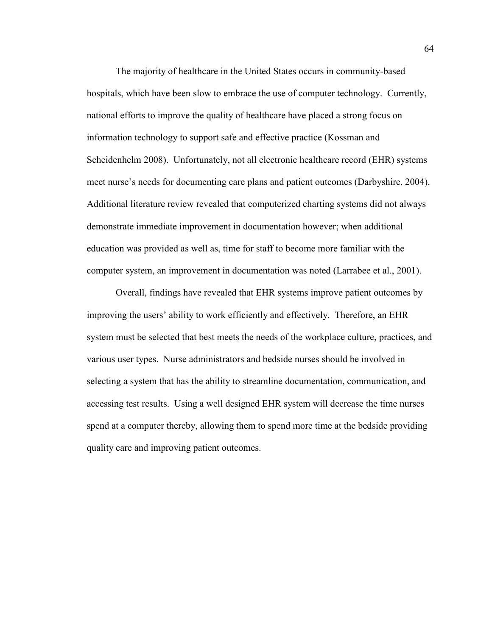The majority of healthcare in the United States occurs in community-based hospitals, which have been slow to embrace the use of computer technology. Currently, national efforts to improve the quality of healthcare have placed a strong focus on information technology to support safe and effective practice (Kossman and Scheidenhelm 2008). Unfortunately, not all electronic healthcare record (EHR) systems meet nurse's needs for documenting care plans and patient outcomes (Darbyshire, 2004). Additional literature review revealed that computerized charting systems did not always demonstrate immediate improvement in documentation however; when additional education was provided as well as, time for staff to become more familiar with the computer system, an improvement in documentation was noted (Larrabee et al., 2001).

Overall, findings have revealed that EHR systems improve patient outcomes by improving the users' ability to work efficiently and effectively. Therefore, an EHR system must be selected that best meets the needs of the workplace culture, practices, and various user types. Nurse administrators and bedside nurses should be involved in selecting a system that has the ability to streamline documentation, communication, and accessing test results. Using a well designed EHR system will decrease the time nurses spend at a computer thereby, allowing them to spend more time at the bedside providing quality care and improving patient outcomes.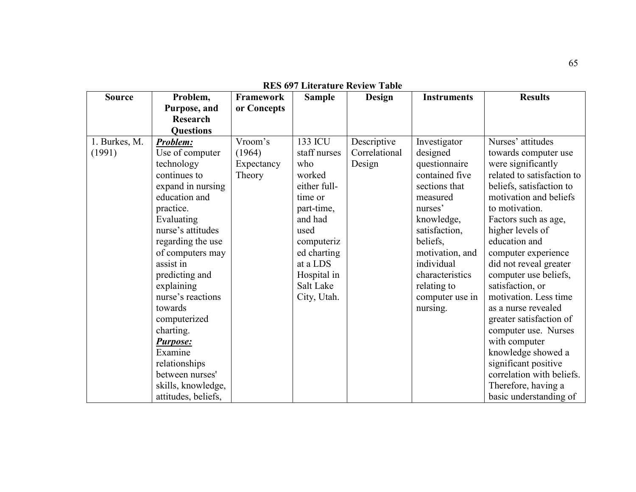| <b>Source</b>           | Problem,                    | Framework         | <b>Sample</b>           | Design                       | <b>Instruments</b>       | <b>Results</b>                            |
|-------------------------|-----------------------------|-------------------|-------------------------|------------------------------|--------------------------|-------------------------------------------|
|                         | Purpose, and                | or Concepts       |                         |                              |                          |                                           |
|                         | <b>Research</b>             |                   |                         |                              |                          |                                           |
|                         | <b>Questions</b>            |                   |                         |                              |                          |                                           |
| 1. Burkes, M.<br>(1991) | Problem:<br>Use of computer | Vroom's<br>(1964) | 133 ICU<br>staff nurses | Descriptive<br>Correlational | Investigator<br>designed | Nurses' attitudes<br>towards computer use |
|                         | technology                  | Expectancy        | who                     | Design                       | questionnaire            | were significantly                        |
|                         | continues to                | Theory            | worked                  |                              | contained five           | related to satisfaction to                |
|                         | expand in nursing           |                   | either full-            |                              | sections that            | beliefs, satisfaction to                  |
|                         | education and               |                   | time or                 |                              | measured                 | motivation and beliefs                    |
|                         | practice.                   |                   | part-time,              |                              | nurses'                  | to motivation.                            |
|                         | Evaluating                  |                   | and had                 |                              | knowledge,               | Factors such as age,                      |
|                         | nurse's attitudes           |                   | used                    |                              | satisfaction,            | higher levels of                          |
|                         | regarding the use           |                   | computeriz              |                              | beliefs,                 | education and                             |
|                         | of computers may            |                   | ed charting             |                              | motivation, and          | computer experience                       |
|                         | assist in                   |                   | at a LDS                |                              | individual               | did not reveal greater                    |
|                         | predicting and              |                   | Hospital in             |                              | characteristics          | computer use beliefs,                     |
|                         | explaining                  |                   | Salt Lake               |                              | relating to              | satisfaction, or                          |
|                         | nurse's reactions           |                   | City, Utah.             |                              | computer use in          | motivation. Less time                     |
|                         | towards                     |                   |                         |                              | nursing.                 | as a nurse revealed                       |
|                         | computerized                |                   |                         |                              |                          | greater satisfaction of                   |
|                         | charting.                   |                   |                         |                              |                          | computer use. Nurses                      |
|                         | <b>Purpose:</b>             |                   |                         |                              |                          | with computer                             |
|                         | Examine                     |                   |                         |                              |                          | knowledge showed a                        |
|                         | relationships               |                   |                         |                              |                          | significant positive                      |
|                         | between nurses'             |                   |                         |                              |                          | correlation with beliefs.                 |
|                         | skills, knowledge,          |                   |                         |                              |                          | Therefore, having a                       |
|                         | attitudes, beliefs,         |                   |                         |                              |                          | basic understanding of                    |

**RES 697 Literature Review Table**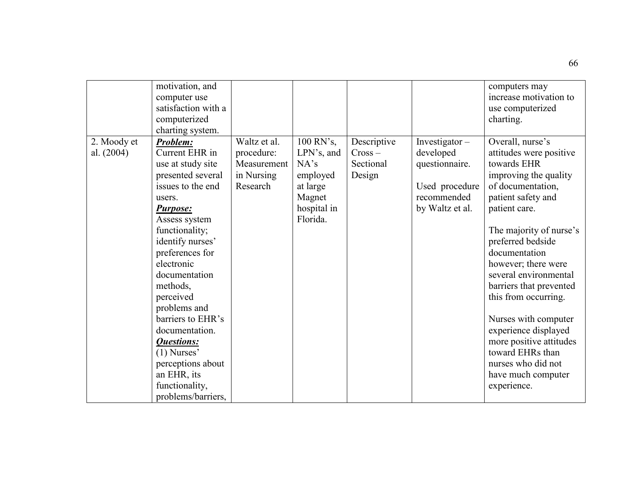|              | motivation, and<br>computer use<br>satisfaction with a<br>computerized<br>charting system.                                                            |                                                     |                                                                        |                                  |                                                                                 | computers may<br>increase motivation to<br>use computerized<br>charting.                                                                                         |
|--------------|-------------------------------------------------------------------------------------------------------------------------------------------------------|-----------------------------------------------------|------------------------------------------------------------------------|----------------------------------|---------------------------------------------------------------------------------|------------------------------------------------------------------------------------------------------------------------------------------------------------------|
| al. $(2004)$ | Current EHR in<br>use at study site<br>presented several<br>issues to the end<br>users.<br><b>Purpose:</b>                                            | procedure:<br>Measurement<br>in Nursing<br>Research | $LPN's$ , and<br>NA's<br>employed<br>at large<br>Magnet<br>hospital in | $Cross -$<br>Sectional<br>Design | developed<br>questionnaire.<br>Used procedure<br>recommended<br>by Waltz et al. | attitudes were positive<br>towards EHR<br>improving the quality<br>of documentation,<br>patient safety and<br>patient care.                                      |
|              | Assess system<br>functionality;<br>identify nurses'<br>preferences for<br>electronic<br>documentation<br>methods,<br>perceived<br>problems and        |                                                     | Florida.                                                               |                                  |                                                                                 | The majority of nurse's<br>preferred bedside<br>documentation<br>however; there were<br>several environmental<br>barriers that prevented<br>this from occurring. |
|              | barriers to EHR's<br>documentation.<br><b>Questions:</b><br>$(1)$ Nurses'<br>perceptions about<br>an EHR, its<br>functionality,<br>problems/barriers, |                                                     |                                                                        |                                  |                                                                                 | Nurses with computer<br>experience displayed<br>more positive attitudes<br>toward EHRs than<br>nurses who did not<br>have much computer<br>experience.           |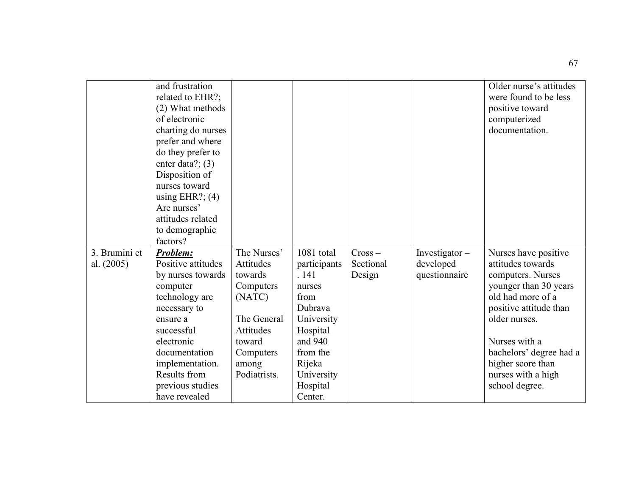|               | and frustration<br>related to EHR?;<br>(2) What methods<br>of electronic<br>charting do nurses<br>prefer and where<br>do they prefer to<br>enter data?; $(3)$<br>Disposition of<br>nurses toward<br>using EHR?; $(4)$<br>Are nurses' |              |              |           |               | Older nurse's attitudes<br>were found to be less<br>positive toward<br>computerized<br>documentation. |
|---------------|--------------------------------------------------------------------------------------------------------------------------------------------------------------------------------------------------------------------------------------|--------------|--------------|-----------|---------------|-------------------------------------------------------------------------------------------------------|
|               | attitudes related                                                                                                                                                                                                                    |              |              |           |               |                                                                                                       |
|               | to demographic                                                                                                                                                                                                                       |              |              |           |               |                                                                                                       |
|               | factors?                                                                                                                                                                                                                             |              |              |           |               |                                                                                                       |
| 3. Brumini et | Problem:                                                                                                                                                                                                                             | The Nurses'  | 1081 total   | $Cross -$ | Investigator- | Nurses have positive                                                                                  |
| al. (2005)    | Positive attitudes                                                                                                                                                                                                                   | Attitudes    | participants | Sectional | developed     | attitudes towards                                                                                     |
|               | by nurses towards                                                                                                                                                                                                                    | towards      | .141         | Design    | questionnaire | computers. Nurses                                                                                     |
|               | computer                                                                                                                                                                                                                             | Computers    | nurses       |           |               | younger than 30 years                                                                                 |
|               | technology are                                                                                                                                                                                                                       | (NATC)       | from         |           |               | old had more of a                                                                                     |
|               | necessary to                                                                                                                                                                                                                         |              | Dubrava      |           |               | positive attitude than                                                                                |
|               | ensure a                                                                                                                                                                                                                             | The General  | University   |           |               | older nurses.                                                                                         |
|               | successful                                                                                                                                                                                                                           | Attitudes    | Hospital     |           |               |                                                                                                       |
|               | electronic                                                                                                                                                                                                                           | toward       | and 940      |           |               | Nurses with a                                                                                         |
|               | documentation                                                                                                                                                                                                                        | Computers    | from the     |           |               | bachelors' degree had a                                                                               |
|               | implementation.                                                                                                                                                                                                                      | among        | Rijeka       |           |               | higher score than                                                                                     |
|               | Results from                                                                                                                                                                                                                         | Podiatrists. | University   |           |               | nurses with a high                                                                                    |
|               | previous studies                                                                                                                                                                                                                     |              | Hospital     |           |               | school degree.                                                                                        |
|               | have revealed                                                                                                                                                                                                                        |              | Center.      |           |               |                                                                                                       |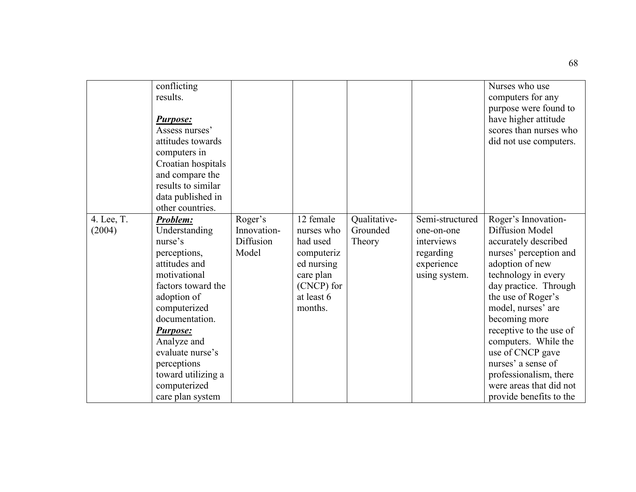|                      | conflicting<br>results.<br><b>Purpose:</b><br>Assess nurses'<br>attitudes towards<br>computers in<br>Croatian hospitals<br>and compare the<br>results to similar<br>data published in<br>other countries.                                                                                   |                                              |                                                                                                                     |                                    |                                                                                         | Nurses who use<br>computers for any<br>purpose were found to<br>have higher attitude<br>scores than nurses who<br>did not use computers.                                                                                                                                                                                                                                                                     |
|----------------------|---------------------------------------------------------------------------------------------------------------------------------------------------------------------------------------------------------------------------------------------------------------------------------------------|----------------------------------------------|---------------------------------------------------------------------------------------------------------------------|------------------------------------|-----------------------------------------------------------------------------------------|--------------------------------------------------------------------------------------------------------------------------------------------------------------------------------------------------------------------------------------------------------------------------------------------------------------------------------------------------------------------------------------------------------------|
| 4. Lee, T.<br>(2004) | Problem:<br>Understanding<br>nurse's<br>perceptions,<br>attitudes and<br>motivational<br>factors toward the<br>adoption of<br>computerized<br>documentation.<br><b>Purpose:</b><br>Analyze and<br>evaluate nurse's<br>perceptions<br>toward utilizing a<br>computerized<br>care plan system | Roger's<br>Innovation-<br>Diffusion<br>Model | 12 female<br>nurses who<br>had used<br>computeriz<br>ed nursing<br>care plan<br>(CNCP) for<br>at least 6<br>months. | Qualitative-<br>Grounded<br>Theory | Semi-structured<br>one-on-one<br>interviews<br>regarding<br>experience<br>using system. | Roger's Innovation-<br><b>Diffusion Model</b><br>accurately described<br>nurses' perception and<br>adoption of new<br>technology in every<br>day practice. Through<br>the use of Roger's<br>model, nurses' are<br>becoming more<br>receptive to the use of<br>computers. While the<br>use of CNCP gave<br>nurses' a sense of<br>professionalism, there<br>were areas that did not<br>provide benefits to the |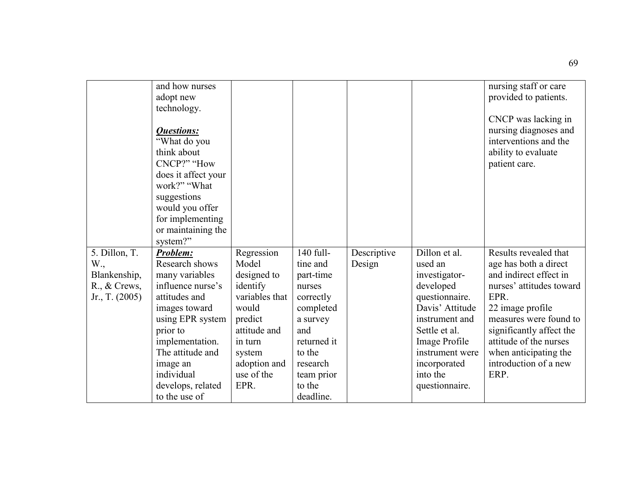|                        | and how nurses      |                |             |             |                 | nursing staff or care    |
|------------------------|---------------------|----------------|-------------|-------------|-----------------|--------------------------|
|                        | adopt new           |                |             |             |                 | provided to patients.    |
|                        | technology.         |                |             |             |                 |                          |
|                        |                     |                |             |             |                 | CNCP was lacking in      |
|                        | <b>Questions:</b>   |                |             |             |                 | nursing diagnoses and    |
|                        | "What do you        |                |             |             |                 | interventions and the    |
|                        | think about         |                |             |             |                 | ability to evaluate      |
|                        | CNCP?" "How         |                |             |             |                 | patient care.            |
|                        | does it affect your |                |             |             |                 |                          |
|                        | work?" "What        |                |             |             |                 |                          |
|                        | suggestions         |                |             |             |                 |                          |
|                        |                     |                |             |             |                 |                          |
|                        | would you offer     |                |             |             |                 |                          |
|                        | for implementing    |                |             |             |                 |                          |
|                        | or maintaining the  |                |             |             |                 |                          |
|                        | system?"            |                |             |             |                 |                          |
| 5. Dillon, T.          | <b>Problem:</b>     | Regression     | 140 full-   | Descriptive | Dillon et al.   | Results revealed that    |
| W.,                    | Research shows      | Model          | tine and    | Design      | used an         | age has both a direct    |
| Blankenship,           | many variables      | designed to    | part-time   |             | investigator-   | and indirect effect in   |
| $R_{\cdot}$ , & Crews, | influence nurse's   | identify       | nurses      |             | developed       | nurses' attitudes toward |
| Jr., T. $(2005)$       | attitudes and       | variables that | correctly   |             | questionnaire.  | EPR.                     |
|                        | images toward       | would          | completed   |             | Davis' Attitude | 22 image profile         |
|                        | using EPR system    | predict        | a survey    |             | instrument and  | measures were found to   |
|                        | prior to            | attitude and   | and         |             | Settle et al.   | significantly affect the |
|                        | implementation.     | in turn        | returned it |             | Image Profile   | attitude of the nurses   |
|                        | The attitude and    | system         | to the      |             | instrument were | when anticipating the    |
|                        | image an            | adoption and   | research    |             | incorporated    | introduction of a new    |
|                        | individual          | use of the     | team prior  |             | into the        | ERP.                     |
|                        | develops, related   | EPR.           | to the      |             | questionnaire.  |                          |
|                        | to the use of       |                | deadline.   |             |                 |                          |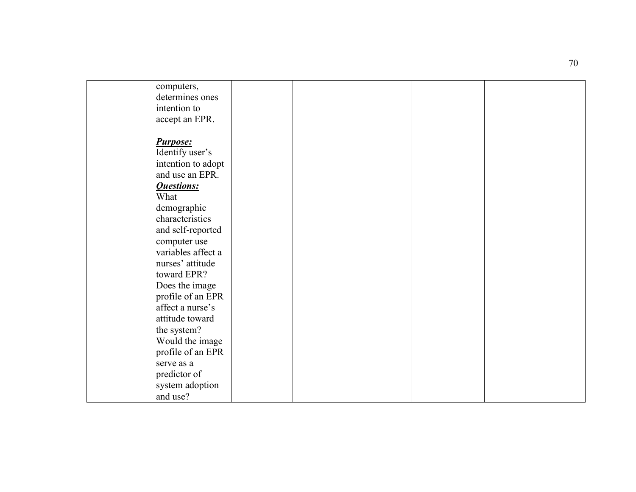| computers,         |  |  |  |
|--------------------|--|--|--|
| determines ones    |  |  |  |
| intention to       |  |  |  |
| accept an EPR.     |  |  |  |
|                    |  |  |  |
| <b>Purpose:</b>    |  |  |  |
| Identify user's    |  |  |  |
| intention to adopt |  |  |  |
| and use an EPR.    |  |  |  |
| <b>Questions:</b>  |  |  |  |
| What               |  |  |  |
| demographic        |  |  |  |
| characteristics    |  |  |  |
| and self-reported  |  |  |  |
| computer use       |  |  |  |
| variables affect a |  |  |  |
| nurses' attitude   |  |  |  |
| toward EPR?        |  |  |  |
| Does the image     |  |  |  |
| profile of an EPR  |  |  |  |
| affect a nurse's   |  |  |  |
| attitude toward    |  |  |  |
| the system?        |  |  |  |
| Would the image    |  |  |  |
| profile of an EPR  |  |  |  |
| serve as a         |  |  |  |
| predictor of       |  |  |  |
| system adoption    |  |  |  |
| and use?           |  |  |  |
|                    |  |  |  |

70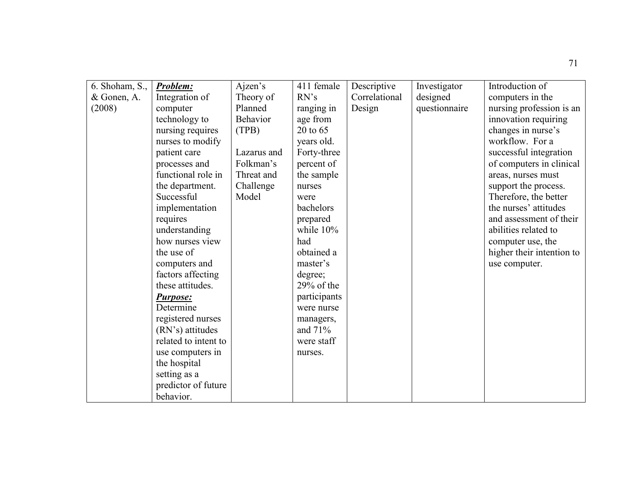| 6. Shoham, S., | Problem:             | Ajzen's     | 411 female   | Descriptive   | Investigator  | Introduction of           |
|----------------|----------------------|-------------|--------------|---------------|---------------|---------------------------|
| & Gonen, A.    | Integration of       | Theory of   | RN's         | Correlational | designed      | computers in the          |
| (2008)         | computer             | Planned     | ranging in   | Design        | questionnaire | nursing profession is an  |
|                | technology to        | Behavior    | age from     |               |               | innovation requiring      |
|                | nursing requires     | (TPB)       | 20 to 65     |               |               | changes in nurse's        |
|                | nurses to modify     |             | years old.   |               |               | workflow. For a           |
|                | patient care         | Lazarus and | Forty-three  |               |               | successful integration    |
|                | processes and        | Folkman's   | percent of   |               |               | of computers in clinical  |
|                | functional role in   | Threat and  | the sample   |               |               | areas, nurses must        |
|                | the department.      | Challenge   | nurses       |               |               | support the process.      |
|                | Successful           | Model       | were         |               |               | Therefore, the better     |
|                | implementation       |             | bachelors    |               |               | the nurses' attitudes     |
|                | requires             |             | prepared     |               |               | and assessment of their   |
|                | understanding        |             | while 10%    |               |               | abilities related to      |
|                | how nurses view      |             | had          |               |               | computer use, the         |
|                | the use of           |             | obtained a   |               |               | higher their intention to |
|                | computers and        |             | master's     |               |               | use computer.             |
|                | factors affecting    |             | degree;      |               |               |                           |
|                | these attitudes.     |             | $29%$ of the |               |               |                           |
|                | <b>Purpose:</b>      |             | participants |               |               |                           |
|                | Determine            |             | were nurse   |               |               |                           |
|                | registered nurses    |             | managers,    |               |               |                           |
|                | (RN's) attitudes     |             | and $71%$    |               |               |                           |
|                | related to intent to |             | were staff   |               |               |                           |
|                | use computers in     |             | nurses.      |               |               |                           |
|                | the hospital         |             |              |               |               |                           |
|                | setting as a         |             |              |               |               |                           |
|                | predictor of future  |             |              |               |               |                           |
|                | behavior.            |             |              |               |               |                           |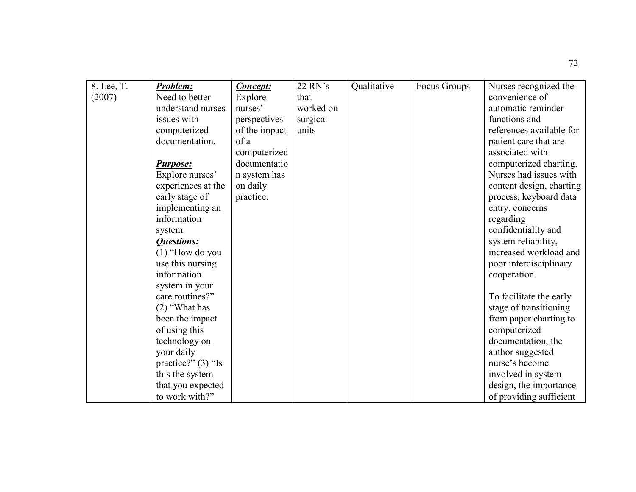| 8. Lee, T. | <b>Problem:</b>      | Concept:      | 22 RN's   | Qualitative | Focus Groups | Nurses recognized the    |
|------------|----------------------|---------------|-----------|-------------|--------------|--------------------------|
| (2007)     | Need to better       | Explore       | that      |             |              | convenience of           |
|            | understand nurses    | nurses'       | worked on |             |              | automatic reminder       |
|            | issues with          | perspectives  | surgical  |             |              | functions and            |
|            | computerized         | of the impact | units     |             |              | references available for |
|            | documentation.       | of a          |           |             |              | patient care that are    |
|            |                      | computerized  |           |             |              | associated with          |
|            | <b>Purpose:</b>      | documentatio  |           |             |              | computerized charting.   |
|            | Explore nurses'      | n system has  |           |             |              | Nurses had issues with   |
|            | experiences at the   | on daily      |           |             |              | content design, charting |
|            | early stage of       | practice.     |           |             |              | process, keyboard data   |
|            | implementing an      |               |           |             |              | entry, concerns          |
|            | information          |               |           |             |              | regarding                |
|            | system.              |               |           |             |              | confidentiality and      |
|            | <b>Questions:</b>    |               |           |             |              | system reliability,      |
|            | $(1)$ "How do you    |               |           |             |              | increased workload and   |
|            | use this nursing     |               |           |             |              | poor interdisciplinary   |
|            | information          |               |           |             |              | cooperation.             |
|            | system in your       |               |           |             |              |                          |
|            | care routines?"      |               |           |             |              | To facilitate the early  |
|            | $(2)$ "What has      |               |           |             |              | stage of transitioning   |
|            | been the impact      |               |           |             |              | from paper charting to   |
|            | of using this        |               |           |             |              | computerized             |
|            | technology on        |               |           |             |              | documentation, the       |
|            | your daily           |               |           |             |              | author suggested         |
|            | practice?" $(3)$ "Is |               |           |             |              | nurse's become           |
|            | this the system      |               |           |             |              | involved in system       |
|            | that you expected    |               |           |             |              | design, the importance   |
|            | to work with?"       |               |           |             |              | of providing sufficient  |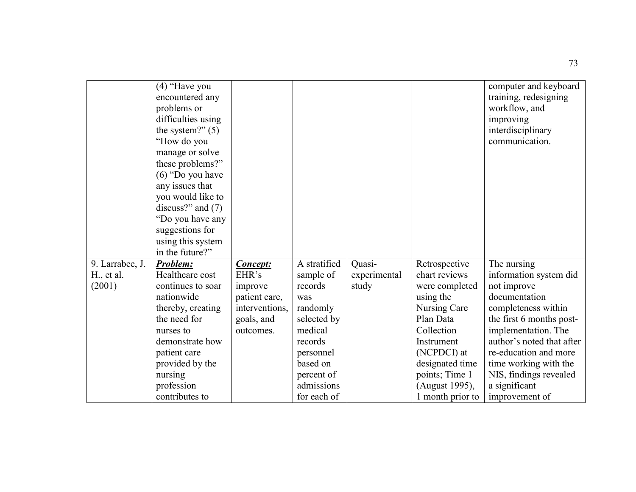|                 | $(4)$ "Have you<br>encountered any<br>problems or<br>difficulties using<br>the system?" $(5)$<br>"How do you<br>manage or solve<br>these problems?"<br>$(6)$ "Do you have"<br>any issues that<br>you would like to<br>discuss?" and $(7)$<br>"Do you have any<br>suggestions for<br>using this system<br>in the future?" |                 |              |              |                  | computer and keyboard<br>training, redesigning<br>workflow, and<br>improving<br>interdisciplinary<br>communication. |
|-----------------|--------------------------------------------------------------------------------------------------------------------------------------------------------------------------------------------------------------------------------------------------------------------------------------------------------------------------|-----------------|--------------|--------------|------------------|---------------------------------------------------------------------------------------------------------------------|
| 9. Larrabee, J. | Problem:                                                                                                                                                                                                                                                                                                                 | <b>Concept:</b> | A stratified | Quasi-       | Retrospective    | The nursing                                                                                                         |
| $H1$ , et al.   | Healthcare cost                                                                                                                                                                                                                                                                                                          | EHR's           | sample of    | experimental | chart reviews    | information system did                                                                                              |
| (2001)          | continues to soar                                                                                                                                                                                                                                                                                                        | improve         | records      | study        | were completed   | not improve                                                                                                         |
|                 | nationwide                                                                                                                                                                                                                                                                                                               | patient care,   | was          |              | using the        | documentation                                                                                                       |
|                 | thereby, creating                                                                                                                                                                                                                                                                                                        | interventions,  | randomly     |              | Nursing Care     | completeness within                                                                                                 |
|                 | the need for                                                                                                                                                                                                                                                                                                             | goals, and      | selected by  |              | Plan Data        | the first 6 months post-                                                                                            |
|                 | nurses to                                                                                                                                                                                                                                                                                                                | outcomes.       | medical      |              | Collection       | implementation. The                                                                                                 |
|                 | demonstrate how                                                                                                                                                                                                                                                                                                          |                 | records      |              | Instrument       | author's noted that after                                                                                           |
|                 | patient care                                                                                                                                                                                                                                                                                                             |                 | personnel    |              | (NCPDCI) at      | re-education and more                                                                                               |
|                 | provided by the                                                                                                                                                                                                                                                                                                          |                 | based on     |              | designated time  | time working with the                                                                                               |
|                 | nursing                                                                                                                                                                                                                                                                                                                  |                 | percent of   |              | points; Time 1   | NIS, findings revealed                                                                                              |
|                 | profession                                                                                                                                                                                                                                                                                                               |                 | admissions   |              | (August 1995),   | a significant                                                                                                       |
|                 | contributes to                                                                                                                                                                                                                                                                                                           |                 | for each of  |              | 1 month prior to | improvement of                                                                                                      |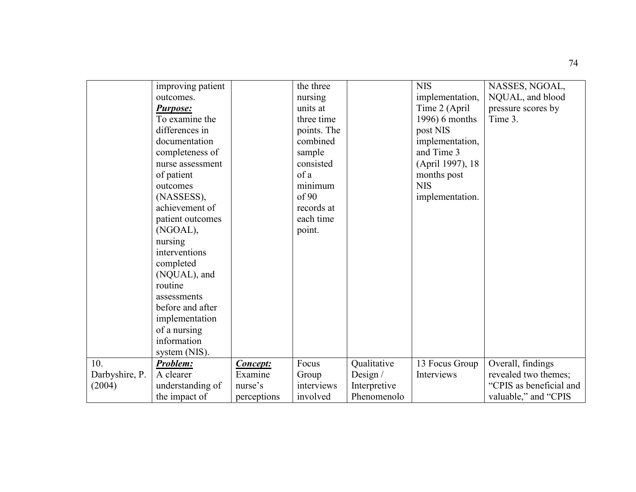|                | improving patient |                            | the three   |              | <b>NIS</b>       | NASSES, NGOAL,          |
|----------------|-------------------|----------------------------|-------------|--------------|------------------|-------------------------|
|                | outcomes.         |                            | nursing     |              | implementation,  | NQUAL, and blood        |
|                |                   |                            | units at    |              |                  |                         |
|                | <b>Purpose:</b>   |                            |             |              | Time 2 (April    | pressure scores by      |
|                | To examine the    |                            | three time  |              | 1996) 6 months   | Time 3.                 |
|                | differences in    |                            | points. The |              | post NIS         |                         |
|                | documentation     |                            | combined    |              | implementation,  |                         |
|                | completeness of   |                            | sample      |              | and Time 3       |                         |
|                | nurse assessment  |                            | consisted   |              | (April 1997), 18 |                         |
|                | of patient        |                            | of a        |              | months post      |                         |
|                | outcomes          |                            | minimum     |              | <b>NIS</b>       |                         |
|                | (NASSESS),        |                            | of 90       |              | implementation.  |                         |
|                | achievement of    |                            | records at  |              |                  |                         |
|                | patient outcomes  |                            | each time   |              |                  |                         |
|                | (NGOAL),          |                            | point.      |              |                  |                         |
|                | nursing           |                            |             |              |                  |                         |
|                | interventions     |                            |             |              |                  |                         |
|                | completed         |                            |             |              |                  |                         |
|                | (NQUAL), and      |                            |             |              |                  |                         |
|                | routine           |                            |             |              |                  |                         |
|                | assessments       |                            |             |              |                  |                         |
|                | before and after  |                            |             |              |                  |                         |
|                | implementation    |                            |             |              |                  |                         |
|                | of a nursing      |                            |             |              |                  |                         |
|                | information       |                            |             |              |                  |                         |
|                | system (NIS).     |                            |             |              |                  |                         |
| 10.            | Problem:          |                            | Focus       | Qualitative  | 13 Focus Group   | Overall, findings       |
| Darbyshire, P. | A clearer         | <b>Concept:</b><br>Examine | Group       | Design $/$   | Interviews       | revealed two themes;    |
|                |                   | nurse's                    | interviews  |              |                  | "CPIS as beneficial and |
| (2004)         | understanding of  |                            |             | Interpretive |                  |                         |
|                | the impact of     | perceptions                | involved    | Phenomenolo  |                  | valuable," and "CPIS    |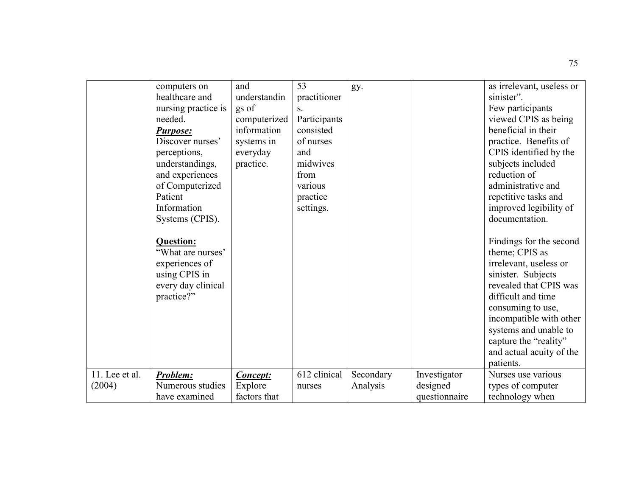|                | computers on        | and             | 53           | gy.       |               | as irrelevant, useless or |
|----------------|---------------------|-----------------|--------------|-----------|---------------|---------------------------|
|                | healthcare and      | understandin    | practitioner |           |               | sinister".                |
|                | nursing practice is | gs of           | S.           |           |               | Few participants          |
|                | needed.             | computerized    | Participants |           |               | viewed CPIS as being      |
|                | <b>Purpose:</b>     | information     | consisted    |           |               | beneficial in their       |
|                | Discover nurses'    | systems in      | of nurses    |           |               | practice. Benefits of     |
|                | perceptions,        | everyday        | and          |           |               | CPIS identified by the    |
|                | understandings,     | practice.       | midwives     |           |               | subjects included         |
|                | and experiences     |                 | from         |           |               | reduction of              |
|                | of Computerized     |                 | various      |           |               | administrative and        |
|                | Patient             |                 | practice     |           |               | repetitive tasks and      |
|                | Information         |                 | settings.    |           |               | improved legibility of    |
|                | Systems (CPIS).     |                 |              |           |               | documentation.            |
|                |                     |                 |              |           |               |                           |
|                | <b>Question:</b>    |                 |              |           |               | Findings for the second   |
|                | "What are nurses"   |                 |              |           |               | theme; CPIS as            |
|                | experiences of      |                 |              |           |               | irrelevant, useless or    |
|                | using CPIS in       |                 |              |           |               | sinister. Subjects        |
|                | every day clinical  |                 |              |           |               | revealed that CPIS was    |
|                | practice?"          |                 |              |           |               | difficult and time        |
|                |                     |                 |              |           |               | consuming to use,         |
|                |                     |                 |              |           |               | incompatible with other   |
|                |                     |                 |              |           |               | systems and unable to     |
|                |                     |                 |              |           |               | capture the "reality"     |
|                |                     |                 |              |           |               | and actual acuity of the  |
|                |                     |                 |              |           |               | patients.                 |
| 11. Lee et al. | Problem:            | <b>Concept:</b> | 612 clinical | Secondary | Investigator  | Nurses use various        |
| (2004)         | Numerous studies    | Explore         | nurses       | Analysis  | designed      | types of computer         |
|                | have examined       | factors that    |              |           | questionnaire | technology when           |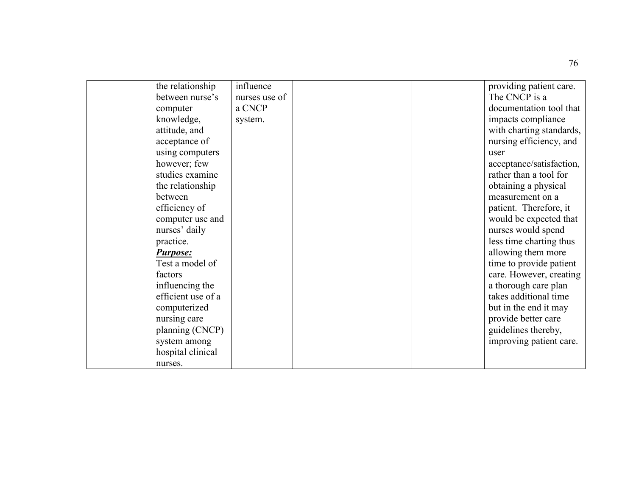| the relationship   | influence     |  | providing patient care.  |
|--------------------|---------------|--|--------------------------|
| between nurse's    | nurses use of |  | The CNCP is a            |
| computer           | a CNCP        |  | documentation tool that  |
| knowledge,         | system.       |  | impacts compliance       |
| attitude, and      |               |  | with charting standards, |
| acceptance of      |               |  | nursing efficiency, and  |
| using computers    |               |  | user                     |
| however; few       |               |  | acceptance/satisfaction, |
| studies examine    |               |  | rather than a tool for   |
| the relationship   |               |  | obtaining a physical     |
| between            |               |  | measurement on a         |
| efficiency of      |               |  | patient. Therefore, it   |
| computer use and   |               |  | would be expected that   |
| nurses' daily      |               |  | nurses would spend       |
| practice.          |               |  | less time charting thus  |
| <b>Purpose:</b>    |               |  | allowing them more       |
| Test a model of    |               |  | time to provide patient  |
| factors            |               |  | care. However, creating  |
| influencing the    |               |  | a thorough care plan     |
| efficient use of a |               |  | takes additional time    |
| computerized       |               |  | but in the end it may    |
| nursing care       |               |  | provide better care      |
| planning (CNCP)    |               |  | guidelines thereby,      |
| system among       |               |  | improving patient care.  |
| hospital clinical  |               |  |                          |
| nurses.            |               |  |                          |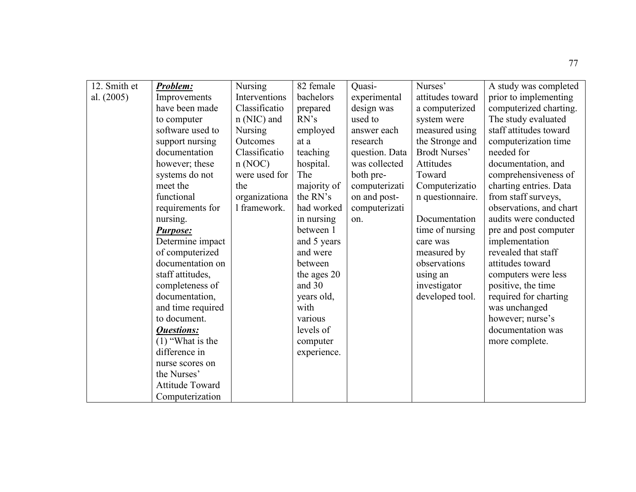| 12. Smith et | Problem:               | <b>Nursing</b> | 82 female   | Quasi-         | Nurses'              | A study was completed   |
|--------------|------------------------|----------------|-------------|----------------|----------------------|-------------------------|
| al. (2005)   | Improvements           | Interventions  | bachelors   | experimental   | attitudes toward     | prior to implementing   |
|              | have been made         | Classificatio  | prepared    | design was     | a computerized       | computerized charting.  |
|              | to computer            | $n(NIC)$ and   | RN's        | used to        | system were          | The study evaluated     |
|              | software used to       | <b>Nursing</b> | employed    | answer each    | measured using       | staff attitudes toward  |
|              | support nursing        | Outcomes       | at a        | research       | the Stronge and      | computerization time    |
|              | documentation          | Classificatio  | teaching    | question. Data | <b>Brodt Nurses'</b> | needed for              |
|              | however; these         | n(NOC)         | hospital.   | was collected  | Attitudes            | documentation, and      |
|              | systems do not         | were used for  | The         | both pre-      | Toward               | comprehensiveness of    |
|              | meet the               | the            | majority of | computerizati  | Computerizatio       | charting entries. Data  |
|              | functional             | organizationa  | the RN's    | on and post-   | n questionnaire.     | from staff surveys,     |
|              | requirements for       | 1 framework.   | had worked  | computerizati  |                      | observations, and chart |
|              | nursing.               |                | in nursing  | on.            | Documentation        | audits were conducted   |
|              | <b>Purpose:</b>        |                | between 1   |                | time of nursing      | pre and post computer   |
|              | Determine impact       |                | and 5 years |                | care was             | implementation          |
|              | of computerized        |                | and were    |                | measured by          | revealed that staff     |
|              | documentation on       |                | between     |                | observations         | attitudes toward        |
|              | staff attitudes,       |                | the ages 20 |                | using an             | computers were less     |
|              | completeness of        |                | and 30      |                | investigator         | positive, the time      |
|              | documentation,         |                | years old,  |                | developed tool.      | required for charting   |
|              | and time required      |                | with        |                |                      | was unchanged           |
|              | to document.           |                | various     |                |                      | however; nurse's        |
|              | <b>Questions:</b>      |                | levels of   |                |                      | documentation was       |
|              | $(1)$ "What is the     |                | computer    |                |                      | more complete.          |
|              | difference in          |                | experience. |                |                      |                         |
|              | nurse scores on        |                |             |                |                      |                         |
|              | the Nurses'            |                |             |                |                      |                         |
|              | <b>Attitude Toward</b> |                |             |                |                      |                         |
|              | Computerization        |                |             |                |                      |                         |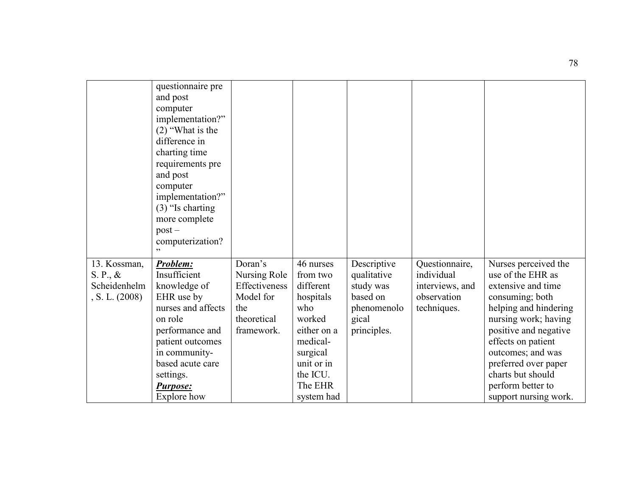|                | questionnaire pre<br>and post |               |             |             |                 |                       |
|----------------|-------------------------------|---------------|-------------|-------------|-----------------|-----------------------|
|                | computer                      |               |             |             |                 |                       |
|                | implementation?"              |               |             |             |                 |                       |
|                | $(2)$ "What is the            |               |             |             |                 |                       |
|                | difference in                 |               |             |             |                 |                       |
|                | charting time                 |               |             |             |                 |                       |
|                | requirements pre              |               |             |             |                 |                       |
|                | and post                      |               |             |             |                 |                       |
|                | computer                      |               |             |             |                 |                       |
|                | implementation?"              |               |             |             |                 |                       |
|                | $(3)$ "Is charting            |               |             |             |                 |                       |
|                | more complete                 |               |             |             |                 |                       |
|                | $post -$                      |               |             |             |                 |                       |
|                | computerization?              |               |             |             |                 |                       |
|                |                               |               |             |             |                 |                       |
| 13. Kossman,   | Problem:                      | Doran's       | 46 nurses   | Descriptive | Questionnaire,  | Nurses perceived the  |
| S. P., &       | Insufficient                  | Nursing Role  | from two    | qualitative | individual      | use of the EHR as     |
| Scheidenhelm   | knowledge of                  | Effectiveness | different   | study was   | interviews, and | extensive and time    |
| , S. L. (2008) | EHR use by                    | Model for     | hospitals   | based on    | observation     | consuming; both       |
|                | nurses and affects            | the           | who         | phenomenolo | techniques.     | helping and hindering |
|                | on role                       | theoretical   | worked      | gical       |                 | nursing work; having  |
|                | performance and               | framework.    | either on a | principles. |                 | positive and negative |
|                | patient outcomes              |               | medical-    |             |                 | effects on patient    |
|                | in community-                 |               | surgical    |             |                 | outcomes; and was     |
|                | based acute care              |               | unit or in  |             |                 | preferred over paper  |
|                | settings.                     |               | the ICU.    |             |                 | charts but should     |
|                | <b>Purpose:</b>               |               | The EHR     |             |                 | perform better to     |
|                | Explore how                   |               | system had  |             |                 | support nursing work. |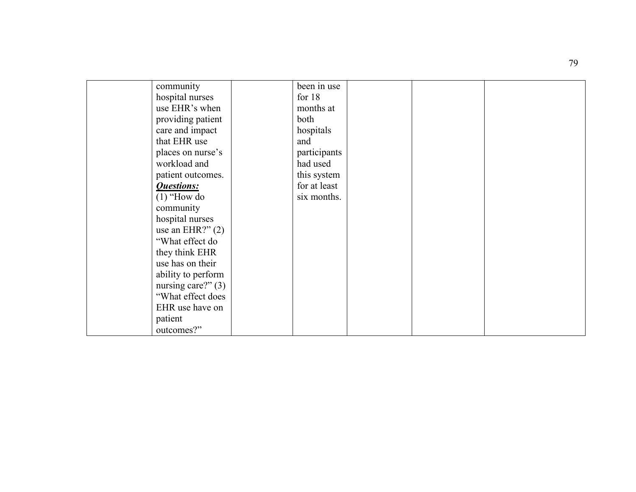| community            | been in use  |  |
|----------------------|--------------|--|
| hospital nurses      | for $18$     |  |
| use EHR's when       | months at    |  |
| providing patient    | both         |  |
| care and impact      | hospitals    |  |
| that EHR use         | and          |  |
| places on nurse's    | participants |  |
| workload and         | had used     |  |
| patient outcomes.    | this system  |  |
| <b>Questions:</b>    | for at least |  |
| $(1)$ "How do        | six months.  |  |
| community            |              |  |
| hospital nurses      |              |  |
| use an EHR?" $(2)$   |              |  |
| "What effect do      |              |  |
| they think EHR       |              |  |
| use has on their     |              |  |
| ability to perform   |              |  |
| nursing care?" $(3)$ |              |  |
| "What effect does"   |              |  |
| EHR use have on      |              |  |
| patient              |              |  |
| outcomes?"           |              |  |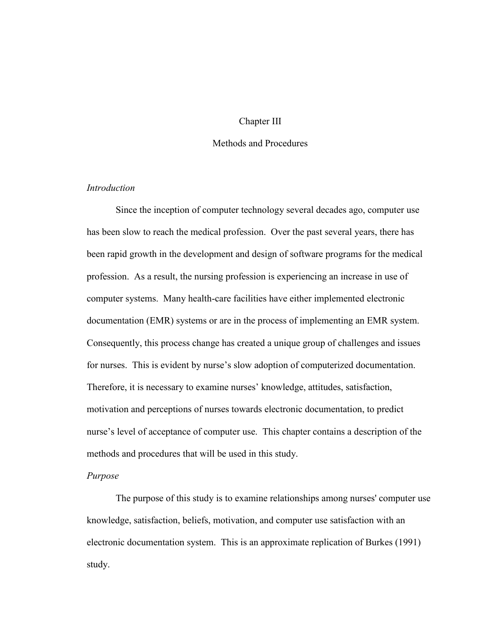### Chapter III

# Methods and Procedures

## *Introduction*

Since the inception of computer technology several decades ago, computer use has been slow to reach the medical profession. Over the past several years, there has been rapid growth in the development and design of software programs for the medical profession. As a result, the nursing profession is experiencing an increase in use of computer systems. Many health-care facilities have either implemented electronic documentation (EMR) systems or are in the process of implementing an EMR system. Consequently, this process change has created a unique group of challenges and issues for nurses. This is evident by nurse's slow adoption of computerized documentation. Therefore, it is necessary to examine nurses' knowledge, attitudes, satisfaction, motivation and perceptions of nurses towards electronic documentation, to predict nurse's level of acceptance of computer use. This chapter contains a description of the methods and procedures that will be used in this study.

## *Purpose*

The purpose of this study is to examine relationships among nurses' computer use knowledge, satisfaction, beliefs, motivation, and computer use satisfaction with an electronic documentation system. This is an approximate replication of Burkes (1991) study.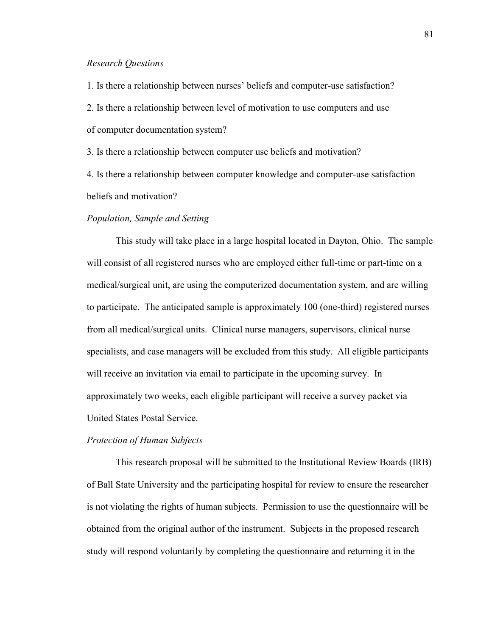#### *Research Questions*

1. Is there a relationship between nurses' beliefs and computer-use satisfaction? 2. Is there a relationship between level of motivation to use computers and use of computer documentation system?

3. Is there a relationship between computer use beliefs and motivation?

4. Is there a relationship between computer knowledge and computer-use satisfaction beliefs and motivation?

# *Population, Sample and Setting*

This study will take place in a large hospital located in Dayton, Ohio. The sample will consist of all registered nurses who are employed either full-time or part-time on a medical/surgical unit, are using the computerized documentation system, and are willing to participate. The anticipated sample is approximately 100 (one-third) registered nurses from all medical/surgical units. Clinical nurse managers, supervisors, clinical nurse specialists, and case managers will be excluded from this study. All eligible participants will receive an invitation via email to participate in the upcoming survey. In approximately two weeks, each eligible participant will receive a survey packet via United States Postal Service.

#### *Protection of Human Subjects*

This research proposal will be submitted to the Institutional Review Boards (IRB) of Ball State University and the participating hospital for review to ensure the researcher is not violating the rights of human subjects. Permission to use the questionnaire will be obtained from the original author of the instrument. Subjects in the proposed research study will respond voluntarily by completing the questionnaire and returning it in the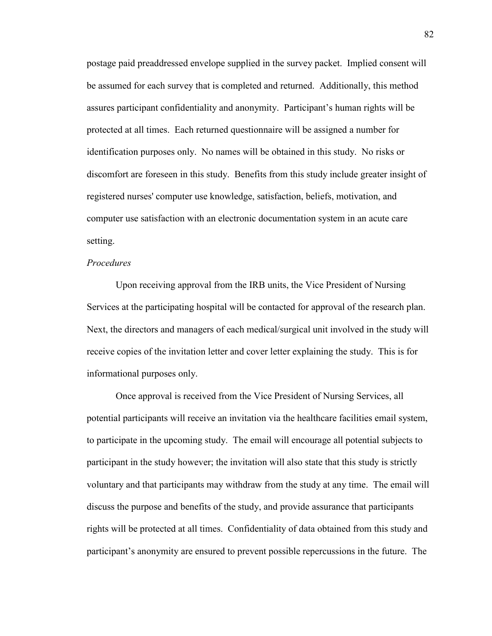postage paid preaddressed envelope supplied in the survey packet. Implied consent will be assumed for each survey that is completed and returned. Additionally, this method assures participant confidentiality and anonymity. Participant's human rights will be protected at all times. Each returned questionnaire will be assigned a number for identification purposes only. No names will be obtained in this study. No risks or discomfort are foreseen in this study. Benefits from this study include greater insight of registered nurses' computer use knowledge, satisfaction, beliefs, motivation, and computer use satisfaction with an electronic documentation system in an acute care setting.

### *Procedures*

Upon receiving approval from the IRB units, the Vice President of Nursing Services at the participating hospital will be contacted for approval of the research plan. Next, the directors and managers of each medical/surgical unit involved in the study will receive copies of the invitation letter and cover letter explaining the study. This is for informational purposes only.

Once approval is received from the Vice President of Nursing Services, all potential participants will receive an invitation via the healthcare facilities email system, to participate in the upcoming study. The email will encourage all potential subjects to participant in the study however; the invitation will also state that this study is strictly voluntary and that participants may withdraw from the study at any time. The email will discuss the purpose and benefits of the study, and provide assurance that participants rights will be protected at all times. Confidentiality of data obtained from this study and participant's anonymity are ensured to prevent possible repercussions in the future. The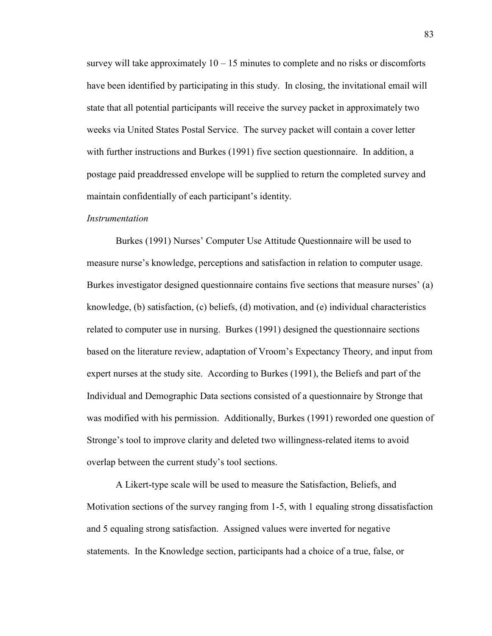survey will take approximately  $10 - 15$  minutes to complete and no risks or discomforts have been identified by participating in this study. In closing, the invitational email will state that all potential participants will receive the survey packet in approximately two weeks via United States Postal Service. The survey packet will contain a cover letter with further instructions and Burkes (1991) five section questionnaire. In addition, a postage paid preaddressed envelope will be supplied to return the completed survey and maintain confidentially of each participant's identity.

#### *Instrumentation*

Burkes (1991) Nurses' Computer Use Attitude Questionnaire will be used to measure nurse's knowledge, perceptions and satisfaction in relation to computer usage. Burkes investigator designed questionnaire contains five sections that measure nurses' (a) knowledge, (b) satisfaction, (c) beliefs, (d) motivation, and (e) individual characteristics related to computer use in nursing. Burkes (1991) designed the questionnaire sections based on the literature review, adaptation of Vroom's Expectancy Theory, and input from expert nurses at the study site. According to Burkes (1991), the Beliefs and part of the Individual and Demographic Data sections consisted of a questionnaire by Stronge that was modified with his permission. Additionally, Burkes (1991) reworded one question of Stronge's tool to improve clarity and deleted two willingness-related items to avoid overlap between the current study's tool sections.

A Likert-type scale will be used to measure the Satisfaction, Beliefs, and Motivation sections of the survey ranging from 1-5, with 1 equaling strong dissatisfaction and 5 equaling strong satisfaction. Assigned values were inverted for negative statements. In the Knowledge section, participants had a choice of a true, false, or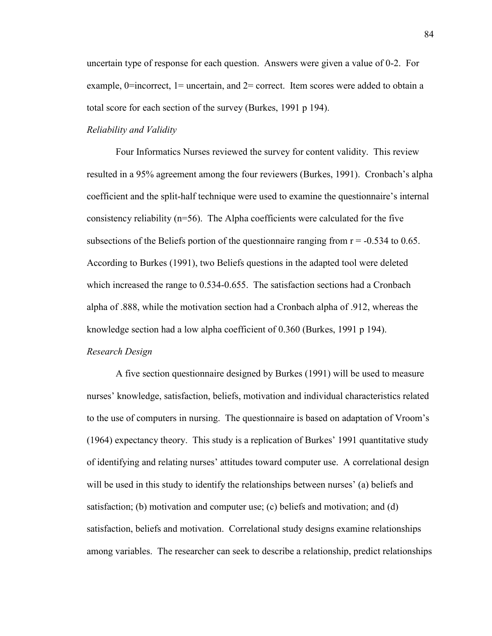uncertain type of response for each question. Answers were given a value of 0-2. For example,  $0=$ incorrect,  $1=$  uncertain, and  $2=$  correct. Item scores were added to obtain a total score for each section of the survey (Burkes, 1991 p 194).

## *Reliability and Validity*

Four Informatics Nurses reviewed the survey for content validity. This review resulted in a 95% agreement among the four reviewers (Burkes, 1991). Cronbach's alpha coefficient and the split-half technique were used to examine the questionnaire's internal consistency reliability ( $n=56$ ). The Alpha coefficients were calculated for the five subsections of the Beliefs portion of the questionnaire ranging from  $r = -0.534$  to 0.65. According to Burkes (1991), two Beliefs questions in the adapted tool were deleted which increased the range to 0.534-0.655. The satisfaction sections had a Cronbach alpha of .888, while the motivation section had a Cronbach alpha of .912, whereas the knowledge section had a low alpha coefficient of 0.360 (Burkes, 1991 p 194).

### *Research Design*

A five section questionnaire designed by Burkes (1991) will be used to measure nurses' knowledge, satisfaction, beliefs, motivation and individual characteristics related to the use of computers in nursing. The questionnaire is based on adaptation of Vroom's (1964) expectancy theory. This study is a replication of Burkes' 1991 quantitative study of identifying and relating nurses' attitudes toward computer use. A correlational design will be used in this study to identify the relationships between nurses' (a) beliefs and satisfaction; (b) motivation and computer use; (c) beliefs and motivation; and (d) satisfaction, beliefs and motivation. Correlational study designs examine relationships among variables. The researcher can seek to describe a relationship, predict relationships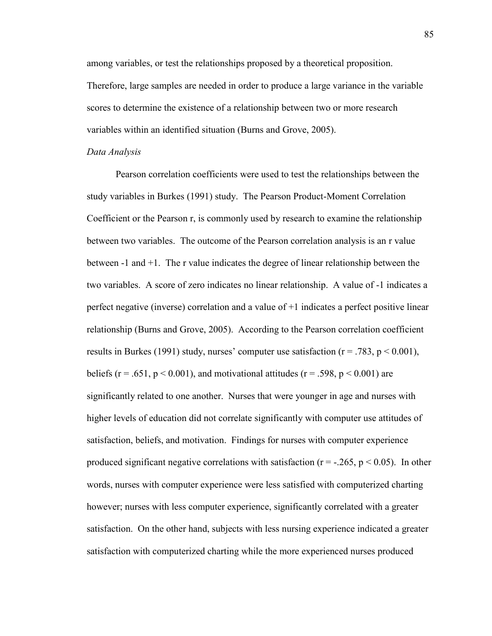among variables, or test the relationships proposed by a theoretical proposition. Therefore, large samples are needed in order to produce a large variance in the variable scores to determine the existence of a relationship between two or more research variables within an identified situation (Burns and Grove, 2005).

#### *Data Analysis*

Pearson correlation coefficients were used to test the relationships between the study variables in Burkes (1991) study. The Pearson Product-Moment Correlation Coefficient or the Pearson r, is commonly used by research to examine the relationship between two variables. The outcome of the Pearson correlation analysis is an r value between -1 and +1. The r value indicates the degree of linear relationship between the two variables. A score of zero indicates no linear relationship. A value of -1 indicates a perfect negative (inverse) correlation and a value of +1 indicates a perfect positive linear relationship (Burns and Grove, 2005). According to the Pearson correlation coefficient results in Burkes (1991) study, nurses' computer use satisfaction ( $r = .783$ ,  $p < 0.001$ ), beliefs ( $r = .651$ ,  $p < 0.001$ ), and motivational attitudes ( $r = .598$ ,  $p < 0.001$ ) are significantly related to one another. Nurses that were younger in age and nurses with higher levels of education did not correlate significantly with computer use attitudes of satisfaction, beliefs, and motivation. Findings for nurses with computer experience produced significant negative correlations with satisfaction ( $r = -0.265$ ,  $p < 0.05$ ). In other words, nurses with computer experience were less satisfied with computerized charting however; nurses with less computer experience, significantly correlated with a greater satisfaction. On the other hand, subjects with less nursing experience indicated a greater satisfaction with computerized charting while the more experienced nurses produced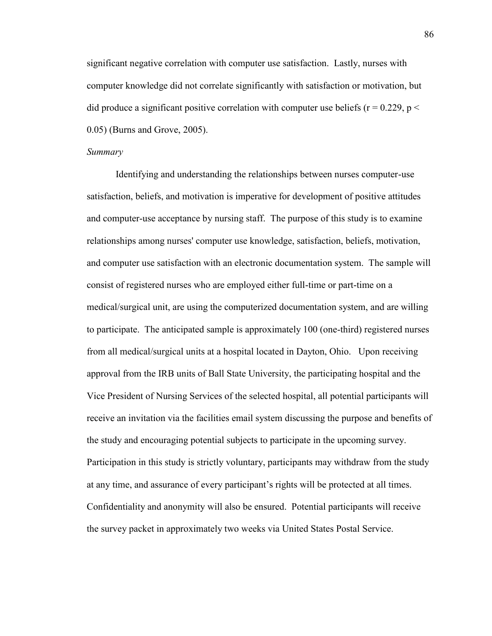significant negative correlation with computer use satisfaction. Lastly, nurses with computer knowledge did not correlate significantly with satisfaction or motivation, but did produce a significant positive correlation with computer use beliefs ( $r = 0.229$ ,  $p <$ 0.05) (Burns and Grove, 2005).

#### *Summary*

Identifying and understanding the relationships between nurses computer-use satisfaction, beliefs, and motivation is imperative for development of positive attitudes and computer-use acceptance by nursing staff. The purpose of this study is to examine relationships among nurses' computer use knowledge, satisfaction, beliefs, motivation, and computer use satisfaction with an electronic documentation system. The sample will consist of registered nurses who are employed either full-time or part-time on a medical/surgical unit, are using the computerized documentation system, and are willing to participate. The anticipated sample is approximately 100 (one-third) registered nurses from all medical/surgical units at a hospital located in Dayton, Ohio. Upon receiving approval from the IRB units of Ball State University, the participating hospital and the Vice President of Nursing Services of the selected hospital, all potential participants will receive an invitation via the facilities email system discussing the purpose and benefits of the study and encouraging potential subjects to participate in the upcoming survey. Participation in this study is strictly voluntary, participants may withdraw from the study at any time, and assurance of every participant's rights will be protected at all times. Confidentiality and anonymity will also be ensured. Potential participants will receive the survey packet in approximately two weeks via United States Postal Service.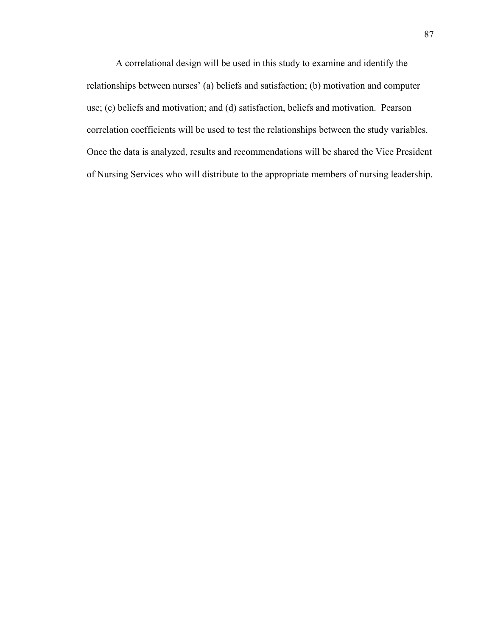A correlational design will be used in this study to examine and identify the relationships between nurses' (a) beliefs and satisfaction; (b) motivation and computer use; (c) beliefs and motivation; and (d) satisfaction, beliefs and motivation. Pearson correlation coefficients will be used to test the relationships between the study variables. Once the data is analyzed, results and recommendations will be shared the Vice President of Nursing Services who will distribute to the appropriate members of nursing leadership.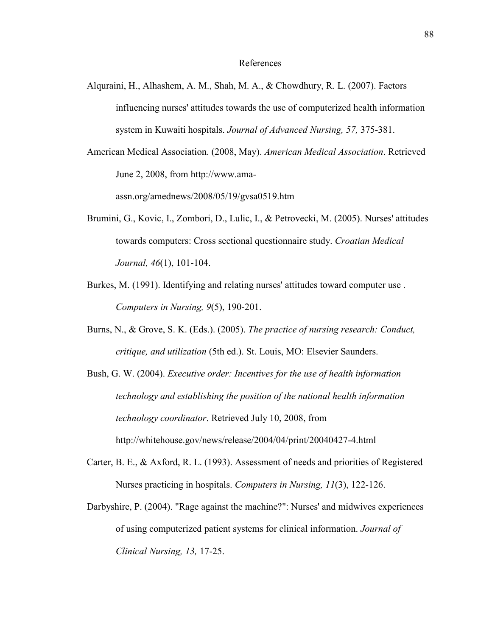- Alquraini, H., Alhashem, A. M., Shah, M. A., & Chowdhury, R. L. (2007). Factors influencing nurses' attitudes towards the use of computerized health information system in Kuwaiti hospitals. *Journal of Advanced Nursing, 57,* 375-381.
- American Medical Association. (2008, May). *American Medical Association*. Retrieved June 2, 2008, from http://www.ama-

assn.org/amednews/2008/05/19/gvsa0519.htm

- Brumini, G., Kovic, I., Zombori, D., Lulic, I., & Petrovecki, M. (2005). Nurses' attitudes towards computers: Cross sectional questionnaire study. *Croatian Medical Journal, 46*(1), 101-104.
- Burkes, M. (1991). Identifying and relating nurses' attitudes toward computer use . *Computers in Nursing, 9*(5), 190-201.
- Burns, N., & Grove, S. K. (Eds.). (2005). *The practice of nursing research: Conduct, critique, and utilization* (5th ed.). St. Louis, MO: Elsevier Saunders.
- Bush, G. W. (2004). *Executive order: Incentives for the use of health information technology and establishing the position of the national health information technology coordinator*. Retrieved July 10, 2008, from http://whitehouse.gov/news/release/2004/04/print/20040427-4.html
- Carter, B. E., & Axford, R. L. (1993). Assessment of needs and priorities of Registered Nurses practicing in hospitals. *Computers in Nursing, 11*(3), 122-126.
- Darbyshire, P. (2004). "Rage against the machine?": Nurses' and midwives experiences of using computerized patient systems for clinical information. *Journal of Clinical Nursing, 13,* 17-25.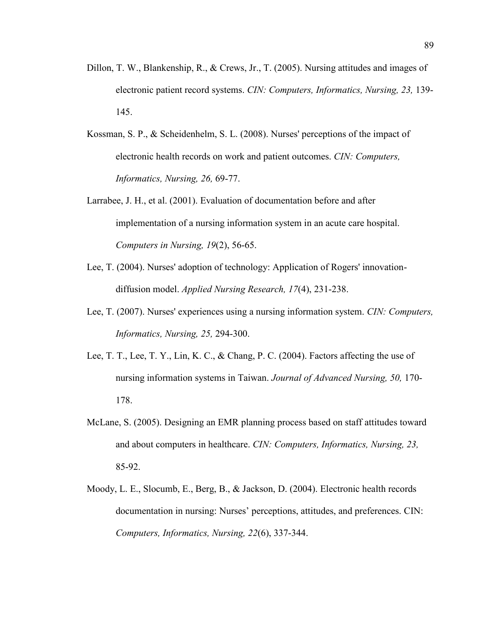- Dillon, T. W., Blankenship, R., & Crews, Jr., T. (2005). Nursing attitudes and images of electronic patient record systems. *CIN: Computers, Informatics, Nursing, 23,* 139- 145.
- Kossman, S. P., & Scheidenhelm, S. L. (2008). Nurses' perceptions of the impact of electronic health records on work and patient outcomes. *CIN: Computers, Informatics, Nursing, 26,* 69-77.
- Larrabee, J. H., et al. (2001). Evaluation of documentation before and after implementation of a nursing information system in an acute care hospital. *Computers in Nursing, 19*(2), 56-65.
- Lee, T. (2004). Nurses' adoption of technology: Application of Rogers' innovationdiffusion model. *Applied Nursing Research, 17*(4), 231-238.
- Lee, T. (2007). Nurses' experiences using a nursing information system. *CIN: Computers, Informatics, Nursing, 25,* 294-300.
- Lee, T. T., Lee, T. Y., Lin, K. C., & Chang, P. C. (2004). Factors affecting the use of nursing information systems in Taiwan. *Journal of Advanced Nursing, 50,* 170- 178.
- McLane, S. (2005). Designing an EMR planning process based on staff attitudes toward and about computers in healthcare. *CIN: Computers, Informatics, Nursing, 23,* 85-92.
- Moody, L. E., Slocumb, E., Berg, B., & Jackson, D. (2004). Electronic health records documentation in nursing: Nurses' perceptions, attitudes, and preferences. CIN: *Computers, Informatics, Nursing, 22*(6), 337-344.